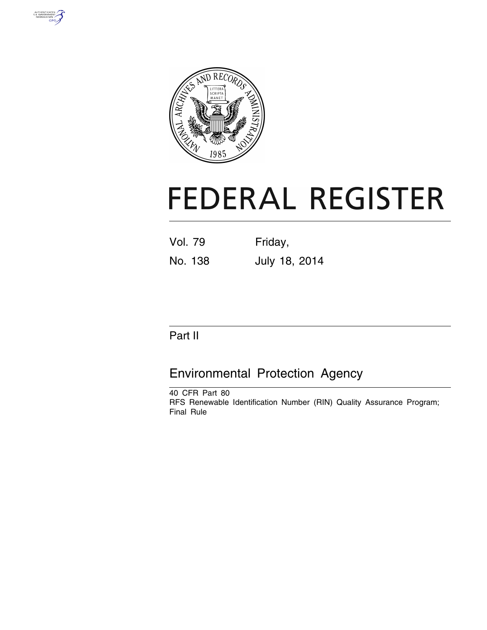



# **FEDERAL REGISTER**

| <b>Vol. 79</b> | Friday,       |
|----------------|---------------|
| No. 138        | July 18, 2014 |

# Part II

# Environmental Protection Agency

40 CFR Part 80 RFS Renewable Identification Number (RIN) Quality Assurance Program; Final Rule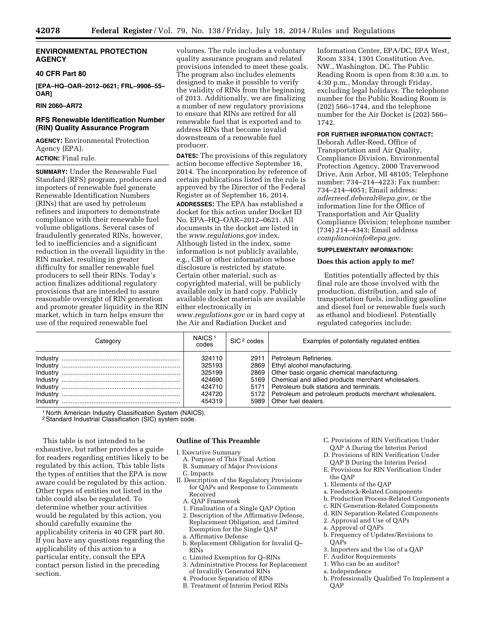# **ENVIRONMENTAL PROTECTION AGENCY**

# **40 CFR Part 80**

**[EPA–HQ–OAR–2012–0621; FRL–9906–55– OAR]** 

# **RIN 2060–AR72**

# **RFS Renewable Identification Number (RIN) Quality Assurance Program**

**AGENCY:** Environmental Protection Agency (EPA). **ACTION:** Final rule.

**SUMMARY:** Under the Renewable Fuel Standard (RFS) program, producers and importers of renewable fuel generate Renewable Identification Numbers (RINs) that are used by petroleum refiners and importers to demonstrate compliance with their renewable fuel volume obligations. Several cases of fraudulently generated RINs, however, led to inefficiencies and a significant reduction in the overall liquidity in the RIN market, resulting in greater difficulty for smaller renewable fuel producers to sell their RINs. Today's action finalizes additional regulatory provisions that are intended to assure reasonable oversight of RIN generation and promote greater liquidity in the RIN market, which in turn helps ensure the use of the required renewable fuel

volumes. The rule includes a voluntary quality assurance program and related provisions intended to meet these goals. The program also includes elements designed to make it possible to verify the validity of RINs from the beginning of 2013. Additionally, we are finalizing a number of new regulatory provisions to ensure that RINs are retired for all renewable fuel that is exported and to address RINs that become invalid downstream of a renewable fuel producer.

**DATES:** The provisions of this regulatory action become effective September 16, 2014. The incorporation by reference of certain publications listed in the rule is approved by the Director of the Federal Register as of September 16, 2014. **ADDRESSES:** The EPA has established a docket for this action under Docket ID No. EPA–HQ–OAR–2012–0621. All documents in the docket are listed in the *[www.regulations.gov](http://www.regulations.gov)* index. Although listed in the index, some information is not publicly available, e.g., CBI or other information whose disclosure is restricted by statute. Certain other material, such as copyrighted material, will be publicly available only in hard copy. Publicly available docket materials are available either electronically in *[www.regulations.gov](http://www.regulations.gov)* or in hard copy at the Air and Radiation Docket and

Information Center, EPA/DC, EPA West, Room 3334, 1301 Constitution Ave. NW., Washington, DC. The Public Reading Room is open from 8:30 a.m. to 4:30 p.m., Monday through Friday, excluding legal holidays. The telephone number for the Public Reading Room is (202) 566–1744, and the telephone number for the Air Docket is (202) 566– 1742.

#### **FOR FURTHER INFORMATION CONTACT:**

Deborah Adler-Reed, Office of Transportation and Air Quality, Compliance Division, Environmental Protection Agency, 2000 Traverwood Drive, Ann Arbor, MI 48105; Telephone number: 734–214–4223; Fax number: 734–214–4051; Email address: *[adlerreed.deborah@epa.gov,](mailto:adlerreed.deborah@epa.gov)* or the information line for the Office of Transportation and Air Quality Compliance Division; telephone number (734) 214–4343; Email address *[complianceinfo@epa.gov.](mailto:complianceinfo@epa.gov)* 

#### **SUPPLEMENTARY INFORMATION:**

#### **Does this action apply to me?**

Entities potentially affected by this final rule are those involved with the production, distribution, and sale of transportation fuels, including gasoline and diesel fuel or renewable fuels such as ethanol and biodiesel. Potentially regulated categories include:

| Category | NAICS <sup>1</sup><br>codes                                        | SIC <sup>2</sup> codes       | Examples of potentially regulated entities                                                                                                                                                                                                                                                             |
|----------|--------------------------------------------------------------------|------------------------------|--------------------------------------------------------------------------------------------------------------------------------------------------------------------------------------------------------------------------------------------------------------------------------------------------------|
| Industry | 324110<br>325193<br>325199<br>424690<br>424710<br>424720<br>454319 | 2869<br>2869<br>5169<br>5172 | 2911 Petroleum Refineries.<br>Ethyl alcohol manufacturing.<br>Other basic organic chemical manufacturing.<br>Chemical and allied products merchant wholesalers.<br>5171 Petroleum bulk stations and terminals.<br>Petroleum and petroleum products merchant wholesalers.<br>5989   Other fuel dealers. |

1 North American Industry Classification System (NAICS).

2Standard Industrial Classification (SIC) system code.

This table is not intended to be exhaustive, but rather provides a guide for readers regarding entities likely to be regulated by this action. This table lists the types of entities that the EPA is now aware could be regulated by this action. Other types of entities not listed in the table could also be regulated. To determine whether your activities would be regulated by this action, you should carefully examine the applicability criteria in 40 CFR part 80. If you have any questions regarding the applicability of this action to a particular entity, consult the EPA contact person listed in the preceding section.

# **Outline of This Preamble**

I. Executive Summary

- A. Purpose of This Final Action B. Summary of Major Provisions
- C. Impacts
- II. Description of the Regulatory Provisions for QAPs and Response to Comments Received
	- A. QAP Framework
	- 1. Finalization of a Single QAP Option 2. Description of the Affirmative Defense, Replacement Obligation, and Limited Exemption for the Single QAP
	- a. Affirmative Defense
	- b. Replacement Obligation for Invalid Q– RINs
	- c. Limited Exemption for Q–RINs
	- 3. Administrative Process for Replacement of Invalidly Generated RINs
	- 4. Producer Separation of RINs
	- B. Treatment of Interim Period RINs
- C. Provisions of RIN Verification Under QAP A During the Interim Period
- D. Provisions of RIN Verification Under QAP B During the Interim Period
- E. Provisions for RIN Verification Under the QAP
- 1. Elements of the QAP
- a. Feedstock-Related Components
- b. Production Process-Related Components
- c. RIN Generation-Related Components
- d. RIN Separation-Related Components
- 2. Approval and Use of QAPs
- a. Approval of QAPs
- b. Frequency of Updates/Revisions to  $OAPs$
- 3. Importers and the Use of a QAP
- F. Auditor Requirements
- 1. Who can be an auditor?
- a. Independence
- b. Professionally Qualified To Implement a **OAP**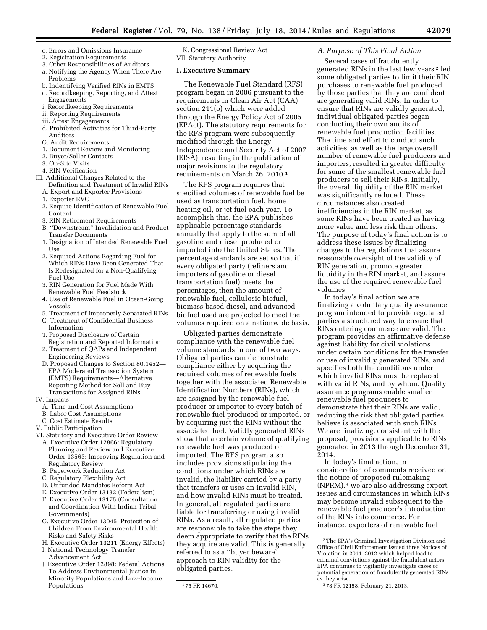- c. Errors and Omissions Insurance
- 2. Registration Requirements
- 3. Other Responsibilities of Auditors a. Notifying the Agency When There Are
- Problems b. Indentifying Verified RINs in EMTS
- c. Recordkeeping, Reporting, and Attest Engagements
- i. Recordkeeping Requirements
- ii. Reporting Requirements
- iii. Attest Engagements
- d. Prohibited Activities for Third-Party Auditors
- G. Audit Requirements
- 1. Document Review and Monitoring
- 2. Buyer/Seller Contacts
- 3. On-Site Visits
- 4. RIN Verification
- III. Additional Changes Related to the Definition and Treatment of Invalid RINs A. Export and Exporter Provisions
	- 1. Exporter RVO
	- 2. Require Identification of Renewable Fuel Content
	- 3. RIN Retirement Requirements
	- B. ''Downstream'' Invalidation and Product Transfer Documents
	- 1. Designation of Intended Renewable Fuel Use
	- 2. Required Actions Regarding Fuel for Which RINs Have Been Generated That Is Redesignated for a Non-Qualifying Fuel Use
	- 3. RIN Generation for Fuel Made With Renewable Fuel Feedstock
	- 4. Use of Renewable Fuel in Ocean-Going Vessels
	- 5. Treatment of Improperly Separated RINs
	- C. Treatment of Confidential Business Information
	- 1. Proposed Disclosure of Certain Registration and Reported Information
	- 2. Treatment of QAPs and Independent Engineering Reviews
	- D. Proposed Changes to Section 80.1452— EPA Moderated Transaction System (EMTS) Requirements—Alternative Reporting Method for Sell and Buy Transactions for Assigned RINs
- IV. Impacts
	- A. Time and Cost Assumptions
	- B. Labor Cost Assumptions
- C. Cost Estimate Results
- V. Public Participation
- VI. Statutory and Executive Order Review
	- A. Executive Order 12866: Regulatory Planning and Review and Executive Order 13563: Improving Regulation and Regulatory Review
	- B. Paperwork Reduction Act
	- C. Regulatory Flexibility Act
	- D. Unfunded Mandates Reform Act
	- E. Executive Order 13132 (Federalism)
	- F. Executive Order 13175 (Consultation and Coordination With Indian Tribal Governments)
	- G. Executive Order 13045: Protection of Children From Environmental Health Risks and Safety Risks
	- H. Executive Order 13211 (Energy Effects)
	- I. National Technology Transfer Advancement Act
	- J. Executive Order 12898: Federal Actions To Address Environmental Justice in Minority Populations and Low-Income Populations

K. Congressional Review Act VII. Statutory Authority

#### **I. Executive Summary**

The Renewable Fuel Standard (RFS) program began in 2006 pursuant to the requirements in Clean Air Act (CAA) section 211(o) which were added through the Energy Policy Act of 2005 (EPAct). The statutory requirements for the RFS program were subsequently modified through the Energy Independence and Security Act of 2007 (EISA), resulting in the publication of major revisions to the regulatory requirements on March 26, 2010.1

The RFS program requires that specified volumes of renewable fuel be used as transportation fuel, home heating oil, or jet fuel each year. To accomplish this, the EPA publishes applicable percentage standards annually that apply to the sum of all gasoline and diesel produced or imported into the United States. The percentage standards are set so that if every obligated party (refiners and importers of gasoline or diesel transportation fuel) meets the percentages, then the amount of renewable fuel, cellulosic biofuel, biomass-based diesel, and advanced biofuel used are projected to meet the volumes required on a nationwide basis.

Obligated parties demonstrate compliance with the renewable fuel volume standards in one of two ways. Obligated parties can demonstrate compliance either by acquiring the required volumes of renewable fuels together with the associated Renewable Identification Numbers (RINs), which are assigned by the renewable fuel producer or importer to every batch of renewable fuel produced or imported, or by acquiring just the RINs without the associated fuel. Validly generated RINs show that a certain volume of qualifying renewable fuel was produced or imported. The RFS program also includes provisions stipulating the conditions under which RINs are invalid, the liability carried by a party that transfers or uses an invalid RIN, and how invalid RINs must be treated. In general, all regulated parties are liable for transferring or using invalid RINs. As a result, all regulated parties are responsible to take the steps they deem appropriate to verify that the RINs they acquire are valid. This is generally referred to as a ''buyer beware'' approach to RIN validity for the obligated parties.

# *A. Purpose of This Final Action*

Several cases of fraudulently generated RINs in the last few years 2 led some obligated parties to limit their RIN purchases to renewable fuel produced by those parties that they are confident are generating valid RINs. In order to ensure that RINs are validly generated, individual obligated parties began conducting their own audits of renewable fuel production facilities. The time and effort to conduct such activities, as well as the large overall number of renewable fuel producers and importers, resulted in greater difficulty for some of the smallest renewable fuel producers to sell their RINs. Initially, the overall liquidity of the RIN market was significantly reduced. These circumstances also created inefficiencies in the RIN market, as some RINs have been treated as having more value and less risk than others. The purpose of today's final action is to address these issues by finalizing changes to the regulations that assure reasonable oversight of the validity of RIN generation, promote greater liquidity in the RIN market, and assure the use of the required renewable fuel volumes.

In today's final action we are finalizing a voluntary quality assurance program intended to provide regulated parties a structured way to ensure that RINs entering commerce are valid. The program provides an affirmative defense against liability for civil violations under certain conditions for the transfer or use of invalidly generated RINs, and specifies both the conditions under which invalid RINs must be replaced with valid RINs, and by whom. Quality assurance programs enable smaller renewable fuel producers to demonstrate that their RINs are valid, reducing the risk that obligated parties believe is associated with such RINs. We are finalizing, consistent with the proposal, provisions applicable to RINs generated in 2013 through December 31, 2014.

In today's final action, in consideration of comments received on the notice of proposed rulemaking (NPRM),3 we are also addressing export issues and circumstances in which RINs may become invalid subsequent to the renewable fuel producer's introduction of the RINs into commerce. For instance, exporters of renewable fuel

<sup>1</sup> 75 FR 14670.

 $\sqrt[2]{2}$  The EPA's Criminal Investigation Division and Office of Civil Enforcement issued three Notices of Violation in 2011–2012 which helped lead to criminal convictions against the fraudulent actors. EPA continues to vigilantly investigate cases of potential generation of fraudulently generated RINs as they arise.

<sup>3</sup> 78 FR 12158, February 21, 2013.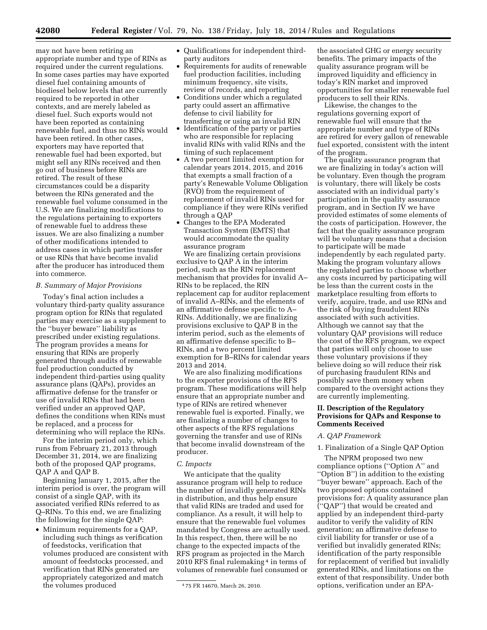may not have been retiring an appropriate number and type of RINs as required under the current regulations. In some cases parties may have exported diesel fuel containing amounts of biodiesel below levels that are currently required to be reported in other contexts, and are merely labeled as diesel fuel. Such exports would not have been reported as containing renewable fuel, and thus no RINs would have been retired. In other cases, exporters may have reported that renewable fuel had been exported, but might sell any RINs received and then go out of business before RINs are retired. The result of these circumstances could be a disparity between the RINs generated and the renewable fuel volume consumed in the U.S. We are finalizing modifications to the regulations pertaining to exporters of renewable fuel to address these issues. We are also finalizing a number of other modifications intended to address cases in which parties transfer or use RINs that have become invalid after the producer has introduced them into commerce.

# *B. Summary of Major Provisions*

Today's final action includes a voluntary third-party quality assurance program option for RINs that regulated parties may exercise as a supplement to the ''buyer beware'' liability as prescribed under existing regulations. The program provides a means for ensuring that RINs are properly generated through audits of renewable fuel production conducted by independent third-parties using quality assurance plans (QAPs), provides an affirmative defense for the transfer or use of invalid RINs that had been verified under an approved QAP, defines the conditions when RINs must be replaced, and a process for determining who will replace the RINs.

For the interim period only, which runs from February 21, 2013 through December 31, 2014, we are finalizing both of the proposed QAP programs, QAP A and QAP B.

Beginning January 1, 2015, after the interim period is over, the program will consist of a single QAP, with its associated verified RINs referred to as Q–RINs. To this end, we are finalizing the following for the single QAP:

• Minimum requirements for a QAP, including such things as verification of feedstocks, verification that volumes produced are consistent with amount of feedstocks processed, and verification that RINs generated are appropriately categorized and match the volumes produced

- Qualifications for independent thirdparty auditors
- Requirements for audits of renewable fuel production facilities, including minimum frequency, site visits, review of records, and reporting
- Conditions under which a regulated party could assert an affirmative defense to civil liability for transferring or using an invalid RIN
- Identification of the party or parties who are responsible for replacing invalid RINs with valid RINs and the timing of such replacement
- A two percent limited exemption for calendar years 2014, 2015, and 2016 that exempts a small fraction of a party's Renewable Volume Obligation (RVO) from the requirement of replacement of invalid RINs used for compliance if they were RINs verified through a QAP
- Changes to the EPA Moderated Transaction System (EMTS) that would accommodate the quality assurance program

We are finalizing certain provisions exclusive to QAP A in the interim period, such as the RIN replacement mechanism that provides for invalid A– RINs to be replaced, the RIN replacement cap for auditor replacement of invalid A–RINs, and the elements of an affirmative defense specific to A– RINs. Additionally, we are finalizing provisions exclusive to QAP B in the interim period, such as the elements of an affirmative defense specific to B– RINs, and a two percent limited exemption for B–RINs for calendar years 2013 and 2014.

We are also finalizing modifications to the exporter provisions of the RFS program. These modifications will help ensure that an appropriate number and type of RINs are retired whenever renewable fuel is exported. Finally, we are finalizing a number of changes to other aspects of the RFS regulations governing the transfer and use of RINs that become invalid downstream of the producer.

# *C. Impacts*

We anticipate that the quality assurance program will help to reduce the number of invalidly generated RINs in distribution, and thus help ensure that valid RINs are traded and used for compliance. As a result, it will help to ensure that the renewable fuel volumes mandated by Congress are actually used. In this respect, then, there will be no change to the expected impacts of the RFS program as projected in the March 2010 RFS final rulemaking 4 in terms of volumes of renewable fuel consumed or

the associated GHG or energy security benefits. The primary impacts of the quality assurance program will be improved liquidity and efficiency in today's RIN market and improved opportunities for smaller renewable fuel producers to sell their RINs.

Likewise, the changes to the regulations governing export of renewable fuel will ensure that the appropriate number and type of RINs are retired for every gallon of renewable fuel exported, consistent with the intent of the program.

The quality assurance program that we are finalizing in today's action will be voluntary. Even though the program is voluntary, there will likely be costs associated with an individual party's participation in the quality assurance program, and in Section IV we have provided estimates of some elements of the costs of participation. However, the fact that the quality assurance program will be voluntary means that a decision to participate will be made independently by each regulated party. Making the program voluntary allows the regulated parties to choose whether any costs incurred by participating will be less than the current costs in the marketplace resulting from efforts to verify, acquire, trade, and use RINs and the risk of buying fraudulent RINs associated with such activities. Although we cannot say that the voluntary QAP provisions will reduce the cost of the RFS program, we expect that parties will only choose to use these voluntary provisions if they believe doing so will reduce their risk of purchasing fraudulent RINs and possibly save them money when compared to the oversight actions they are currently implementing.

# **II. Description of the Regulatory Provisions for QAPs and Response to Comments Received**

#### *A. QAP Framework*

# 1. Finalization of a Single QAP Option

The NPRM proposed two new compliance options (''Option A'' and ''Option B'') in addition to the existing ''buyer beware'' approach. Each of the two proposed options contained provisions for: A quality assurance plan (''QAP'') that would be created and applied by an independent third-party auditor to verify the validity of RIN generation; an affirmative defense to civil liability for transfer or use of a verified but invalidly generated RINs; identification of the party responsible for replacement of verified but invalidly generated RINs, and limitations on the extent of that responsibility. Under both options, verification under an EPA-

<sup>4</sup> 75 FR 14670, March 26, 2010.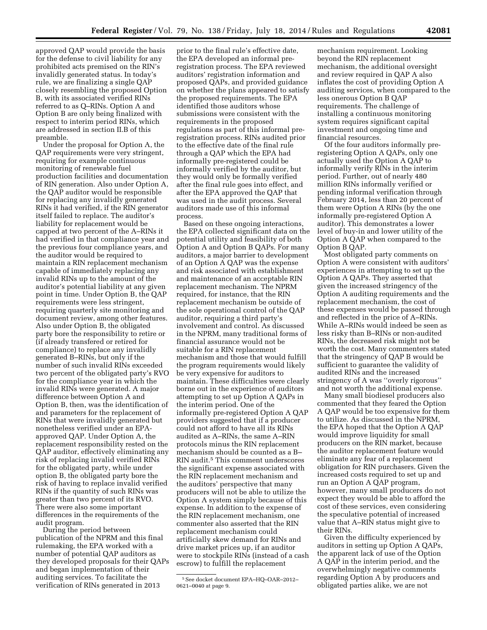approved QAP would provide the basis for the defense to civil liability for any prohibited acts premised on the RIN's invalidly generated status. In today's rule, we are finalizing a single QAP closely resembling the proposed Option B, with its associated verified RINs referred to as Q–RINs. Option A and Option B are only being finalized with respect to interim period RINs, which are addressed in section II.B of this preamble.

Under the proposal for Option A, the QAP requirements were very stringent, requiring for example continuous monitoring of renewable fuel production facilities and documentation of RIN generation. Also under Option A, the QAP auditor would be responsible for replacing any invalidly generated RINs it had verified, if the RIN generator itself failed to replace. The auditor's liability for replacement would be capped at two percent of the A–RINs it had verified in that compliance year and the previous four compliance years, and the auditor would be required to maintain a RIN replacement mechanism capable of immediately replacing any invalid RINs up to the amount of the auditor's potential liability at any given point in time. Under Option B, the QAP requirements were less stringent, requiring quarterly site monitoring and document review, among other features. Also under Option B, the obligated party bore the responsibility to retire or (if already transfered or retired for compliance) to replace any invalidly generated B–RINs, but only if the number of such invalid RINs exceeded two percent of the obligated party's RVO for the compliance year in which the invalid RINs were generated. A major difference between Option A and Option B, then, was the identification of and parameters for the replacement of RINs that were invalidly generated but nonetheless verified under an EPAapproved QAP. Under Option A, the replacement responsibility rested on the QAP auditor, effectively eliminating any risk of replacing invalid verified RINs for the obligated party, while under option B, the obligated party bore the risk of having to replace invalid verified RINs if the quantity of such RINs was greater than two percent of its RVO. There were also some important differences in the requirements of the audit program.

During the period between publication of the NPRM and this final rulemaking, the EPA worked with a number of potential QAP auditors as they developed proposals for their QAPs and began implementation of their auditing services. To facilitate the verification of RINs generated in 2013

prior to the final rule's effective date, the EPA developed an informal preregistration process. The EPA reviewed auditors' registration information and proposed QAPs, and provided guidance on whether the plans appeared to satisfy the proposed requirements. The EPA identified those auditors whose submissions were consistent with the requirements in the proposed regulations as part of this informal preregistration process. RINs audited prior to the effective date of the final rule through a QAP which the EPA had informally pre-registered could be informally verified by the auditor, but they would only be formally verified after the final rule goes into effect, and after the EPA approved the QAP that was used in the audit process. Several auditors made use of this informal process.

Based on these ongoing interactions, the EPA collected significant data on the potential utility and feasibility of both Option A and Option B QAPs. For many auditors, a major barrier to development of an Option A QAP was the expense and risk associated with establishment and maintenance of an acceptable RIN replacement mechanism. The NPRM required, for instance, that the RIN replacement mechanism be outside of the sole operational control of the QAP auditor, requiring a third party's involvement and control. As discussed in the NPRM, many traditional forms of financial assurance would not be suitable for a RIN replacement mechanism and those that would fulfill the program requirements would likely be very expensive for auditors to maintain. These difficulties were clearly borne out in the experience of auditors attempting to set up Option A QAPs in the interim period. One of the informally pre-registered Option A QAP providers suggested that if a producer could not afford to have all its RINs audited as A–RINs, the same A–RIN protocols minus the RIN replacement mechanism should be counted as a B– RIN audit.5 This comment underscores the significant expense associated with the RIN replacement mechanism and the auditors' perspective that many producers will not be able to utilize the Option A system simply because of this expense. In addition to the expense of the RIN replacement mechanism, one commenter also asserted that the RIN replacement mechanism could artificially skew demand for RINs and drive market prices up, if an auditor were to stockpile RINs (instead of a cash escrow) to fulfill the replacement

mechanism requirement. Looking beyond the RIN replacement mechanism, the additional oversight and review required in QAP A also inflates the cost of providing Option A auditing services, when compared to the less onerous Option B QAP requirements. The challenge of installing a continuous monitoring system requires significant capital investment and ongoing time and financial resources.

Of the four auditors informally preregistering Option A QAPs, only one actually used the Option A QAP to informally verify RINs in the interim period. Further, out of nearly 480 million RINs informally verified or pending informal verification through February 2014, less than 20 percent of them were Option A RINs (by the one informally pre-registered Option A auditor). This demonstrates a lower level of buy-in and lower utility of the Option A QAP when compared to the Option B QAP.

Most obligated party comments on Option A were consistent with auditors' experiences in attempting to set up the Option A QAPs. They asserted that given the increased stringency of the Option A auditing requirements and the replacement mechanism, the cost of these expenses would be passed through and reflected in the price of A–RINs. While A–RINs would indeed be seen as less risky than B–RINs or non-audited RINs, the decreased risk might not be worth the cost. Many commenters stated that the stringency of QAP B would be sufficient to guarantee the validity of audited RINs and the increased stringency of A was ''overly rigorous'' and not worth the additional expense.

Many small biodiesel producers also commented that they feared the Option A QAP would be too expensive for them to utilize. As discussed in the NPRM, the EPA hoped that the Option A QAP would improve liquidity for small producers on the RIN market, because the auditor replacement feature would eliminate any fear of a replacement obligation for RIN purchasers. Given the increased costs required to set up and run an Option A QAP program, however, many small producers do not expect they would be able to afford the cost of these services, even considering the speculative potential of increased value that A–RIN status might give to their RINs.

Given the difficulty experienced by auditors in setting up Option A QAPs, the apparent lack of use of the Option A QAP in the interim period, and the overwhelmingly negative comments regarding Option A by producers and obligated parties alike, we are not

<sup>5</sup>See docket document EPA–HQ–OAR–2012– 0621–0040 at page 9.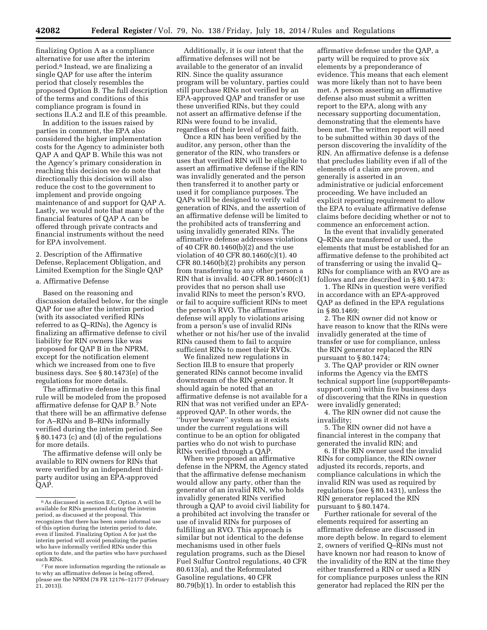finalizing Option A as a compliance alternative for use after the interim period.6 Instead, we are finalizing a single QAP for use after the interim period that closely resembles the proposed Option B. The full description of the terms and conditions of this compliance program is found in sections II.A.2 and II.E of this preamble.

In addition to the issues raised by parties in comment, the EPA also considered the higher implementation costs for the Agency to administer both QAP A and QAP B. While this was not the Agency's primary consideration in reaching this decision we do note that directionally this decision will also reduce the cost to the government to implement and provide ongoing maintenance of and support for QAP A. Lastly, we would note that many of the financial features of QAP A can be offered through private contracts and financial instruments without the need for EPA involvement.

2. Description of the Affirmative Defense, Replacement Obligation, and Limited Exemption for the Single QAP

# a. Affirmative Defense

Based on the reasoning and discussion detailed below, for the single QAP for use after the interim period (with its associated verified RINs referred to as Q–RINs), the Agency is finalizing an affirmative defense to civil liability for RIN owners like was proposed for QAP B in the NPRM, except for the notification element which we increased from one to five business days. See § 80.1473(e) of the regulations for more details.

The affirmative defense in this final rule will be modeled from the proposed affirmative defense for QAP B.7 Note that there will be an affirmative defense for A–RINs and B–RINs informally verified during the interim period. See § 80.1473 (c) and (d) of the regulations for more details.

The affirmative defense will only be available to RIN owners for RINs that were verified by an independent thirdparty auditor using an EPA-approved QAP.

Additionally, it is our intent that the affirmative defenses will not be available to the generator of an invalid RIN. Since the quality assurance program will be voluntary, parties could still purchase RINs not verified by an EPA-approved QAP and transfer or use these unverified RINs, but they could not assert an affirmative defense if the RINs were found to be invalid, regardless of their level of good faith.

Once a RIN has been verified by the auditor, any person, other than the generator of the RIN, who transfers or uses that verified RIN will be eligible to assert an affirmative defense if the RIN was invalidly generated and the person then transferred it to another party or used it for compliance purposes. The QAPs will be designed to verify valid generation of RINs, and the assertion of an affirmative defense will be limited to the prohibited acts of transferring and using invalidly generated RINs. The affirmative defense addresses violations of 40 CFR 80.1460(b)(2) and the use violation of 40 CFR 80.1460(c)(1). 40 CFR 80.1460(b)(2) prohibits any person from transferring to any other person a RIN that is invalid.  $40$  CFR  $80.1460(c)(1)$ provides that no person shall use invalid RINs to meet the person's RVO, or fail to acquire sufficient RINs to meet the person's RVO. The affirmative defense will apply to violations arising from a person's use of invalid RINs whether or not his/her use of the invalid RINs caused them to fail to acquire sufficient RINs to meet their RVOs.

We finalized new regulations in Section III.B to ensure that properly generated RINs cannot become invalid downstream of the RIN generator. It should again be noted that an affirmative defense is not available for a RIN that was not verified under an EPAapproved QAP. In other words, the ''buyer beware'' system as it exists under the current regulations will continue to be an option for obligated parties who do not wish to purchase RINs verified through a QAP.

When we proposed an affirmative defense in the NPRM, the Agency stated that the affirmative defense mechanism would allow any party, other than the generator of an invalid RIN, who holds invalidly generated RINs verified through a QAP to avoid civil liability for a prohibited act involving the transfer or use of invalid RINs for purposes of fulfilling an RVO. This approach is similar but not identical to the defense mechanisms used in other fuels regulation programs, such as the Diesel Fuel Sulfur Control regulations, 40 CFR 80.613(a), and the Reformulated Gasoline regulations, 40 CFR 80.79(b)(1). In order to establish this

affirmative defense under the QAP, a party will be required to prove six elements by a preponderance of evidence. This means that each element was more likely than not to have been met. A person asserting an affirmative defense also must submit a written report to the EPA, along with any necessary supporting documentation, demonstrating that the elements have been met. The written report will need to be submitted within 30 days of the person discovering the invalidity of the RIN. An affirmative defense is a defense that precludes liability even if all of the elements of a claim are proven, and generally is asserted in an administrative or judicial enforcement proceeding. We have included an explicit reporting requirement to allow the EPA to evaluate affirmative defense claims before deciding whether or not to commence an enforcement action.

In the event that invalidly generated Q–RINs are transferred or used, the elements that must be established for an affirmative defense to the prohibited act of transferring or using the invalid Q– RINs for compliance with an RVO are as follows and are described in § 80.1473:

1. The RINs in question were verified in accordance with an EPA-approved QAP as defined in the EPA regulations in § 80.1469;

2. The RIN owner did not know or have reason to know that the RINs were invalidly generated at the time of transfer or use for compliance, unless the RIN generator replaced the RIN pursuant to § 80.1474;

3. The QAP provider or RIN owner informs the Agency via the EMTS technical support line [\(support@epamts](mailto:support@epamts-support.com)[support.com\)](mailto:support@epamts-support.com) within five business days of discovering that the RINs in question were invalidly generated;

4. The RIN owner did not cause the invalidity;

5. The RIN owner did not have a financial interest in the company that generated the invalid RIN; and

6. If the RIN owner used the invalid RINs for compliance, the RIN owner adjusted its records, reports, and compliance calculations in which the invalid RIN was used as required by regulations (see § 80.1431), unless the RIN generator replaced the RIN pursuant to § 80.1474.

Further rationale for several of the elements required for asserting an affirmative defense are discussed in more depth below. In regard to element 2, owners of verified Q–RINs must not have known nor had reason to know of the invalidity of the RIN at the time they either transferred a RIN or used a RIN for compliance purposes unless the RIN generator had replaced the RIN per the

<sup>6</sup>As discussed in section II.C, Option A will be available for RINs generated during the interim period, as discussed at the proposal. This recognizes that there has been some informal use of this option during the interim period to date, even if limited. Finalizing Option A for just the interim period will avoid penalizing the parties who have informally verified RINs under this option to date, and the parties who have purchased such RINs.

<sup>7</sup>For more information regarding the rationale as to why an affirmative defense is being offered, please see the NPRM (78 FR 12176-12177 (February  $21, 2013$ )).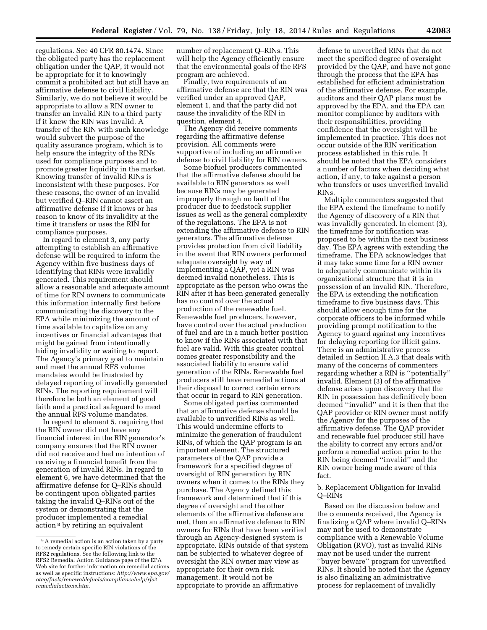regulations. See 40 CFR 80.1474. Since the obligated party has the replacement obligation under the QAP, it would not be appropriate for it to knowingly commit a prohibited act but still have an affirmative defense to civil liability. Similarly, we do not believe it would be appropriate to allow a RIN owner to transfer an invalid RIN to a third party if it knew the RIN was invalid. A transfer of the RIN with such knowledge would subvert the purpose of the quality assurance program, which is to help ensure the integrity of the RINs used for compliance purposes and to promote greater liquidity in the market. Knowing transfer of invalid RINs is inconsistent with these purposes. For these reasons, the owner of an invalid but verified Q–RIN cannot assert an affirmative defense if it knows or has reason to know of its invalidity at the time it transfers or uses the RIN for compliance purposes.

In regard to element 3, any party attempting to establish an affirmative defense will be required to inform the Agency within five business days of identifying that RINs were invalidly generated. This requirement should allow a reasonable and adequate amount of time for RIN owners to communicate this information internally first before communicating the discovery to the EPA while minimizing the amount of time available to capitalize on any incentives or financial advantages that might be gained from intentionally hiding invalidity or waiting to report. The Agency's primary goal to maintain and meet the annual RFS volume mandates would be frustrated by delayed reporting of invalidly generated RINs. The reporting requirement will therefore be both an element of good faith and a practical safeguard to meet the annual RFS volume mandates.

In regard to element 5, requiring that the RIN owner did not have any financial interest in the RIN generator's company ensures that the RIN owner did not receive and had no intention of receiving a financial benefit from the generation of invalid RINs. In regard to element 6, we have determined that the affirmative defense for Q–RINs should be contingent upon obligated parties taking the invalid Q–RINs out of the system or demonstrating that the producer implemented a remedial action 8 by retiring an equivalent

number of replacement Q–RINs. This will help the Agency efficiently ensure that the environmental goals of the RFS program are achieved.

Finally, two requirements of an affirmative defense are that the RIN was verified under an approved QAP, element 1, and that the party did not cause the invalidity of the RIN in question, element 4.

The Agency did receive comments regarding the affirmative defense provision. All comments were supportive of including an affirmative defense to civil liability for RIN owners.

Some biofuel producers commented that the affirmative defense should be available to RIN generators as well because RINs may be generated improperly through no fault of the producer due to feedstock supplier issues as well as the general complexity of the regulations. The EPA is not extending the affirmative defense to RIN generators. The affirmative defense provides protection from civil liability in the event that RIN owners performed adequate oversight by way of implementing a QAP, yet a RIN was deemed invalid nonetheless. This is appropriate as the person who owns the RIN after it has been generated generally has no control over the actual production of the renewable fuel. Renewable fuel producers, however, have control over the actual production of fuel and are in a much better position to know if the RINs associated with that fuel are valid. With this greater control comes greater responsibility and the associated liability to ensure valid generation of the RINs. Renewable fuel producers still have remedial actions at their disposal to correct certain errors that occur in regard to RIN generation.

Some obligated parties commented that an affirmative defense should be available to unverified RINs as well. This would undermine efforts to minimize the generation of fraudulent RINs, of which the QAP program is an important element. The structured parameters of the QAP provide a framework for a specified degree of oversight of RIN generation by RIN owners when it comes to the RINs they purchase. The Agency defined this framework and determined that if this degree of oversight and the other elements of the affirmative defense are met, then an affirmative defense to RIN owners for RINs that have been verified through an Agency-designed system is appropriate. RINs outside of that system can be subjected to whatever degree of oversight the RIN owner may view as appropriate for their own risk management. It would not be appropriate to provide an affirmative

defense to unverified RINs that do not meet the specified degree of oversight provided by the QAP, and have not gone through the process that the EPA has established for efficient administration of the affirmative defense. For example, auditors and their QAP plans must be approved by the EPA, and the EPA can monitor compliance by auditors with their responsibilities, providing confidence that the oversight will be implemented in practice. This does not occur outside of the RIN verification process established in this rule. It should be noted that the EPA considers a number of factors when deciding what action, if any, to take against a person who transfers or uses unverified invalid RINs.

Multiple commenters suggested that the EPA extend the timeframe to notify the Agency of discovery of a RIN that was invalidly generated. In element (3), the timeframe for notification was proposed to be within the next business day. The EPA agrees with extending the timeframe. The EPA acknowledges that it may take some time for a RIN owner to adequately communicate within its organizational structure that it is in possession of an invalid RIN. Therefore, the EPA is extending the notification timeframe to five business days. This should allow enough time for the corporate officers to be informed while providing prompt notification to the Agency to guard against any incentives for delaying reporting for illicit gains. There is an administrative process detailed in Section II.A.3 that deals with many of the concerns of commenters regarding whether a RIN is ''potentially'' invalid. Element (3) of the affirmative defense arises upon discovery that the RIN in possession has definitively been deemed ''invalid'' and it is then that the QAP provider or RIN owner must notify the Agency for the purposes of the affirmative defense. The QAP provider and renewable fuel producer still have the ability to correct any errors and/or perform a remedial action prior to the RIN being deemed ''invalid'' and the RIN owner being made aware of this fact.

b. Replacement Obligation for Invalid Q–RINs

Based on the discussion below and the comments received, the Agency is finalizing a QAP where invalid Q–RINs may not be used to demonstrate compliance with a Renewable Volume Obligation (RVO), just as invalid RINs may not be used under the current ''buyer beware'' program for unverified RINs. It should be noted that the Agency is also finalizing an administrative process for replacement of invalidly

<sup>&</sup>lt;sup>8</sup> A remedial action is an action taken by a party to remedy certain specific RIN violations of the RFS2 regulations. See the following link to the RFS2 Remedial Action Guidance page of the EPA Web site for further information on remedial actions as well as specific instructions: *[http://www.epa.gov/](http://www.epa.gov/otaq/fuels/renewablefuels/compliancehelp/rfs2remedialactions.htm) [otaq/fuels/renewablefuels/compliancehelp/rfs2](http://www.epa.gov/otaq/fuels/renewablefuels/compliancehelp/rfs2remedialactions.htm) [remedialactions.htm](http://www.epa.gov/otaq/fuels/renewablefuels/compliancehelp/rfs2remedialactions.htm)*.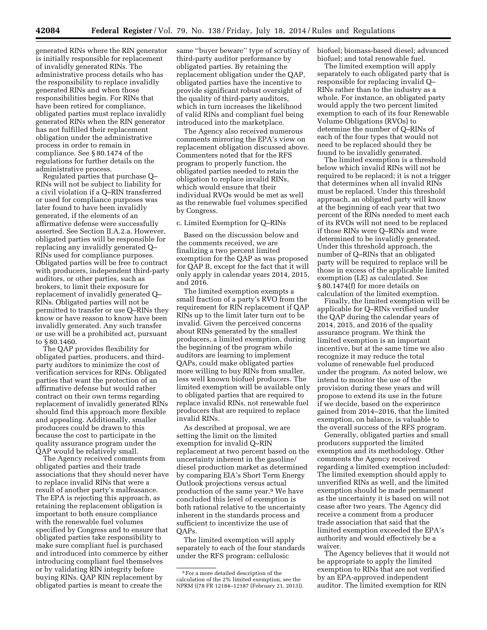generated RINs where the RIN generator is initially responsible for replacement of invalidly generated RINs. The administrative process details who has the responsibility to replace invalidly generated RINs and when those responsibilities begin. For RINs that have been retired for compliance, obligated parties must replace invalidly generated RINs when the RIN generator has not fulfilled their replacement obligation under the administrative process in order to remain in compliance. See § 80.1474 of the regulations for further details on the administrative process.

Regulated parties that purchase Q– RINs will not be subject to liability for a civil violation if a Q–RIN transferred or used for compliance purposes was later found to have been invalidly generated, if the elements of an affirmative defense were successfully asserted. See Section II.A.2.a. However, obligated parties will be responsible for replacing any invalidly generated Q– RINs used for compliance purposes. Obligated parties will be free to contract with producers, independent third-party auditors, or other parties, such as brokers, to limit their exposure for replacement of invalidly generated Q– RINs. Obligated parties will not be permitted to transfer or use Q–RINs they know or have reason to know have been invalidly generated. Any such transfer or use will be a prohibited act, pursuant to § 80.1460.

The QAP provides flexibility for obligated parties, producers, and thirdparty auditors to minimize the cost of verification services for RINs. Obligated parties that want the protection of an affirmative defense but would rather contract on their own terms regarding replacement of invalidly generated RINs should find this approach more flexible and appealing. Additionally, smaller producers could be drawn to this because the cost to participate in the quality assurance program under the QAP would be relatively small.

The Agency received comments from obligated parties and their trade associations that they should never have to replace invalid RINs that were a result of another party's malfeasance. The EPA is rejecting this approach, as retaining the replacement obligation is important to both ensure compliance with the renewable fuel volumes specified by Congress and to ensure that obligated parties take responsibility to make sure compliant fuel is purchased and introduced into commerce by either introducing compliant fuel themselves or by validating RIN integrity before buying RINs. QAP RIN replacement by obligated parties is meant to create the

same ''buyer beware'' type of scrutiny of third-party auditor performance by obligated parties. By retaining the replacement obligation under the QAP, obligated parties have the incentive to provide significant robust oversight of the quality of third-party auditors, which in turn increases the likelihood of valid RINs and compliant fuel being introduced into the marketplace.

The Agency also received numerous comments mirroring the EPA's view on replacement obligation discussed above. Commenters noted that for the RFS program to properly function, the obligated parties needed to retain the obligation to replace invalid RINs, which would ensure that their individual RVOs would be met as well as the renewable fuel volumes specified by Congress.

# c. Limited Exemption for Q–RINs

Based on the discussion below and the comments received, we are finalizing a two percent limited exemption for the QAP as was proposed for QAP B, except for the fact that it will only apply in calendar years 2014, 2015, and 2016.

The limited exemption exempts a small fraction of a party's RVO from the requirement for RIN replacement if QAP RINs up to the limit later turn out to be invalid. Given the perceived concerns about RINs generated by the smallest producers, a limited exemption, during the beginning of the program while auditors are learning to implement QAPs, could make obligated parties more willing to buy RINs from smaller, less well known biofuel producers. The limited exemption will be available only to obligated parties that are required to replace invalid RINs, not renewable fuel producers that are required to replace invalid RINs.

As described at proposal, we are setting the limit on the limited exemption for invalid Q–RIN replacement at two percent based on the uncertainty inherent in the gasoline/ diesel production market as determined by comparing EIA's Short Term Energy Outlook projections versus actual production of the same year.9 We have concluded this level of exemption is both rational relative to the uncertainty inherent in the standards process and sufficient to incentivize the use of QAPs.

The limited exemption will apply separately to each of the four standards under the RFS program: cellulosic

biofuel; biomass-based diesel; advanced biofuel; and total renewable fuel.

The limited exemption will apply separately to each obligated party that is responsible for replacing invalid Q– RINs rather than to the industry as a whole. For instance, an obligated party would apply the two percent limited exemption to each of its four Renewable Volume Obligations (RVOs) to determine the number of Q–RINs of each of the four types that would not need to be replaced should they be found to be invalidly generated.

The limited exemption is a threshold below which invalid RINs will not be required to be replaced; it is not a trigger that determines when all invalid RINs must be replaced. Under this threshold approach, an obligated party will know at the beginning of each year that two percent of the RINs needed to meet each of its RVOs will not need to be replaced if those RINs were Q–RINs and were determined to be invalidly generated. Under this threshold approach, the number of Q–RINs that an obligated party will be required to replace will be those in excess of the applicable limited exemption (LE) as calculated. See § 80.1474(f) for more details on calculation of the limited exemption.

Finally, the limited exemption will be applicable for Q–RINs verified under the QAP during the calendar years of 2014, 2015, and 2016 of the quality assurance program. We think the limited exemption is an important incentive, but at the same time we also recognize it may reduce the total volume of renewable fuel produced under the program. As noted below, we intend to monitor the use of the provision during these years and will propose to extend its use in the future if we decide, based on the experience gained from 2014–2016, that the limited exemption, on balance, is valuable to the overall success of the RFS program.

Generally, obligated parties and small producers supported the limited exemption and its methodology. Other comments the Agency received regarding a limited exemption included: The limited exemption should apply to unverified RINs as well, and the limited exemption should be made permanent as the uncertainty it is based on will not cease after two years. The Agency did receive a comment from a producer trade association that said that the limited exemption exceeded the EPA's authority and would effectively be a waiver.

The Agency believes that it would not be appropriate to apply the limited exemption to RINs that are not verified by an EPA-approved independent auditor. The limited exemption for RIN

<sup>9</sup>For a more detailed description of the calculation of the 2% limited exemption, see the NPRM ((78 FR 12184–12187 (February 21, 2013)).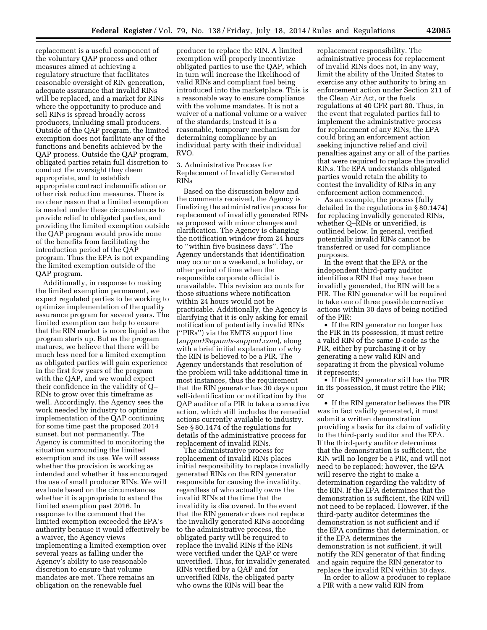replacement is a useful component of the voluntary QAP process and other measures aimed at achieving a regulatory structure that facilitates reasonable oversight of RIN generation, adequate assurance that invalid RINs will be replaced, and a market for RINs where the opportunity to produce and sell RINs is spread broadly across producers, including small producers. Outside of the QAP program, the limited exemption does not facilitate any of the functions and benefits achieved by the QAP process. Outside the QAP program, obligated parties retain full discretion to conduct the oversight they deem appropriate, and to establish appropriate contract indemnification or other risk reduction measures. There is no clear reason that a limited exemption is needed under these circumstances to provide relief to obligated parties, and providing the limited exemption outside the QAP program would provide none of the benefits from facilitating the introduction period of the QAP program. Thus the EPA is not expanding the limited exemption outside of the QAP program.

Additionally, in response to making the limited exemption permanent, we expect regulated parties to be working to optimize implementation of the quality assurance program for several years. The limited exemption can help to ensure that the RIN market is more liquid as the program starts up. But as the program matures, we believe that there will be much less need for a limited exemption as obligated parties will gain experience in the first few years of the program with the QAP, and we would expect their confidence in the validity of Q– RINs to grow over this timeframe as well. Accordingly, the Agency sees the work needed by industry to optimize implementation of the QAP continuing for some time past the proposed 2014 sunset, but not permanently. The Agency is committed to monitoring the situation surrounding the limited exemption and its use. We will assess whether the provision is working as intended and whether it has encouraged the use of small producer RINs. We will evaluate based on the circumstances whether it is appropriate to extend the limited exemption past 2016. In response to the comment that the limited exemption exceeded the EPA's authority because it would effectively be a waiver, the Agency views implementing a limited exemption over several years as falling under the Agency's ability to use reasonable discretion to ensure that volume mandates are met. There remains an obligation on the renewable fuel

producer to replace the RIN. A limited exemption will properly incentivize obligated parties to use the QAP, which in turn will increase the likelihood of valid RINs and compliant fuel being introduced into the marketplace. This is a reasonable way to ensure compliance with the volume mandates. It is not a waiver of a national volume or a waiver of the standards; instead it is a reasonable, temporary mechanism for determining compliance by an individual party with their individual RVO.

3. Administrative Process for Replacement of Invalidly Generated RINs

Based on the discussion below and the comments received, the Agency is finalizing the administrative process for replacement of invalidly generated RINs as proposed with minor changes and clarification. The Agency is changing the notification window from 24 hours to ''within five business days''. The Agency understands that identification may occur on a weekend, a holiday, or other period of time when the responsible corporate official is unavailable. This revision accounts for those situations where notification within 24 hours would not be practicable. Additionally, the Agency is clarifying that it is only asking for email notification of potentially invalid RINs (''PIRs'') via the EMTS support line (*[support@epamts-support.com](mailto:support@epamts-support.com)*), along with a brief initial explanation of why the RIN is believed to be a PIR. The Agency understands that resolution of the problem will take additional time in most instances, thus the requirement that the RIN generator has 30 days upon self-identification or notification by the QAP auditor of a PIR to take a corrective action, which still includes the remedial actions currently available to industry. See § 80.1474 of the regulations for details of the administrative process for replacement of invalid RINs.

The administrative process for replacement of invalid RINs places initial responsibility to replace invalidly generated RINs on the RIN generator responsible for causing the invalidity, regardless of who actually owns the invalid RINs at the time that the invalidity is discovered. In the event that the RIN generator does not replace the invalidly generated RINs according to the administrative process, the obligated party will be required to replace the invalid RINs if the RINs were verified under the QAP or were unverified. Thus, for invalidly generated RINs verified by a QAP and for unverified RINs, the obligated party who owns the RINs will bear the

replacement responsibility. The administrative process for replacement of invalid RINs does not, in any way, limit the ability of the United States to exercise any other authority to bring an enforcement action under Section 211 of the Clean Air Act, or the fuels regulations at 40 CFR part 80. Thus, in the event that regulated parties fail to implement the administrative process for replacement of any RINs, the EPA could bring an enforcement action seeking injunctive relief and civil penalties against any or all of the parties that were required to replace the invalid RINs. The EPA understands obligated parties would retain the ability to contest the invalidity of RINs in any enforcement action commenced.

As an example, the process (fully detailed in the regulations in § 80.1474) for replacing invalidly generated RINs, whether Q–RINs or unverified, is outlined below. In general, verified potentially invalid RINs cannot be transferred or used for compliance purposes.

In the event that the EPA or the independent third-party auditor identifies a RIN that may have been invalidly generated, the RIN will be a PIR. The RIN generator will be required to take one of three possible corrective actions within 30 days of being notified of the PIR:

• If the RIN generator no longer has the PIR in its possession, it must retire a valid RIN of the same D-code as the PIR, either by purchasing it or by generating a new valid RIN and separating it from the physical volume it represents;

• If the RIN generator still has the PIR in its possession, it must retire the PIR; or

• If the RIN generator believes the PIR was in fact validly generated, it must submit a written demonstration providing a basis for its claim of validity to the third-party auditor and the EPA. If the third-party auditor determines that the demonstration is sufficient, the RIN will no longer be a PIR, and will not need to be replaced; however, the EPA will reserve the right to make a determination regarding the validity of the RIN. If the EPA determines that the demonstration is sufficient, the RIN will not need to be replaced. However, if the third-party auditor determines the demonstration is not sufficient and if the EPA confirms that determination, or if the EPA determines the demonstration is not sufficient, it will notify the RIN generator of that finding and again require the RIN generator to replace the invalid RIN within 30 days.

In order to allow a producer to replace a PIR with a new valid RIN from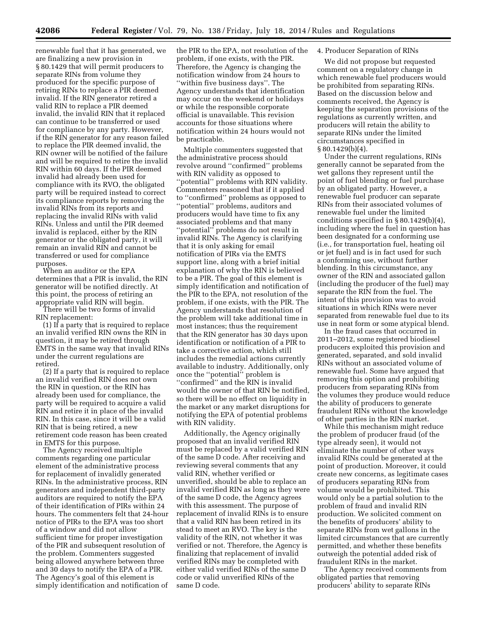renewable fuel that it has generated, we are finalizing a new provision in § 80.1429 that will permit producers to separate RINs from volume they produced for the specific purpose of retiring RINs to replace a PIR deemed invalid. If the RIN generator retired a valid RIN to replace a PIR deemed invalid, the invalid RIN that it replaced can continue to be transferred or used for compliance by any party. However, if the RIN generator for any reason failed to replace the PIR deemed invalid, the RIN owner will be notified of the failure and will be required to retire the invalid RIN within 60 days. If the PIR deemed invalid had already been used for compliance with its RVO, the obligated party will be required instead to correct its compliance reports by removing the invalid RINs from its reports and replacing the invalid RINs with valid RINs. Unless and until the PIR deemed invalid is replaced, either by the RIN generator or the obligated party, it will remain an invalid RIN and cannot be transferred or used for compliance purposes.

When an auditor or the EPA determines that a PIR is invalid, the RIN generator will be notified directly. At this point, the process of retiring an appropriate valid RIN will begin.

There will be two forms of invalid RIN replacement:

(1) If a party that is required to replace an invalid verified RIN owns the RIN in question, it may be retired through EMTS in the same way that invalid RINs under the current regulations are retired.

(2) If a party that is required to replace an invalid verified RIN does not own the RIN in question, or the RIN has already been used for compliance, the party will be required to acquire a valid RIN and retire it in place of the invalid RIN. In this case, since it will be a valid RIN that is being retired, a new retirement code reason has been created in EMTS for this purpose.

The Agency received multiple comments regarding one particular element of the administrative process for replacement of invalidly generated RINs. In the administrative process, RIN generators and independent third-party auditors are required to notify the EPA of their identification of PIRs within 24 hours. The commenters felt that 24-hour notice of PIRs to the EPA was too short of a window and did not allow sufficient time for proper investigation of the PIR and subsequent resolution of the problem. Commenters suggested being allowed anywhere between three and 30 days to notify the EPA of a PIR. The Agency's goal of this element is simply identification and notification of the PIR to the EPA, not resolution of the problem, if one exists, with the PIR. Therefore, the Agency is changing the notification window from 24 hours to ''within five business days''. The Agency understands that identification may occur on the weekend or holidays or while the responsible corporate official is unavailable. This revision accounts for those situations where notification within 24 hours would not be practicable.

Multiple commenters suggested that the administrative process should revolve around ''confirmed'' problems with RIN validity as opposed to ''potential'' problems with RIN validity. Commenters reasoned that if it applied to ''confirmed'' problems as opposed to ''potential'' problems, auditors and producers would have time to fix any associated problems and that many ''potential'' problems do not result in invalid RINs. The Agency is clarifying that it is only asking for email notification of PIRs via the EMTS support line, along with a brief initial explanation of why the RIN is believed to be a PIR. The goal of this element is simply identification and notification of the PIR to the EPA, not resolution of the problem, if one exists, with the PIR. The Agency understands that resolution of the problem will take additional time in most instances; thus the requirement that the RIN generator has 30 days upon identification or notification of a PIR to take a corrective action, which still includes the remedial actions currently available to industry. Additionally, only once the ''potential'' problem is ''confirmed'' and the RIN is invalid would the owner of that RIN be notified, so there will be no effect on liquidity in the market or any market disruptions for notifying the EPA of potential problems with RIN validity.

Additionally, the Agency originally proposed that an invalid verified RIN must be replaced by a valid verified RIN of the same D code. After receiving and reviewing several comments that any valid RIN, whether verified or unverified, should be able to replace an invalid verified RIN as long as they were of the same D code, the Agency agrees with this assessment. The purpose of replacement of invalid RINs is to ensure that a valid RIN has been retired in its stead to meet an RVO. The key is the validity of the RIN, not whether it was verified or not. Therefore, the Agency is finalizing that replacement of invalid verified RINs may be completed with either valid verified RINs of the same D code or valid unverified RINs of the same D code.

# 4. Producer Separation of RINs

We did not propose but requested comment on a regulatory change in which renewable fuel producers would be prohibited from separating RINs. Based on the discussion below and comments received, the Agency is keeping the separation provisions of the regulations as currently written, and producers will retain the ability to separate RINs under the limited circumstances specified in § 80.1429(b)(4).

Under the current regulations, RINs generally cannot be separated from the wet gallons they represent until the point of fuel blending or fuel purchase by an obligated party. However, a renewable fuel producer can separate RINs from their associated volumes of renewable fuel under the limited conditions specified in § 80.1429(b)(4), including where the fuel in question has been designated for a conforming use (i.e., for transportation fuel, heating oil or jet fuel) and is in fact used for such a conforming use, without further blending. In this circumstance, any owner of the RIN and associated gallon (including the producer of the fuel) may separate the RIN from the fuel. The intent of this provision was to avoid situations in which RINs were never separated from renewable fuel due to its use in neat form or some atypical blend.

In the fraud cases that occurred in 2011–2012, some registered biodiesel producers exploited this provision and generated, separated, and sold invalid RINs without an associated volume of renewable fuel. Some have argued that removing this option and prohibiting producers from separating RINs from the volumes they produce would reduce the ability of producers to generate fraudulent RINs without the knowledge of other parties in the RIN market.

While this mechanism might reduce the problem of producer fraud (of the type already seen), it would not eliminate the number of other ways invalid RINs could be generated at the point of production. Moreover, it could create new concerns, as legitimate cases of producers separating RINs from volume would be prohibited. This would only be a partial solution to the problem of fraud and invalid RIN production. We solicited comment on the benefits of producers' ability to separate RINs from wet gallons in the limited circumstances that are currently permitted, and whether these benefits outweigh the potential added risk of fraudulent RINs in the market.

The Agency received comments from obligated parties that removing producers' ability to separate RINs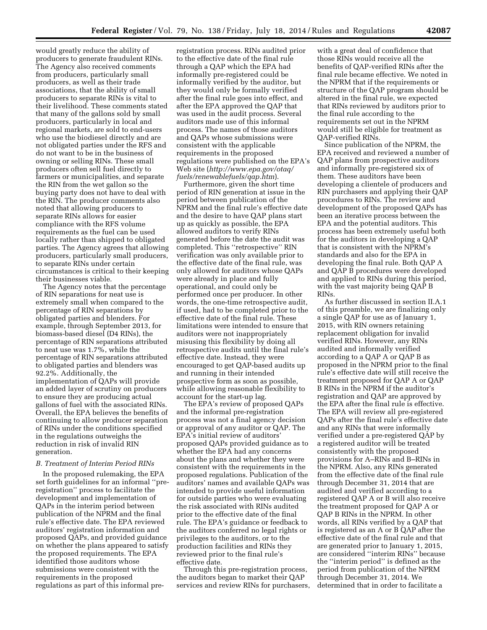would greatly reduce the ability of producers to generate fraudulent RINs. The Agency also received comments from producers, particularly small producers, as well as their trade associations, that the ability of small producers to separate RINs is vital to their livelihood. These comments stated that many of the gallons sold by small producers, particularly in local and regional markets, are sold to end-users who use the biodiesel directly and are not obligated parties under the RFS and do not want to be in the business of owning or selling RINs. These small producers often sell fuel directly to farmers or municipalities, and separate the RIN from the wet gallon so the buying party does not have to deal with the RIN. The producer comments also noted that allowing producers to separate RINs allows for easier compliance with the RFS volume requirements as the fuel can be used locally rather than shipped to obligated parties. The Agency agrees that allowing producers, particularly small producers, to separate RINs under certain circumstances is critical to their keeping their businesses viable.

The Agency notes that the percentage of RIN separations for neat use is extremely small when compared to the percentage of RIN separations by obligated parties and blenders. For example, through September 2013, for biomass-based diesel (D4 RINs), the percentage of RIN separations attributed to neat use was 1.7%, while the percentage of RIN separations attributed to obligated parties and blenders was 92.2%. Additionally, the implementation of QAPs will provide an added layer of scrutiny on producers to ensure they are producing actual gallons of fuel with the associated RINs. Overall, the EPA believes the benefits of continuing to allow producer separation of RINs under the conditions specified in the regulations outweighs the reduction in risk of invalid RIN generation.

#### *B. Treatment of Interim Period RINs*

In the proposed rulemaking, the EPA set forth guidelines for an informal ''preregistration'' process to facilitate the development and implementation of QAPs in the interim period between publication of the NPRM and the final rule's effective date. The EPA reviewed auditors' registration information and proposed QAPs, and provided guidance on whether the plans appeared to satisfy the proposed requirements. The EPA identified those auditors whose submissions were consistent with the requirements in the proposed regulations as part of this informal pre-

registration process. RINs audited prior to the effective date of the final rule through a QAP which the EPA had informally pre-registered could be informally verified by the auditor, but they would only be formally verified after the final rule goes into effect, and after the EPA approved the QAP that was used in the audit process. Several auditors made use of this informal process. The names of those auditors and QAPs whose submissions were consistent with the applicable requirements in the proposed regulations were published on the EPA's Web site (*[http://www.epa.gov/otaq/](http://www.epa.gov/otaq/fuels/renewablefuels/qap.htm) [fuels/renewablefuels/qap.htm](http://www.epa.gov/otaq/fuels/renewablefuels/qap.htm)*).

Furthermore, given the short time period of RIN generation at issue in the period between publication of the NPRM and the final rule's effective date and the desire to have QAP plans start up as quickly as possible, the EPA allowed auditors to verify RINs generated before the date the audit was completed. This ''retrospective'' RIN verification was only available prior to the effective date of the final rule, was only allowed for auditors whose QAPs were already in place and fully operational, and could only be performed once per producer. In other words, the one-time retrospective audit, if used, had to be completed prior to the effective date of the final rule. These limitations were intended to ensure that auditors were not inappropriately misusing this flexibility by doing all retrospective audits until the final rule's effective date. Instead, they were encouraged to get QAP-based audits up and running in their intended prospective form as soon as possible, while allowing reasonable flexibility to account for the start-up lag.

The EPA's review of proposed QAPs and the informal pre-registration process was not a final agency decision or approval of any auditor or QAP. The EPA's initial review of auditors' proposed QAPs provided guidance as to whether the EPA had any concerns about the plans and whether they were consistent with the requirements in the proposed regulations. Publication of the auditors' names and available QAPs was intended to provide useful information for outside parties who were evaluating the risk associated with RINs audited prior to the effective date of the final rule. The EPA's guidance or feedback to the auditors conferred no legal rights or privileges to the auditors, or to the production facilities and RINs they reviewed prior to the final rule's effective date.

Through this pre-registration process, the auditors began to market their QAP services and review RINs for purchasers,

with a great deal of confidence that those RINs would receive all the benefits of QAP-verified RINs after the final rule became effective. We noted in the NPRM that if the requirements or structure of the QAP program should be altered in the final rule, we expected that RINs reviewed by auditors prior to the final rule according to the requirements set out in the NPRM would still be eligible for treatment as QAP-verified RINs.

Since publication of the NPRM, the EPA received and reviewed a number of QAP plans from prospective auditors and informally pre-registered six of them. These auditors have been developing a clientele of producers and RIN purchasers and applying their QAP procedures to RINs. The review and development of the proposed QAPs has been an iterative process between the EPA and the potential auditors. This process has been extremely useful both for the auditors in developing a QAP that is consistent with the NPRM's standards and also for the EPA in developing the final rule. Both QAP A and QAP B procedures were developed and applied to RINs during this period, with the vast majority being QAP B RINs.

As further discussed in section II.A.1 of this preamble, we are finalizing only a single QAP for use as of January 1, 2015, with RIN owners retaining replacement obligation for invalid verified RINs. However, any RINs audited and informally verified according to a QAP A or QAP B as proposed in the NPRM prior to the final rule's effective date will still receive the treatment proposed for QAP A or QAP B RINs in the NPRM if the auditor's registration and QAP are approved by the EPA after the final rule is effective. The EPA will review all pre-registered QAPs after the final rule's effective date and any RINs that were informally verified under a pre-registered QAP by a registered auditor will be treated consistently with the proposed provisions for A–RINs and B–RINs in the NPRM. Also, any RINs generated from the effective date of the final rule through December 31, 2014 that are audited and verified according to a registered QAP A or B will also receive the treatment proposed for QAP A or QAP B RINs in the NPRM. In other words, all RINs verified by a QAP that is registered as an A or B QAP after the effective date of the final rule and that are generated prior to January 1, 2015, are considered ''interim RINs'' because the ''interim period'' is defined as the period from publication of the NPRM through December 31, 2014. We determined that in order to facilitate a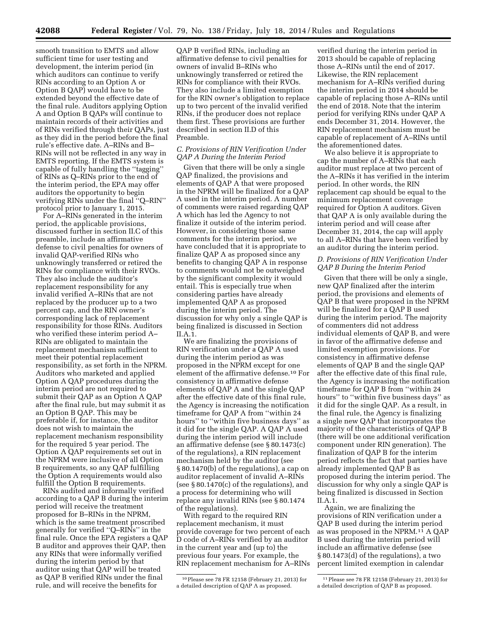smooth transition to EMTS and allow sufficient time for user testing and development, the interim period (in which auditors can continue to verify RINs according to an Option A or Option B QAP) would have to be extended beyond the effective date of the final rule. Auditors applying Option A and Option B QAPs will continue to maintain records of their activities and of RINs verified through their QAPs, just as they did in the period before the final rule's effective date. A–RINs and B– RINs will not be reflected in any way in EMTS reporting. If the EMTS system is capable of fully handling the ''tagging'' of RINs as Q–RINs prior to the end of the interim period, the EPA may offer auditors the opportunity to begin verifying RINs under the final ''Q–RIN'' protocol prior to January 1, 2015.

For A–RINs generated in the interim period, the applicable provisions, discussed further in section II.C of this preamble, include an affirmative defense to civil penalties for owners of invalid QAP-verified RINs who unknowingly transferred or retired the RINs for compliance with their RVOs. They also include the auditor's replacement responsibility for any invalid verified A–RINs that are not replaced by the producer up to a two percent cap, and the RIN owner's corresponding lack of replacement responsibility for those RINs. Auditors who verified these interim period A– RINs are obligated to maintain the replacement mechanism sufficient to meet their potential replacement responsibility, as set forth in the NPRM. Auditors who marketed and applied Option A QAP procedures during the interim period are not required to submit their QAP as an Option A QAP after the final rule, but may submit it as an Option B QAP. This may be preferable if, for instance, the auditor does not wish to maintain the replacement mechanism responsibility for the required 5 year period. The Option A QAP requirements set out in the NPRM were inclusive of all Option B requirements, so any QAP fulfilling the Option A requirements would also fulfill the Option B requirements.

RINs audited and informally verified according to a QAP B during the interim period will receive the treatment proposed for B–RINs in the NPRM, which is the same treatment proscribed generally for verified ''Q–RINs'' in the final rule. Once the EPA registers a QAP B auditor and approves their QAP, then any RINs that were informally verified during the interim period by that auditor using that QAP will be treated as QAP B verified RINs under the final rule, and will receive the benefits for

QAP B verified RINs, including an affirmative defense to civil penalties for owners of invalid B–RINs who unknowingly transferred or retired the RINs for compliance with their RVOs. They also include a limited exemption for the RIN owner's obligation to replace up to two percent of the invalid verified RINs, if the producer does not replace them first. These provisions are further described in section II.D of this Preamble.

# *C. Provisions of RIN Verification Under QAP A During the Interim Period*

Given that there will be only a single QAP finalized, the provisions and elements of QAP A that were proposed in the NPRM will be finalized for a QAP A used in the interim period. A number of comments were raised regarding QAP A which has led the Agency to not finalize it outside of the interim period. However, in considering those same comments for the interim period, we have concluded that it is appropriate to finalize QAP A as proposed since any benefits to changing QAP A in response to comments would not be outweighed by the significant complexity it would entail. This is especially true when considering parties have already implemented QAP A as proposed during the interim period. The discussion for why only a single QAP is being finalized is discussed in Section II.A.1.

We are finalizing the provisions of RIN verification under a QAP A used during the interim period as was proposed in the NPRM except for one element of the affirmative defense.10 For consistency in affirmative defense elements of QAP A and the single QAP after the effective date of this final rule, the Agency is increasing the notification timeframe for QAP A from ''within 24 hours'' to ''within five business days'' as it did for the single QAP. A QAP A used during the interim period will include an affirmative defense (see § 80.1473(c) of the regulations), a RIN replacement mechanism held by the auditor (see § 80.1470(b) of the regulations), a cap on auditor replacement of invalid A–RINs (see § 80.1470(c) of the regulations), and a process for determining who will replace any invalid RINs (see § 80.1474 of the regulations).

With regard to the required RIN replacement mechanism, it must provide coverage for two percent of each D code of A–RINs verified by an auditor in the current year and (up to) the previous four years. For example, the RIN replacement mechanism for A–RINs

verified during the interim period in 2013 should be capable of replacing those A–RINs until the end of 2017. Likewise, the RIN replacement mechanism for A–RINs verified during the interim period in 2014 should be capable of replacing those A–RINs until the end of 2018. Note that the interim period for verifying RINs under QAP A ends December 31, 2014. However, the RIN replacement mechanism must be capable of replacement of A–RINs until the aforementioned dates.

We also believe it is appropriate to cap the number of A–RINs that each auditor must replace at two percent of the A–RINs it has verified in the interim period. In other words, the RIN replacement cap should be equal to the minimum replacement coverage required for Option A auditors. Given that QAP A is only available during the interim period and will cease after December 31, 2014, the cap will apply to all A–RINs that have been verified by an auditor during the interim period.

# *D. Provisions of RIN Verification Under QAP B During the Interim Period*

Given that there will be only a single, new QAP finalized after the interim period, the provisions and elements of QAP B that were proposed in the NPRM will be finalized for a QAP B used during the interim period. The majority of commenters did not address individual elements of QAP B, and were in favor of the affirmative defense and limited exemption provisions. For consistency in affirmative defense elements of QAP B and the single QAP after the effective date of this final rule, the Agency is increasing the notification timeframe for QAP B from ''within 24 hours'' to ''within five business days'' as it did for the single QAP. As a result, in the final rule, the Agency is finalizing a single new QAP that incorporates the majority of the characteristics of QAP B (there will be one additional verification component under RIN generation). The finalization of QAP B for the interim period reflects the fact that parties have already implemented QAP B as proposed during the interim period. The discussion for why only a single QAP is being finalized is discussed in Section II.A.1.

Again, we are finalizing the provisions of RIN verification under a QAP B used during the interim period as was proposed in the NPRM.11 A QAP B used during the interim period will include an affirmative defense (see § 80.1473(d) of the regulations), a two percent limited exemption in calendar

<sup>10</sup>Please see 78 FR 12158 (February 21, 2013) for a detailed description of QAP A as proposed.

<sup>11</sup>Please see 78 FR 12158 (February 21, 2013) for a detailed description of QAP B as proposed.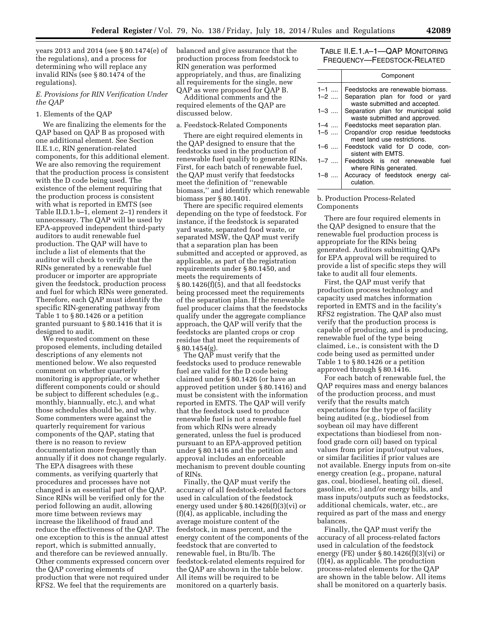years 2013 and 2014 (see § 80.1474(e) of the regulations), and a process for determining who will replace any invalid RINs (see § 80.1474 of the regulations).

*E. Provisions for RIN Verification Under the QAP* 

#### 1. Elements of the QAP

We are finalizing the elements for the QAP based on QAP B as proposed with one additional element. See Section II.E.1.c, RIN generation-related components, for this additional element. We are also removing the requirement that the production process is consistent with the D code being used. The existence of the element requiring that the production process is consistent with what is reported in EMTS (see Table II.D.1.b–1, element 2–1) renders it unnecessary. The QAP will be used by EPA-approved independent third-party auditors to audit renewable fuel production. The QAP will have to include a list of elements that the auditor will check to verify that the RINs generated by a renewable fuel producer or importer are appropriate given the feedstock, production process and fuel for which RINs were generated. Therefore, each QAP must identify the specific RIN-generating pathway from Table 1 to § 80.1426 or a petition granted pursuant to § 80.1416 that it is designed to audit.

We requested comment on these proposed elements, including detailed descriptions of any elements not mentioned below. We also requested comment on whether quarterly monitoring is appropriate, or whether different components could or should be subject to different schedules (e.g., monthly, biannually, etc.), and what those schedules should be, and why. Some commenters were against the quarterly requirement for various components of the QAP, stating that there is no reason to review documentation more frequently than annually if it does not change regularly. The EPA disagrees with these comments, as verifying quarterly that procedures and processes have not changed is an essential part of the QAP. Since RINs will be verified only for the period following an audit, allowing more time between reviews may increase the likelihood of fraud and reduce the effectiveness of the QAP. The one exception to this is the annual attest report, which is submitted annually, and therefore can be reviewed annually. Other comments expressed concern over the QAP covering elements of production that were not required under RFS2. We feel that the requirements are

balanced and give assurance that the production process from feedstock to RIN generation was performed appropriately, and thus, are finalizing all requirements for the single, new QAP as were proposed for QAP B.

Additional comments and the required elements of the QAP are discussed below.

# a. Feedstock-Related Components

There are eight required elements in the QAP designed to ensure that the feedstocks used in the production of renewable fuel qualify to generate RINs. First, for each batch of renewable fuel, the QAP must verify that feedstocks meet the definition of ''renewable biomass,'' and identify which renewable biomass per § 80.1401.

There are specific required elements depending on the type of feedstock. For instance, if the feedstock is separated yard waste, separated food waste, or separated MSW, the QAP must verify that a separation plan has been submitted and accepted or approved, as applicable, as part of the registration requirements under § 80.1450, and meets the requirements of § 80.1426(f)(5), and that all feedstocks being processed meet the requirements of the separation plan. If the renewable fuel producer claims that the feedstocks qualify under the aggregate compliance approach, the QAP will verify that the feedstocks are planted crops or crop residue that meet the requirements of  $§ 80.1454(g).$ 

The QAP must verify that the feedstocks used to produce renewable fuel are valid for the D code being claimed under § 80.1426 (or have an approved petition under § 80.1416) and must be consistent with the information reported in EMTS. The QAP will verify that the feedstock used to produce renewable fuel is not a renewable fuel from which RINs were already generated, unless the fuel is produced pursuant to an EPA-approved petition under § 80.1416 and the petition and approval includes an enforceable mechanism to prevent double counting of RINs.

Finally, the QAP must verify the accuracy of all feedstock-related factors used in calculation of the feedstock energy used under § 80.1426(f)(3)(vi) or (f)(4), as applicable, including the average moisture content of the feedstock, in mass percent, and the energy content of the components of the feedstock that are converted to renewable fuel, in Btu/lb. The feedstock-related elements required for the QAP are shown in the table below. All items will be required to be monitored on a quarterly basis.

# TABLE II.E.1.A–1—QAP MONITORING FREQUENCY—FEEDSTOCK-RELATED

|         | Component                           |
|---------|-------------------------------------|
| $1 - 1$ | Feedstocks are renewable biomass.   |
| $1 - 2$ | Separation plan for food or yard    |
|         | waste submitted and accepted.       |
| $1 - 3$ | Separation plan for municipal solid |
|         | waste submitted and approved.       |
| $1 - 4$ | Feedstocks meet separation plan.    |
| $1 - 5$ | Cropand/or crop residue feedstocks  |
|         | meet land use restrictions.         |
| $1 - 6$ | Feedstock valid for D code, con-    |
|         | sistent with EMTS.                  |
| $1 - 7$ | Feedstock is not renewable fuel     |
|         | where RINs generated.               |
| 1–8…    | Accuracy of feedstock energy cal-   |
|         | culation.                           |

b. Production Process-Related Components

There are four required elements in the QAP designed to ensure that the renewable fuel production process is appropriate for the RINs being generated. Auditors submitting QAPs for EPA approval will be required to provide a list of specific steps they will take to audit all four elements.

First, the QAP must verify that production process technology and capacity used matches information reported in EMTS and in the facility's RFS2 registration. The QAP also must verify that the production process is capable of producing, and is producing, renewable fuel of the type being claimed, i.e., is consistent with the D code being used as permitted under Table 1 to § 80.1426 or a petition approved through § 80.1416.

For each batch of renewable fuel, the QAP requires mass and energy balances of the production process, and must verify that the results match expectations for the type of facility being audited (e.g., biodiesel from soybean oil may have different expectations than biodiesel from nonfood grade corn oil) based on typical values from prior input/output values, or similar facilities if prior values are not available. Energy inputs from on-site energy creation (e.g., propane, natural gas, coal, biodiesel, heating oil, diesel, gasoline, etc.) and/or energy bills, and mass inputs/outputs such as feedstocks, additional chemicals, water, etc., are required as part of the mass and energy balances.

Finally, the QAP must verify the accuracy of all process-related factors used in calculation of the feedstock energy (FE) under § 80.1426(f)(3)(vi) or (f)(4), as applicable. The production process-related elements for the QAP are shown in the table below. All items shall be monitored on a quarterly basis.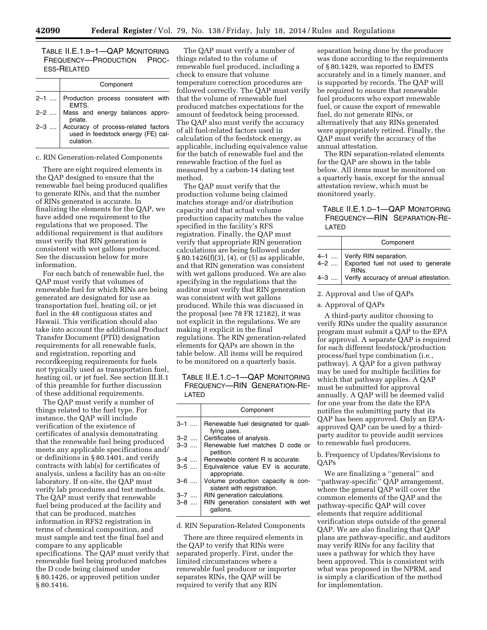TABLE II.E.1.B–1—QAP MONITORING FREQUENCY—PRODUCTION PROC-ESS-RELATED

|         | Component                                                                              |  |  |  |  |  |  |  |
|---------|----------------------------------------------------------------------------------------|--|--|--|--|--|--|--|
|         | 2-1  Production process consistent with<br>EMTS.                                       |  |  |  |  |  |  |  |
|         | 2-2    Mass and energy balances appro-<br>priate.                                      |  |  |  |  |  |  |  |
| $2 - 3$ | Accuracy of process-related factors<br>used in feedstock energy (FE) cal-<br>culation. |  |  |  |  |  |  |  |

#### c. RIN Generation-related Components

There are eight required elements in the QAP designed to ensure that the renewable fuel being produced qualifies to generate RINs, and that the number of RINs generated is accurate. In finalizing the elements for the QAP, we have added one requirement to the regulations that we proposed. The additional requirement is that auditors must verify that RIN generation is consistent with wet gallons produced. See the discussion below for more information.

For each batch of renewable fuel, the QAP must verify that volumes of renewable fuel for which RINs are being generated are designated for use as transportation fuel, heating oil, or jet fuel in the 48 contiguous states and Hawaii. This verification should also take into account the additional Product Transfer Document (PTD) designation requirements for all renewable fuels, and registration, reporting and recordkeeping requirements for fuels not typically used as transportation fuel, heating oil, or jet fuel. See section III.B.1 of this preamble for further discussion of these additional requirements.

The QAP must verify a number of things related to the fuel type. For instance, the QAP will include verification of the existence of certificates of analysis demonstrating that the renewable fuel being produced meets any applicable specifications and/ or definitions in § 80.1401, and verify contracts with lab(s) for certificates of analysis, unless a facility has an on-site laboratory. If on-site, the QAP must verify lab procedures and test methods. The QAP must verify that renewable fuel being produced at the facility and that can be produced, matches information in RFS2 registration in terms of chemical composition, and must sample and test the final fuel and compare to any applicable specifications. The QAP must verify that renewable fuel being produced matches the D code being claimed under § 80.1426, or approved petition under § 80.1416.

The QAP must verify a number of things related to the volume of renewable fuel produced, including a check to ensure that volume temperature correction procedures are followed correctly. The QAP must verify that the volume of renewable fuel produced matches expectations for the amount of feedstock being processed. The QAP also must verify the accuracy of all fuel-related factors used in calculation of the feedstock energy, as applicable, including equivalence value for the batch of renewable fuel and the renewable fraction of the fuel as measured by a carbon-14 dating test method.

The QAP must verify that the production volume being claimed matches storage and/or distribution capacity and that actual volume production capacity matches the value specified in the facility's RFS registration. Finally, the QAP must verify that appropriate RIN generation calculations are being followed under § 80.1426(f)(3), (4), or (5) as applicable, and that RIN generation was consistent with wet gallons produced. We are also specifying in the regulations that the auditor must verify that RIN generation was consistent with wet gallons produced. While this was discussed in the proposal (see 78 FR 12182), it was not explicit in the regulations. We are making it explicit in the final regulations. The RIN generation-related elements for QAPs are shown in the table below. All items will be required to be monitored on a quarterly basis.

TABLE II.E.1.C–1—QAP MONITORING FREQUENCY—RIN GENERATION-RE-LATED

|         | Component                                                        |  |  |  |  |  |
|---------|------------------------------------------------------------------|--|--|--|--|--|
| $3 - 1$ | Renewable fuel designated for quali-<br>fying uses.              |  |  |  |  |  |
| $3 - 2$ | Certificates of analysis.                                        |  |  |  |  |  |
| $3 - 3$ | Renewable fuel matches D code or<br>petition.                    |  |  |  |  |  |
| $3 - 4$ | Renewable content R is accurate.                                 |  |  |  |  |  |
| $3 - 5$ | Equivalence value EV is accurate.<br>appropriate.                |  |  |  |  |  |
| $3 - 6$ | Volume production capacity is con-<br>sistent with registration. |  |  |  |  |  |
| 3–7     | RIN generation calculations.                                     |  |  |  |  |  |
| $3 - 8$ | RIN generation consistent with wet<br>gallons.                   |  |  |  |  |  |

#### d. RIN Separation-Related Components

There are three required elements in the QAP to verify that RINs were separated properly. First, under the limited circumstances where a renewable fuel producer or importer separates RINs, the QAP will be required to verify that any RIN

separation being done by the producer was done according to the requirements of § 80.1429, was reported to EMTS accurately and in a timely manner, and is supported by records. The QAP will be required to ensure that renewable fuel producers who export renewable fuel, or cause the export of renewable fuel, do not generate RINs, or alternatively that any RINs generated were appropriately retired. Finally, the QAP must verify the accuracy of the annual attestation.

The RIN separation-related elements for the QAP are shown in the table below. All items must be monitored on a quarterly basis, except for the annual attestation review, which must be monitored yearly.

# TABLE II.E.1.D–1—QAP MONITORING FREQUENCY—RIN SEPARATION-RE-LATED

| Component                                                                      |  |  |  |  |  |  |
|--------------------------------------------------------------------------------|--|--|--|--|--|--|
|                                                                                |  |  |  |  |  |  |
| $4-1$ Verify RIN separation.<br>$4-2$ Exported fuel not used to generate RINs. |  |  |  |  |  |  |
| 4-3  Verify accuracy of annual attestation.                                    |  |  |  |  |  |  |

#### 2. Approval and Use of QAPs

# a. Approval of QAPs

A third-party auditor choosing to verify RINs under the quality assurance program must submit a QAP to the EPA for approval. A separate QAP is required for each different feedstock/production process/fuel type combination (i.e., pathway). A QAP for a given pathway may be used for multiple facilities for which that pathway applies. A QAP must be submitted for approval annually. A QAP will be deemed valid for one year from the date the EPA notifies the submitting party that its QAP has been approved. Only an EPAapproved QAP can be used by a thirdparty auditor to provide audit services to renewable fuel producers.

# b. Frequency of Updates/Revisions to QAPs

We are finalizing a ''general'' and ''pathway-specific'' QAP arrangement, where the general QAP will cover the common elements of the QAP and the pathway-specific QAP will cover elements that require additional verification steps outside of the general QAP. We are also finalizing that QAP plans are pathway-specific, and auditors may verify RINs for any facility that uses a pathway for which they have been approved. This is consistent with what was proposed in the NPRM, and is simply a clarification of the method for implementation.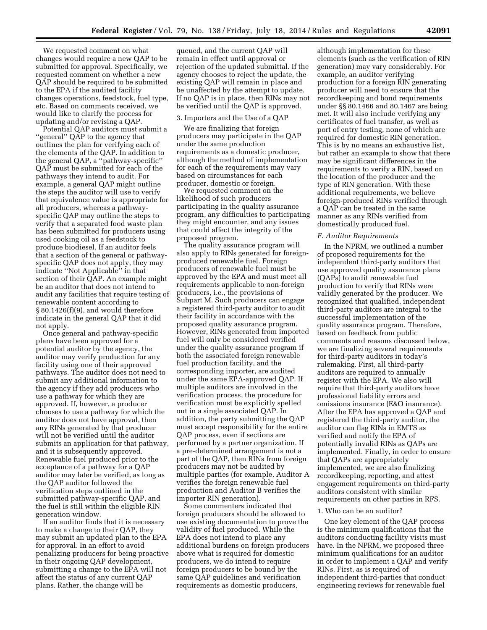We requested comment on what changes would require a new QAP to be submitted for approval. Specifically, we requested comment on whether a new QAP should be required to be submitted to the EPA if the audited facility changes operations, feedstock, fuel type, etc. Based on comments received, we would like to clarify the process for updating and/or revising a QAP.

Potential QAP auditors must submit a ''general'' QAP to the agency that outlines the plan for verifying each of the elements of the QAP. In addition to the general QAP, a ''pathway-specific'' QAP must be submitted for each of the pathways they intend to audit. For example, a general QAP might outline the steps the auditor will use to verify that equivalence value is appropriate for all producers, whereas a pathwayspecific QAP may outline the steps to verify that a separated food waste plan has been submitted for producers using used cooking oil as a feedstock to produce biodiesel. If an auditor feels that a section of the general or pathwayspecific QAP does not apply, they may indicate ''Not Applicable'' in that section of their QAP. An example might be an auditor that does not intend to audit any facilities that require testing of renewable content according to § 80.1426(f)(9), and would therefore indicate in the general QAP that it did not apply.

Once general and pathway-specific plans have been approved for a potential auditor by the agency, the auditor may verify production for any facility using one of their approved pathways. The auditor does not need to submit any additional information to the agency if they add producers who use a pathway for which they are approved. If, however, a producer chooses to use a pathway for which the auditor does not have approval, then any RINs generated by that producer will not be verified until the auditor submits an application for that pathway, and it is subsequently approved. Renewable fuel produced prior to the acceptance of a pathway for a QAP auditor may later be verified, as long as the QAP auditor followed the verification steps outlined in the submitted pathway-specific QAP, and the fuel is still within the eligible RIN generation window.

If an auditor finds that it is necessary to make a change to their QAP, they may submit an updated plan to the EPA for approval. In an effort to avoid penalizing producers for being proactive in their ongoing QAP development, submitting a change to the EPA will not affect the status of any current QAP plans. Rather, the change will be

queued, and the current QAP will remain in effect until approval or rejection of the updated submittal. If the agency chooses to reject the update, the existing QAP will remain in place and be unaffected by the attempt to update. If no QAP is in place, then RINs may not be verified until the QAP is approved.

#### 3. Importers and the Use of a QAP

We are finalizing that foreign producers may participate in the QAP under the same production requirements as a domestic producer, although the method of implementation for each of the requirements may vary based on circumstances for each producer, domestic or foreign.

We requested comment on the likelihood of such producers participating in the quality assurance program, any difficulties to participating they might encounter, and any issues that could affect the integrity of the proposed program.

The quality assurance program will also apply to RINs generated for foreignproduced renewable fuel. Foreign producers of renewable fuel must be approved by the EPA and must meet all requirements applicable to non-foreign producers, i.e., the provisions of Subpart M. Such producers can engage a registered third-party auditor to audit their facility in accordance with the proposed quality assurance program. However, RINs generated from imported fuel will only be considered verified under the quality assurance program if both the associated foreign renewable fuel production facility, and the corresponding importer, are audited under the same EPA-approved QAP. If multiple auditors are involved in the verification process, the procedure for verification must be explicitly spelled out in a single associated QAP. In addition, the party submitting the QAP must accept responsibility for the entire QAP process, even if sections are performed by a partner organization. If a pre-determined arrangement is not a part of the QAP, then RINs from foreign producers may not be audited by multiple parties (for example, Auditor A verifies the foreign renewable fuel production and Auditor B verifies the importer RIN generation).

Some commenters indicated that foreign producers should be allowed to use existing documentation to prove the validity of fuel produced. While the EPA does not intend to place any additional burdens on foreign producers above what is required for domestic producers, we do intend to require foreign producers to be bound by the same QAP guidelines and verification requirements as domestic producers,

although implementation for these elements (such as the verification of RIN generation) may vary considerably. For example, an auditor verifying production for a foreign RIN generating producer will need to ensure that the recordkeeping and bond requirements under §§ 80.1466 and 80.1467 are being met. It will also include verifying any certificates of fuel transfer, as well as port of entry testing, none of which are required for domestic RIN generation. This is by no means an exhaustive list, but rather an example to show that there may be significant differences in the requirements to verify a RIN, based on the location of the producer and the type of RIN generation. With these additional requirements, we believe foreign-produced RINs verified through a QAP can be treated in the same manner as any RINs verified from domestically produced fuel.

#### *F. Auditor Requirements*

In the NPRM, we outlined a number of proposed requirements for the independent third-party auditors that use approved quality assurance plans (QAPs) to audit renewable fuel production to verify that RINs were validly generated by the producer. We recognized that qualified, independent third-party auditors are integral to the successful implementation of the quality assurance program. Therefore, based on feedback from public comments and reasons discussed below, we are finalizing several requirements for third-party auditors in today's rulemaking. First, all third-party auditors are required to annually register with the EPA. We also will require that third-party auditors have professional liability errors and omissions insurance (E&O insurance). After the EPA has approved a QAP and registered the third-party auditor, the auditor can flag RINs in EMTS as verified and notify the EPA of potentially invalid RINs as QAPs are implemented. Finally, in order to ensure that QAPs are appropriately implemented, we are also finalizing recordkeeping, reporting, and attest engagement requirements on third-party auditors consistent with similar requirements on other parties in RFS.

# 1. Who can be an auditor?

One key element of the QAP process is the minimum qualifications that the auditors conducting facility visits must have. In the NPRM, we proposed three minimum qualifications for an auditor in order to implement a QAP and verify RINs. First, as is required of independent third-parties that conduct engineering reviews for renewable fuel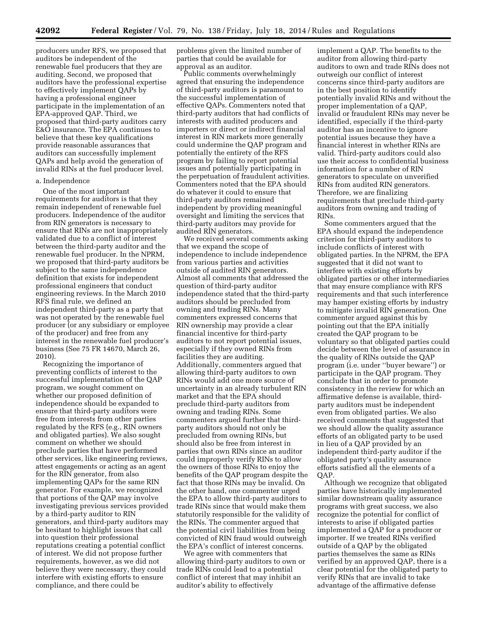producers under RFS, we proposed that auditors be independent of the renewable fuel producers that they are auditing. Second, we proposed that auditors have the professional expertise to effectively implement QAPs by having a professional engineer participate in the implementation of an EPA-approved QAP. Third, we proposed that third-party auditors carry E&O insurance. The EPA continues to believe that these key qualifications provide reasonable assurances that auditors can successfully implement QAPs and help avoid the generation of invalid RINs at the fuel producer level.

# a. Independence

One of the most important requirements for auditors is that they remain independent of renewable fuel producers. Independence of the auditor from RIN generators is necessary to ensure that RINs are not inappropriately validated due to a conflict of interest between the third-party auditor and the renewable fuel producer. In the NPRM, we proposed that third-party auditors be subject to the same independence definition that exists for independent professional engineers that conduct engineering reviews. In the March 2010 RFS final rule, we defined an independent third-party as a party that was not operated by the renewable fuel producer (or any subsidiary or employee of the producer) and free from any interest in the renewable fuel producer's business (See 75 FR 14670, March 26, 2010).

Recognizing the importance of preventing conflicts of interest to the successful implementation of the QAP program, we sought comment on whether our proposed definition of independence should be expanded to ensure that third-party auditors were free from interests from other parties regulated by the RFS (e.g., RIN owners and obligated parties). We also sought comment on whether we should preclude parties that have performed other services, like engineering reviews, attest engagements or acting as an agent for the RIN generator, from also implementing QAPs for the same RIN generator. For example, we recognized that portions of the QAP may involve investigating previous services provided by a third-party auditor to RIN generators, and third-party auditors may be hesitant to highlight issues that call into question their professional reputations creating a potential conflict of interest. We did not propose further requirements, however, as we did not believe they were necessary, they could interfere with existing efforts to ensure compliance, and there could be

problems given the limited number of parties that could be available for approval as an auditor.

Public comments overwhelmingly agreed that ensuring the independence of third-party auditors is paramount to the successful implementation of effective QAPs. Commenters noted that third-party auditors that had conflicts of interests with audited producers and importers or direct or indirect financial interest in RIN markets more generally could undermine the QAP program and potentially the entirety of the RFS program by failing to report potential issues and potentially participating in the perpetuation of fraudulent activities. Commenters noted that the EPA should do whatever it could to ensure that third-party auditors remained independent by providing meaningful oversight and limiting the services that third-party auditors may provide for audited RIN generators.

We received several comments asking that we expand the scope of independence to include independence from various parties and activities outside of audited RIN generators. Almost all comments that addressed the question of third-party auditor independence stated that the third-party auditors should be precluded from owning and trading RINs. Many commenters expressed concerns that RIN ownership may provide a clear financial incentive for third-party auditors to not report potential issues, especially if they owned RINs from facilities they are auditing. Additionally, commenters argued that allowing third-party auditors to own RINs would add one more source of uncertainty in an already turbulent RIN market and that the EPA should preclude third-party auditors from owning and trading RINs. Some commenters argued further that thirdparty auditors should not only be precluded from owning RINs, but should also be free from interest in parties that own RINs since an auditor could improperly verify RINs to allow the owners of those RINs to enjoy the benefits of the QAP program despite the fact that those RINs may be invalid. On the other hand, one commenter urged the EPA to allow third-party auditors to trade RINs since that would make them statutorily responsible for the validity of the RINs. The commenter argued that the potential civil liabilities from being convicted of RIN fraud would outweigh the EPA's conflict of interest concerns.

We agree with commenters that allowing third-party auditors to own or trade RINs could lead to a potential conflict of interest that may inhibit an auditor's ability to effectively

implement a QAP. The benefits to the auditor from allowing third-party auditors to own and trade RINs does not outweigh our conflict of interest concerns since third-party auditors are in the best position to identify potentially invalid RINs and without the proper implementation of a QAP, invalid or fraudulent RINs may never be identified, especially if the third-party auditor has an incentive to ignore potential issues because they have a financial interest in whether RINs are valid. Third-party auditors could also use their access to confidential business information for a number of RIN generators to speculate on unverified RINs from audited RIN generators. Therefore, we are finalizing requirements that preclude third-party auditors from owning and trading of RINs.

Some commenters argued that the EPA should expand the independence criterion for third-party auditors to include conflicts of interest with obligated parties. In the NPRM, the EPA suggested that it did not want to interfere with existing efforts by obligated parties or other intermediaries that may ensure compliance with RFS requirements and that such interference may hamper existing efforts by industry to mitigate invalid RIN generation. One commenter argued against this by pointing out that the EPA initially created the QAP program to be voluntary so that obligated parties could decide between the level of assurance in the quality of RINs outside the QAP program (i.e. under ''buyer beware'') or participate in the QAP program. They conclude that in order to promote consistency in the review for which an affirmative defense is available, thirdparty auditors must be independent even from obligated parties. We also received comments that suggested that we should allow the quality assurance efforts of an obligated party to be used in lieu of a QAP provided by an independent third-party auditor if the obligated party's quality assurance efforts satisfied all the elements of a QAP.

Although we recognize that obligated parties have historically implemented similar downstream quality assurance programs with great success, we also recognize the potential for conflict of interests to arise if obligated parties implemented a QAP for a producer or importer. If we treated RINs verified outside of a QAP by the obligated parties themselves the same as RINs verified by an approved QAP, there is a clear potential for the obligated party to verify RINs that are invalid to take advantage of the affirmative defense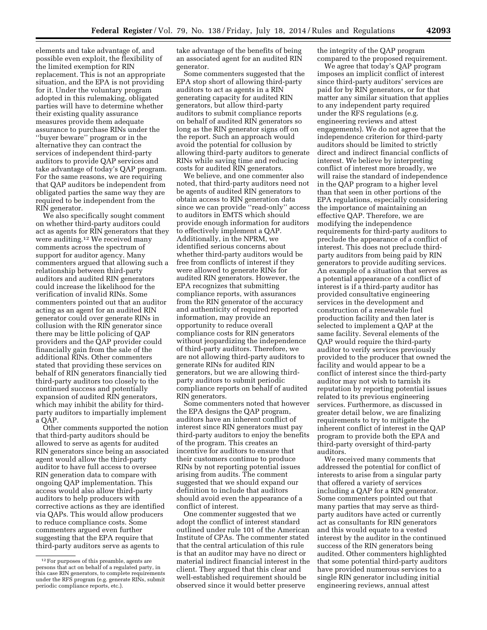elements and take advantage of, and possible even exploit, the flexibility of the limited exemption for RIN replacement. This is not an appropriate situation, and the EPA is not providing for it. Under the voluntary program adopted in this rulemaking, obligated parties will have to determine whether their existing quality assurance measures provide them adequate assurance to purchase RINs under the ''buyer beware'' program or in the alternative they can contract the services of independent third-party auditors to provide QAP services and take advantage of today's QAP program. For the same reasons, we are requiring that QAP auditors be independent from obligated parties the same way they are required to be independent from the RIN generator.

We also specifically sought comment on whether third-party auditors could act as agents for RIN generators that they were auditing.12 We received many comments across the spectrum of support for auditor agency. Many commenters argued that allowing such a relationship between third-party auditors and audited RIN generators could increase the likelihood for the verification of invalid RINs. Some commenters pointed out that an auditor acting as an agent for an audited RIN generator could over generate RINs in collusion with the RIN generator since there may be little policing of QAP providers and the QAP provider could financially gain from the sale of the additional RINs. Other commenters stated that providing these services on behalf of RIN generators financially tied third-party auditors too closely to the continued success and potentially expansion of audited RIN generators, which may inhibit the ability for thirdparty auditors to impartially implement a QAP.

Other comments supported the notion that third-party auditors should be allowed to serve as agents for audited RIN generators since being an associated agent would allow the third-party auditor to have full access to oversee RIN generation data to compare with ongoing QAP implementation. This access would also allow third-party auditors to help producers with corrective actions as they are identified via QAPs. This would allow producers to reduce compliance costs. Some commenters argued even further suggesting that the EPA require that third-party auditors serve as agents to

take advantage of the benefits of being an associated agent for an audited RIN generator.

Some commenters suggested that the EPA stop short of allowing third-party auditors to act as agents in a RIN generating capacity for audited RIN generators, but allow third-party auditors to submit compliance reports on behalf of audited RIN generators so long as the RIN generator signs off on the report. Such an approach would avoid the potential for collusion by allowing third-party auditors to generate RINs while saving time and reducing costs for audited RIN generators.

We believe, and one commenter also noted, that third-party auditors need not be agents of audited RIN generators to obtain access to RIN generation data since we can provide ''read-only'' access to auditors in EMTS which should provide enough information for auditors to effectively implement a QAP. Additionally, in the NPRM, we identified serious concerns about whether third-party auditors would be free from conflicts of interest if they were allowed to generate RINs for audited RIN generators. However, the EPA recognizes that submitting compliance reports, with assurances from the RIN generator of the accuracy and authenticity of required reported information, may provide an opportunity to reduce overall compliance costs for RIN generators without jeopardizing the independence of third-party auditors. Therefore, we are not allowing third-party auditors to generate RINs for audited RIN generators, but we are allowing thirdparty auditors to submit periodic compliance reports on behalf of audited RIN generators.

Some commenters noted that however the EPA designs the QAP program, auditors have an inherent conflict of interest since RIN generators must pay third-party auditors to enjoy the benefits of the program. This creates an incentive for auditors to ensure that their customers continue to produce RINs by not reporting potential issues arising from audits. The comment suggested that we should expand our definition to include that auditors should avoid even the appearance of a conflict of interest.

One commenter suggested that we adopt the conflict of interest standard outlined under rule 101 of the American Institute of CPAs. The commenter stated that the central articulation of this rule is that an auditor may have no direct or material indirect financial interest in the client. They argued that this clear and well-established requirement should be observed since it would better preserve

the integrity of the QAP program compared to the proposed requirement.

We agree that today's QAP program imposes an implicit conflict of interest since third-party auditors' services are paid for by RIN generators, or for that matter any similar situation that applies to any independent party required under the RFS regulations (e.g. engineering reviews and attest engagements). We do not agree that the independence criterion for third-party auditors should be limited to strictly direct and indirect financial conflicts of interest. We believe by interpreting conflict of interest more broadly, we will raise the standard of independence in the QAP program to a higher level than that seen in other portions of the EPA regulations, especially considering the importance of maintaining an effective QAP. Therefore, we are modifying the independence requirements for third-party auditors to preclude the appearance of a conflict of interest. This does not preclude thirdparty auditors from being paid by RIN generators to provide auditing services. An example of a situation that serves as a potential appearance of a conflict of interest is if a third-party auditor has provided consultative engineering services in the development and construction of a renewable fuel production facility and then later is selected to implement a QAP at the same facility. Several elements of the QAP would require the third-party auditor to verify services previously provided to the producer that owned the facility and would appear to be a conflict of interest since the third-party auditor may not wish to tarnish its reputation by reporting potential issues related to its previous engineering services. Furthermore, as discussed in greater detail below, we are finalizing requirements to try to mitigate the inherent conflict of interest in the QAP program to provide both the EPA and third-party oversight of third-party auditors.

We received many comments that addressed the potential for conflict of interests to arise from a singular party that offered a variety of services including a QAP for a RIN generator. Some commenters pointed out that many parties that may serve as thirdparty auditors have acted or currently act as consultants for RIN generators and this would equate to a vested interest by the auditor in the continued success of the RIN generators being audited. Other commenters highlighted that some potential third-party auditors have provided numerous services to a single RIN generator including initial engineering reviews, annual attest

<sup>12</sup>For purposes of this preamble, agents are persons that act on behalf of a regulated party, in this case RIN generators, to complete requirements under the RFS program (e.g. generate RINs, submit periodic compliance reports, etc.).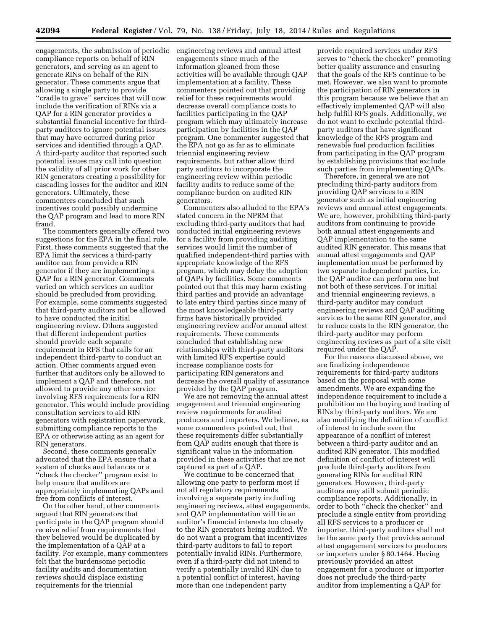engagements, the submission of periodic engineering reviews and annual attest compliance reports on behalf of RIN generators, and serving as an agent to generate RINs on behalf of the RIN generator. These comments argue that allowing a single party to provide ''cradle to grave'' services that will now include the verification of RINs via a QAP for a RIN generator provides a substantial financial incentive for thirdparty auditors to ignore potential issues that may have occurred during prior services and identified through a QAP. A third-party auditor that reported such potential issues may call into question the validity of all prior work for other RIN generators creating a possibility for cascading losses for the auditor and RIN generators. Ultimately, these commenters concluded that such incentives could possibly undermine the QAP program and lead to more RIN fraud.

The commenters generally offered two suggestions for the EPA in the final rule. First, these comments suggested that the EPA limit the services a third-party auditor can from provide a RIN generator if they are implementing a QAP for a RIN generator. Comments varied on which services an auditor should be precluded from providing. For example, some comments suggested that third-party auditors not be allowed to have conducted the initial engineering review. Others suggested that different independent parties should provide each separate requirement in RFS that calls for an independent third-party to conduct an action. Other comments argued even further that auditors only be allowed to implement a QAP and therefore, not allowed to provide any other service involving RFS requirements for a RIN generator. This would include providing consultation services to aid RIN generators with registration paperwork, submitting compliance reports to the EPA or otherwise acting as an agent for RIN generators.

Second, these comments generally advocated that the EPA ensure that a system of checks and balances or a ''check the checker'' program exist to help ensure that auditors are appropriately implementing QAPs and free from conflicts of interest.

On the other hand, other comments argued that RIN generators that participate in the QAP program should receive relief from requirements that they believed would be duplicated by the implementation of a QAP at a facility. For example, many commenters felt that the burdensome periodic facility audits and documentation reviews should displace existing requirements for the triennial

engagements since much of the information gleaned from these activities will be available through QAP implementation at a facility. These commenters pointed out that providing relief for these requirements would decrease overall compliance costs to facilities participating in the QAP program which may ultimately increase participation by facilities in the QAP program. One commenter suggested that the EPA not go as far as to eliminate triennial engineering review requirements, but rather allow third party auditors to incorporate the engineering review within periodic facility audits to reduce some of the compliance burden on audited RIN generators.

Commenters also alluded to the EPA's stated concern in the NPRM that excluding third-party auditors that had conducted initial engineering reviews for a facility from providing auditing services would limit the number of qualified independent-third parties with appropriate knowledge of the RFS program, which may delay the adoption of QAPs by facilities. Some comments pointed out that this may harm existing third parties and provide an advantage to late entry third parties since many of the most knowledgeable third-party firms have historically provided engineering review and/or annual attest requirements. These comments concluded that establishing new relationships with third-party auditors with limited RFS expertise could increase compliance costs for participating RIN generators and decrease the overall quality of assurance provided by the QAP program.

We are not removing the annual attest engagement and triennial engineering review requirements for audited producers and importers. We believe, as some commenters pointed out, that these requirements differ substantially from QAP audits enough that there is significant value in the information provided in these activities that are not captured as part of a QAP.

We continue to be concerned that allowing one party to perform most if not all regulatory requirements involving a separate party including engineering reviews, attest engagements, and QAP implementation will tie an auditor's financial interests too closely to the RIN generators being audited. We do not want a program that incentivizes third-party auditors to fail to report potentially invalid RINs. Furthermore, even if a third-party did not intend to verify a potentially invalid RIN due to a potential conflict of interest, having more than one independent party

provide required services under RFS serves to ''check the checker'' promoting better quality assurance and ensuring that the goals of the RFS continue to be met. However, we also want to promote the participation of RIN generators in this program because we believe that an effectively implemented QAP will also help fulfill RFS goals. Additionally, we do not want to exclude potential thirdparty auditors that have significant knowledge of the RFS program and renewable fuel production facilities from participating in the QAP program by establishing provisions that exclude such parties from implementing QAPs.

Therefore, in general we are not precluding third-party auditors from providing QAP services to a RIN generator such as initial engineering reviews and annual attest engagements. We are, however, prohibiting third-party auditors from continuing to provide both annual attest engagements and QAP implementation to the same audited RIN generator. This means that annual attest engagements and QAP implementation must be performed by two separate independent parties, i.e. the QAP auditor can perform one but not both of these services. For initial and triennial engineering reviews, a third-party auditor may conduct engineering reviews and QAP auditing services to the same RIN generator, and to reduce costs to the RIN generator, the third-party auditor may perform engineering reviews as part of a site visit required under the QAP.

For the reasons discussed above, we are finalizing independence requirements for third-party auditors based on the proposal with some amendments. We are expanding the independence requirement to include a prohibition on the buying and trading of RINs by third-party auditors. We are also modifying the definition of conflict of interest to include even the appearance of a conflict of interest between a third-party auditor and an audited RIN generator. This modified definition of conflict of interest will preclude third-party auditors from generating RINs for audited RIN generators. However, third-party auditors may still submit periodic compliance reports. Additionally, in order to both ''check the checker'' and preclude a single entity from providing all RFS services to a producer or importer, third-party auditors shall not be the same party that provides annual attest engagement services to producers or importers under § 80.1464. Having previously provided an attest engagement for a producer or importer does not preclude the third-party auditor from implementing a QAP for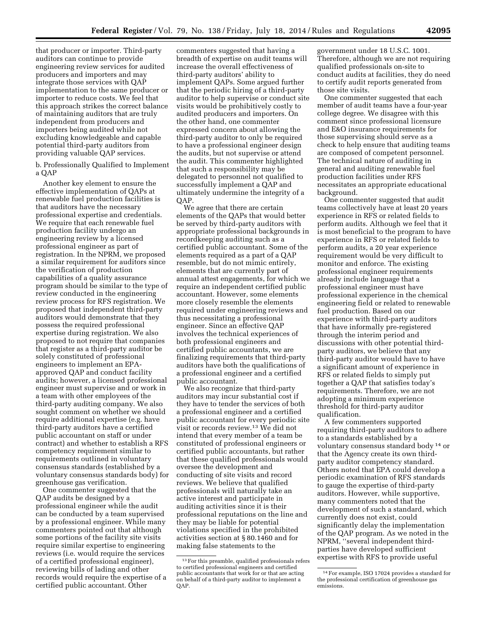that producer or importer. Third-party auditors can continue to provide engineering review services for audited producers and importers and may integrate those services with QAP implementation to the same producer or importer to reduce costs. We feel that this approach strikes the correct balance of maintaining auditors that are truly independent from producers and importers being audited while not excluding knowledgeable and capable potential third-party auditors from providing valuable QAP services.

b. Professionally Qualified to Implement a QAP

Another key element to ensure the effective implementation of QAPs at renewable fuel production facilities is that auditors have the necessary professional expertise and credentials. We require that each renewable fuel production facility undergo an engineering review by a licensed professional engineer as part of registration. In the NPRM, we proposed a similar requirement for auditors since the verification of production capabilities of a quality assurance program should be similar to the type of review conducted in the engineering review process for RFS registration. We proposed that independent third-party auditors would demonstrate that they possess the required professional expertise during registration. We also proposed to not require that companies that register as a third-party auditor be solely constituted of professional engineers to implement an EPAapproved QAP and conduct facility audits; however, a licensed professional engineer must supervise and or work in a team with other employees of the third-party auditing company. We also sought comment on whether we should require additional expertise (e.g. have third-party auditors have a certified public accountant on staff or under contract) and whether to establish a RFS competency requirement similar to requirements outlined in voluntary consensus standards (established by a voluntary consensus standards body) for greenhouse gas verification.

One commenter suggested that the QAP audits be designed by a professional engineer while the audit can be conducted by a team supervised by a professional engineer. While many commenters pointed out that although some portions of the facility site visits require similar expertise to engineering reviews (i.e. would require the services of a certified professional engineer), reviewing bills of lading and other records would require the expertise of a certified public accountant. Other

commenters suggested that having a breadth of expertise on audit teams will increase the overall effectiveness of third-party auditors' ability to implement QAPs. Some argued further that the periodic hiring of a third-party auditor to help supervise or conduct site visits would be prohibitively costly to audited producers and importers. On the other hand, one commenter expressed concern about allowing the third-party auditor to only be required to have a professional engineer design the audits, but not supervise or attend the audit. This commenter highlighted that such a responsibility may be delegated to personnel not qualified to successfully implement a QAP and ultimately undermine the integrity of a QAP.

We agree that there are certain elements of the QAPs that would better be served by third-party auditors with appropriate professional backgrounds in recordkeeping auditing such as a certified public accountant. Some of the elements required as a part of a QAP resemble, but do not mimic entirely, elements that are currently part of annual attest engagements, for which we require an independent certified public accountant. However, some elements more closely resemble the elements required under engineering reviews and thus necessitating a professional engineer. Since an effective QAP involves the technical experiences of both professional engineers and certified public accountants, we are finalizing requirements that third-party auditors have both the qualifications of a professional engineer and a certified public accountant.

We also recognize that third-party auditors may incur substantial cost if they have to tender the services of both a professional engineer and a certified public accountant for every periodic site visit or records review.13 We did not intend that every member of a team be constituted of professional engineers or certified public accountants, but rather that these qualified professionals would oversee the development and conducting of site visits and record reviews. We believe that qualified professionals will naturally take an active interest and participate in auditing activities since it is their professional reputations on the line and they may be liable for potential violations specified in the prohibited activities section at § 80.1460 and for making false statements to the

government under 18 U.S.C. 1001. Therefore, although we are not requiring qualified professionals on-site to conduct audits at facilities, they do need to certify audit reports generated from those site visits.

One commenter suggested that each member of audit teams have a four-year college degree. We disagree with this comment since professional licensure and E&O insurance requirements for those supervising should serve as a check to help ensure that auditing teams are composed of competent personnel. The technical nature of auditing in general and auditing renewable fuel production facilities under RFS necessitates an appropriate educational background.

One commenter suggested that audit teams collectively have at least 20 years experience in RFS or related fields to perform audits. Although we feel that it is most beneficial to the program to have experience in RFS or related fields to perform audits, a 20 year experience requirement would be very difficult to monitor and enforce. The existing professional engineer requirements already include language that a professional engineer must have professional experience in the chemical engineering field or related to renewable fuel production. Based on our experience with third-party auditors that have informally pre-registered through the interim period and discussions with other potential thirdparty auditors, we believe that any third-party auditor would have to have a significant amount of experience in RFS or related fields to simply put together a QAP that satisfies today's requirements. Therefore, we are not adopting a minimum experience threshold for third-party auditor qualification.

A few commenters supported requiring third-party auditors to adhere to a standards established by a voluntary consensus standard body 14 or that the Agency create its own thirdparty auditor competency standard. Others noted that EPA could develop a periodic examination of RFS standards to gauge the expertise of third-party auditors. However, while supportive, many commenters noted that the development of such a standard, which currently does not exist, could significantly delay the implementation of the QAP program. As we noted in the NPRM, ''several independent thirdparties have developed sufficient expertise with RFS to provide useful

<sup>13</sup>For this preamble, qualified professionals refers to certified professional engineers and certified public accountants that work for or that are acting on behalf of a third-party auditor to implement a QAP.

<sup>14</sup>For example, ISO 17024 provides a standard for the professional certification of greenhouse gas emissions.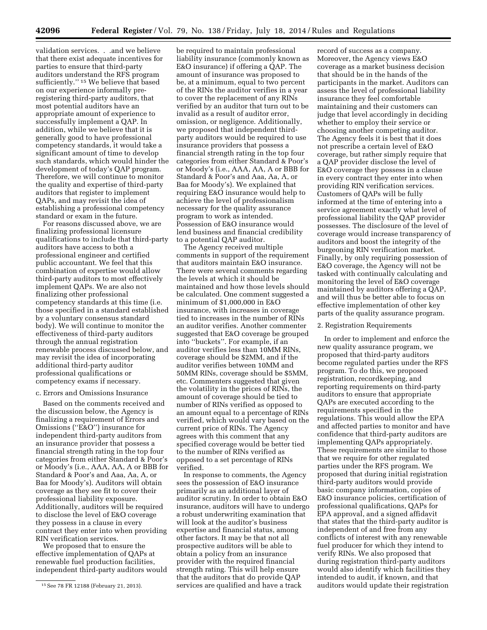validation services. . .and we believe that there exist adequate incentives for parties to ensure that third-party auditors understand the RFS program sufficiently.'' 15 We believe that based on our experience informally preregistering third-party auditors, that most potential auditors have an appropriate amount of experience to successfully implement a QAP. In addition, while we believe that it is generally good to have professional competency standards, it would take a significant amount of time to develop such standards, which would hinder the development of today's QAP program. Therefore, we will continue to monitor the quality and expertise of third-party auditors that register to implement QAPs, and may revisit the idea of establishing a professional competency standard or exam in the future.

For reasons discussed above, we are finalizing professional licensure qualifications to include that third-party auditors have access to both a professional engineer and certified public accountant. We feel that this combination of expertise would allow third-party auditors to most effectively implement QAPs. We are also not finalizing other professional competency standards at this time (i.e. those specified in a standard established by a voluntary consensus standard body). We will continue to monitor the effectiveness of third-party auditors through the annual registration renewable process discussed below, and may revisit the idea of incorporating additional third-party auditor professional qualifications or competency exams if necessary.

# c. Errors and Omissions Insurance

Based on the comments received and the discussion below, the Agency is finalizing a requirement of Errors and Omissions (''E&O'') insurance for independent third-party auditors from an insurance provider that possess a financial strength rating in the top four categories from either Standard & Poor's or Moody's (i.e., AAA, AA, A or BBB for Standard & Poor's and Aaa, Aa, A, or Baa for Moody's). Auditors will obtain coverage as they see fit to cover their professional liability exposure. Additionally, auditors will be required to disclose the level of E&O coverage they possess in a clause in every contract they enter into when providing RIN verification services.

We proposed that to ensure the effective implementation of QAPs at renewable fuel production facilities, independent third-party auditors would

be required to maintain professional liability insurance (commonly known as E&O insurance) if offering a QAP. The amount of insurance was proposed to be, at a minimum, equal to two percent of the RINs the auditor verifies in a year to cover the replacement of any RINs verified by an auditor that turn out to be invalid as a result of auditor error, omission, or negligence. Additionally, we proposed that independent thirdparty auditors would be required to use insurance providers that possess a financial strength rating in the top four categories from either Standard & Poor's or Moody's (i.e., AAA, AA, A or BBB for Standard & Poor's and Aaa, Aa, A, or Baa for Moody's). We explained that requiring E&O insurance would help to achieve the level of professionalism necessary for the quality assurance program to work as intended. Possession of E&O insurance would lend business and financial credibility to a potential QAP auditor.

The Agency received multiple comments in support of the requirement that auditors maintain E&O insurance. There were several comments regarding the levels at which it should be maintained and how those levels should be calculated. One comment suggested a minimum of \$1,000,000 in E&O insurance, with increases in coverage tied to increases in the number of RINs an auditor verifies. Another commenter suggested that E&O coverage be grouped into ''buckets''. For example, if an auditor verifies less than 10MM RINs, coverage should be \$2MM, and if the auditor verifies between 10MM and 50MM RINs, coverage should be \$5MM, etc. Commenters suggested that given the volatility in the prices of RINs, the amount of coverage should be tied to number of RINs verified as opposed to an amount equal to a percentage of RINs verified, which would vary based on the current price of RINs. The Agency agrees with this comment that any specified coverage would be better tied to the number of RINs verified as opposed to a set percentage of RINs verified.

In response to comments, the Agency sees the possession of E&O insurance primarily as an additional layer of auditor scrutiny. In order to obtain E&O insurance, auditors will have to undergo a robust underwriting examination that will look at the auditor's business expertise and financial status, among other factors. It may be that not all prospective auditors will be able to obtain a policy from an insurance provider with the required financial strength rating. This will help ensure that the auditors that do provide QAP services are qualified and have a track

record of success as a company. Moreover, the Agency views E&O coverage as a market business decision that should be in the hands of the participants in the market. Auditors can assess the level of professional liability insurance they feel comfortable maintaining and their customers can judge that level accordingly in deciding whether to employ their service or choosing another competing auditor. The Agency feels it is best that it does not prescribe a certain level of E&O coverage, but rather simply require that a QAP provider disclose the level of E&O coverage they possess in a clause in every contract they enter into when providing RIN verification services. Customers of QAPs will be fully informed at the time of entering into a service agreement exactly what level of professional liability the QAP provider possesses. The disclosure of the level of coverage would increase transparency of auditors and boost the integrity of the burgeoning RIN verification market. Finally, by only requiring possession of E&O coverage, the Agency will not be tasked with continually calculating and monitoring the level of E&O coverage maintained by auditors offering a QAP, and will thus be better able to focus on effective implementation of other key parts of the quality assurance program.

# 2. Registration Requirements

In order to implement and enforce the new quality assurance program, we proposed that third-party auditors become regulated parties under the RFS program. To do this, we proposed registration, recordkeeping, and reporting requirements on third-party auditors to ensure that appropriate QAPs are executed according to the requirements specified in the regulations. This would allow the EPA and affected parties to monitor and have confidence that third-party auditors are implementing QAPs appropriately. These requirements are similar to those that we require for other regulated parties under the RFS program. We proposed that during initial registration third-party auditors would provide basic company information, copies of E&O insurance policies, certification of professional qualifications, QAPs for EPA approval, and a signed affidavit that states that the third-party auditor is independent of and free from any conflicts of interest with any renewable fuel producer for which they intend to verify RINs. We also proposed that during registration third-party auditors would also identify which facilities they intended to audit, if known, and that auditors would update their registration

<sup>15</sup>See 78 FR 12188 (February 21, 2013).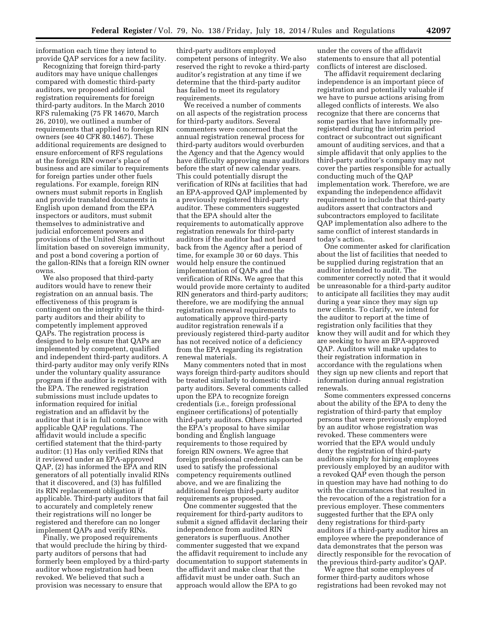information each time they intend to provide QAP services for a new facility.

Recognizing that foreign third-party auditors may have unique challenges compared with domestic third-party auditors, we proposed additional registration requirements for foreign third-party auditors. In the March 2010 RFS rulemaking (75 FR 14670, March 26, 2010), we outlined a number of requirements that applied to foreign RIN owners (see 40 CFR 80.1467). These additional requirements are designed to ensure enforcement of RFS regulations at the foreign RIN owner's place of business and are similar to requirements for foreign parties under other fuels regulations. For example, foreign RIN owners must submit reports in English and provide translated documents in English upon demand from the EPA inspectors or auditors, must submit themselves to administrative and judicial enforcement powers and provisions of the United States without limitation based on sovereign immunity, and post a bond covering a portion of the gallon-RINs that a foreign RIN owner owns.

We also proposed that third-party auditors would have to renew their registration on an annual basis. The effectiveness of this program is contingent on the integrity of the thirdparty auditors and their ability to competently implement approved QAPs. The registration process is designed to help ensure that QAPs are implemented by competent, qualified and independent third-party auditors. A third-party auditor may only verify RINs under the voluntary quality assurance program if the auditor is registered with the EPA. The renewed registration submissions must include updates to information required for initial registration and an affidavit by the auditor that it is in full compliance with applicable QAP regulations. The affidavit would include a specific certified statement that the third-party auditor: (1) Has only verified RINs that it reviewed under an EPA-approved QAP, (2) has informed the EPA and RIN generators of all potentially invalid RINs that it discovered, and (3) has fulfilled its RIN replacement obligation if applicable. Third-party auditors that fail to accurately and completely renew their registrations will no longer be registered and therefore can no longer implement QAPs and verify RINs.

Finally, we proposed requirements that would preclude the hiring by thirdparty auditors of persons that had formerly been employed by a third-party auditor whose registration had been revoked. We believed that such a provision was necessary to ensure that

third-party auditors employed competent persons of integrity. We also reserved the right to revoke a third-party auditor's registration at any time if we determine that the third-party auditor has failed to meet its regulatory requirements.

We received a number of comments on all aspects of the registration process for third-party auditors. Several commenters were concerned that the annual registration renewal process for third-party auditors would overburden the Agency and that the Agency would have difficulty approving many auditors before the start of new calendar years. This could potentially disrupt the verification of RINs at facilities that had an EPA-approved QAP implemented by a previously registered third-party auditor. These commenters suggested that the EPA should alter the requirements to automatically approve registration renewals for third-party auditors if the auditor had not heard back from the Agency after a period of time, for example 30 or 60 days. This would help ensure the continued implementation of QAPs and the verification of RINs. We agree that this would provide more certainty to audited RIN generators and third-party auditors; therefore, we are modifying the annual registration renewal requirements to automatically approve third-party auditor registration renewals if a previously registered third-party auditor has not received notice of a deficiency from the EPA regarding its registration renewal materials.

Many commenters noted that in most ways foreign third-party auditors should be treated similarly to domestic thirdparty auditors. Several comments called upon the EPA to recognize foreign credentials (i.e., foreign professional engineer certifications) of potentially third-party auditors. Others supported the EPA's proposal to have similar bonding and English language requirements to those required by foreign RIN owners. We agree that foreign professional credentials can be used to satisfy the professional competency requirements outlined above, and we are finalizing the additional foreign third-party auditor requirements as proposed.

One commenter suggested that the requirement for third-party auditors to submit a signed affidavit declaring their independence from audited RIN generators is superfluous. Another commenter suggested that we expand the affidavit requirement to include any documentation to support statements in the affidavit and make clear that the affidavit must be under oath. Such an approach would allow the EPA to go

under the covers of the affidavit statements to ensure that all potential conflicts of interest are disclosed.

The affidavit requirement declaring independence is an important piece of registration and potentially valuable if we have to pursue actions arising from alleged conflicts of interests. We also recognize that there are concerns that some parties that have informally preregistered during the interim period contract or subcontract out significant amount of auditing services, and that a simple affidavit that only applies to the third-party auditor's company may not cover the parties responsible for actually conducting much of the QAP implementation work. Therefore, we are expanding the independence affidavit requirement to include that third-party auditors assert that contractors and subcontractors employed to facilitate QAP implementation also adhere to the same conflict of interest standards in today's action.

One commenter asked for clarification about the list of facilities that needed to be supplied during registration that an auditor intended to audit. The commenter correctly noted that it would be unreasonable for a third-party auditor to anticipate all facilities they may audit during a year since they may sign up new clients. To clarify, we intend for the auditor to report at the time of registration only facilities that they know they will audit and for which they are seeking to have an EPA-approved QAP. Auditors will make updates to their registration information in accordance with the regulations when they sign up new clients and report that information during annual registration renewals.

Some commenters expressed concerns about the ability of the EPA to deny the registration of third-party that employ persons that were previously employed by an auditor whose registration was revoked. These commenters were worried that the EPA would unduly deny the registration of third-party auditors simply for hiring employees previously employed by an auditor with a revoked QAP even though the person in question may have had nothing to do with the circumstances that resulted in the revocation of the a registration for a previous employer. These commenters suggested further that the EPA only deny registrations for third-party auditors if a third-party auditor hires an employee where the preponderance of data demonstrates that the person was directly responsible for the revocation of the previous third-party auditor's QAP.

We agree that some employees of former third-party auditors whose registrations had been revoked may not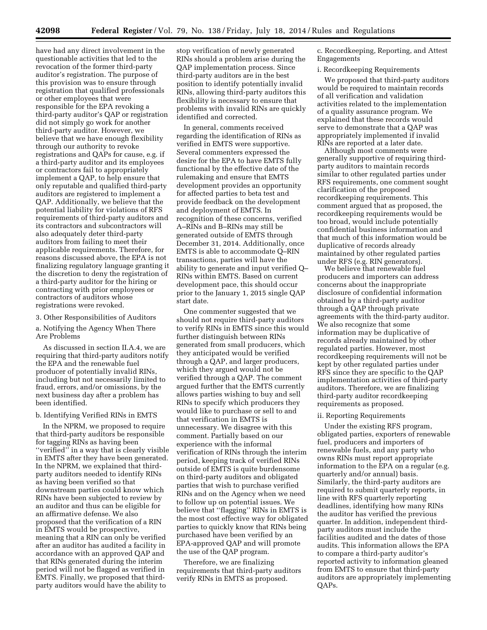have had any direct involvement in the questionable activities that led to the revocation of the former third-party auditor's registration. The purpose of this provision was to ensure through registration that qualified professionals or other employees that were responsible for the EPA revoking a third-party auditor's QAP or registration did not simply go work for another third-party auditor. However, we believe that we have enough flexibility through our authority to revoke registrations and QAPs for cause, e.g. if a third-party auditor and its employees or contractors fail to appropriately implement a QAP, to help ensure that only reputable and qualified third-party auditors are registered to implement a QAP. Additionally, we believe that the potential liability for violations of RFS requirements of third-party auditors and its contractors and subcontractors will also adequately deter third-party auditors from failing to meet their applicable requirements. Therefore, for reasons discussed above, the EPA is not finalizing regulatory language granting it the discretion to deny the registration of a third-party auditor for the hiring or contracting with prior employees or contractors of auditors whose registrations were revoked.

#### 3. Other Responsibilities of Auditors

a. Notifying the Agency When There Are Problems

As discussed in section II.A.4, we are requiring that third-party auditors notify the EPA and the renewable fuel producer of potentially invalid RINs, including but not necessarily limited to fraud, errors, and/or omissions, by the next business day after a problem has been identified.

#### b. Identifying Verified RINs in EMTS

In the NPRM, we proposed to require that third-party auditors be responsible for tagging RINs as having been ''verified'' in a way that is clearly visible in EMTS after they have been generated. In the NPRM, we explained that thirdparty auditors needed to identify RINs as having been verified so that downstream parties could know which RINs have been subjected to review by an auditor and thus can be eligible for an affirmative defense. We also proposed that the verification of a RIN in EMTS would be prospective, meaning that a RIN can only be verified after an auditor has audited a facility in accordance with an approved QAP and that RINs generated during the interim period will not be flagged as verified in EMTS. Finally, we proposed that thirdparty auditors would have the ability to

stop verification of newly generated RINs should a problem arise during the QAP implementation process. Since third-party auditors are in the best position to identify potentially invalid RINs, allowing third-party auditors this flexibility is necessary to ensure that problems with invalid RINs are quickly identified and corrected.

In general, comments received regarding the identification of RINs as verified in EMTS were supportive. Several commenters expressed the desire for the EPA to have EMTS fully functional by the effective date of the rulemaking and ensure that EMTS development provides an opportunity for affected parties to beta test and provide feedback on the development and deployment of EMTS. In recognition of these concerns, verified A–RINs and B–RINs may still be generated outside of EMTS through December 31, 2014. Additionally, once EMTS is able to accommodate Q–RIN transactions, parties will have the ability to generate and input verified Q– RINs within EMTS. Based on current development pace, this should occur prior to the January 1, 2015 single QAP start date.

One commenter suggested that we should not require third-party auditors to verify RINs in EMTS since this would further distinguish between RINs generated from small producers, which they anticipated would be verified through a QAP, and larger producers, which they argued would not be verified through a QAP. The comment argued further that the EMTS currently allows parties wishing to buy and sell RINs to specify which producers they would like to purchase or sell to and that verification in EMTS is unnecessary. We disagree with this comment. Partially based on our experience with the informal verification of RINs through the interim period, keeping track of verified RINs outside of EMTS is quite burdensome on third-party auditors and obligated parties that wish to purchase verified RINs and on the Agency when we need to follow up on potential issues. We believe that ''flagging'' RINs in EMTS is the most cost effective way for obligated parties to quickly know that RINs being purchased have been verified by an EPA-approved QAP and will promote the use of the QAP program.

Therefore, we are finalizing requirements that third-party auditors verify RINs in EMTS as proposed.

c. Recordkeeping, Reporting, and Attest Engagements

# i. Recordkeeping Requirements

We proposed that third-party auditors would be required to maintain records of all verification and validation activities related to the implementation of a quality assurance program. We explained that these records would serve to demonstrate that a QAP was appropriately implemented if invalid RINs are reported at a later date.

Although most comments were generally supportive of requiring thirdparty auditors to maintain records similar to other regulated parties under RFS requirements, one comment sought clarification of the proposed recordkeeping requirements. This comment argued that as proposed, the recordkeeping requirements would be too broad, would include potentially confidential business information and that much of this information would be duplicative of records already maintained by other regulated parties under RFS (e.g. RIN generators).

We believe that renewable fuel producers and importers can address concerns about the inappropriate disclosure of confidential information obtained by a third-party auditor through a QAP through private agreements with the third-party auditor. We also recognize that some information may be duplicative of records already maintained by other regulated parties. However, most recordkeeping requirements will not be kept by other regulated parties under RFS since they are specific to the QAP implementation activities of third-party auditors. Therefore, we are finalizing third-party auditor recordkeeping requirements as proposed.

#### ii. Reporting Requirements

Under the existing RFS program, obligated parties, exporters of renewable fuel, producers and importers of renewable fuels, and any party who owns RINs must report appropriate information to the EPA on a regular (e.g. quarterly and/or annual) basis. Similarly, the third-party auditors are required to submit quarterly reports, in line with RFS quarterly reporting deadlines, identifying how many RINs the auditor has verified the previous quarter. In addition, independent thirdparty auditors must include the facilities audited and the dates of those audits. This information allows the EPA to compare a third-party auditor's reported activity to information gleaned from EMTS to ensure that third-party auditors are appropriately implementing QAPs.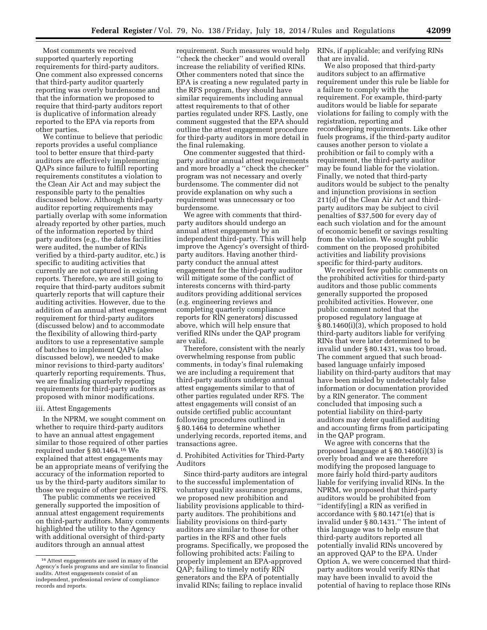Most comments we received supported quarterly reporting requirements for third-party auditors. One comment also expressed concerns that third-party auditor quarterly reporting was overly burdensome and that the information we proposed to require that third-party auditors report is duplicative of information already reported to the EPA via reports from other parties.

We continue to believe that periodic reports provides a useful compliance tool to better ensure that third-party auditors are effectively implementing QAPs since failure to fulfill reporting requirements constitutes a violation to the Clean Air Act and may subject the responsible party to the penalties discussed below. Although third-party auditor reporting requirements may partially overlap with some information already reported by other parties, much of the information reported by third party auditors (e.g., the dates facilities were audited, the number of RINs verified by a third-party auditor, etc.) is specific to auditing activities that currently are not captured in existing reports. Therefore, we are still going to require that third-party auditors submit quarterly reports that will capture their auditing activities. However, due to the addition of an annual attest engagement requirement for third-party auditors (discussed below) and to accommodate the flexibility of allowing third-party auditors to use a representative sample of batches to implement QAPs (also discussed below), we needed to make minor revisions to third-party auditors' quarterly reporting requirements. Thus, we are finalizing quarterly reporting requirements for third-party auditors as proposed with minor modifications.

#### iii. Attest Engagements

In the NPRM, we sought comment on whether to require third-party auditors to have an annual attest engagement similar to those required of other parties required under § 80.1464.16 We explained that attest engagements may be an appropriate means of verifying the accuracy of the information reported to us by the third-party auditors similar to those we require of other parties in RFS.

The public comments we received generally supported the imposition of annual attest engagement requirements on third-party auditors. Many comments highlighted the utility to the Agency with additional oversight of third-party auditors through an annual attest

requirement. Such measures would help ''check the checker'' and would overall increase the reliability of verified RINs. Other commenters noted that since the EPA is creating a new regulated party in the RFS program, they should have similar requirements including annual attest requirements to that of other parties regulated under RFS. Lastly, one comment suggested that the EPA should outline the attest engagement procedure for third-party auditors in more detail in the final rulemaking.

One commenter suggested that thirdparty auditor annual attest requirements and more broadly a ''check the checker'' program was not necessary and overly burdensome. The commenter did not provide explanation on why such a requirement was unnecessary or too burdensome.

We agree with comments that thirdparty auditors should undergo an annual attest engagement by an independent third-party. This will help improve the Agency's oversight of thirdparty auditors. Having another thirdparty conduct the annual attest engagement for the third-party auditor will mitigate some of the conflict of interests concerns with third-party auditors providing additional services (e.g. engineering reviews and completing quarterly compliance reports for RIN generators) discussed above, which will help ensure that verified RINs under the QAP program are valid.

Therefore, consistent with the nearly overwhelming response from public comments, in today's final rulemaking we are including a requirement that third-party auditors undergo annual attest engagements similar to that of other parties regulated under RFS. The attest engagements will consist of an outside certified public accountant following procedures outlined in § 80.1464 to determine whether underlying records, reported items, and transactions agree.

d. Prohibited Activities for Third-Party Auditors

Since third-party auditors are integral to the successful implementation of voluntary quality assurance programs, we proposed new prohibition and liability provisions applicable to thirdparty auditors. The prohibitions and liability provisions on third-party auditors are similar to those for other parties in the RFS and other fuels programs. Specifically, we proposed the following prohibited acts: Failing to properly implement an EPA-approved QAP; failing to timely notify RIN generators and the EPA of potentially invalid RINs; failing to replace invalid

RINs, if applicable; and verifying RINs that are invalid.

We also proposed that third-party auditors subject to an affirmative requirement under this rule be liable for a failure to comply with the requirement. For example, third-party auditors would be liable for separate violations for failing to comply with the registration, reporting and recordkeeping requirements. Like other fuels programs, if the third-party auditor causes another person to violate a prohibition or fail to comply with a requirement, the third-party auditor may be found liable for the violation. Finally, we noted that third-party auditors would be subject to the penalty and injunction provisions in section 211(d) of the Clean Air Act and thirdparty auditors may be subject to civil penalties of \$37,500 for every day of each such violation and for the amount of economic benefit or savings resulting from the violation. We sought public comment on the proposed prohibited activities and liability provisions specific for third-party auditors.

We received few public comments on the prohibited activities for third-party auditors and those public comments generally supported the proposed prohibited activities. However, one public comment noted that the proposed regulatory language at § 80.1460(i)(3), which proposed to hold third-party auditors liable for verifying RINs that were later determined to be invalid under § 80.1431, was too broad. The comment argued that such broadbased language unfairly imposed liability on third-party auditors that may have been misled by undetectably false information or documentation provided by a RIN generator. The comment concluded that imposing such a potential liability on third-party auditors may deter qualified auditing and accounting firms from participating in the QAP program.

We agree with concerns that the proposed language at § 80.1460(i)(3) is overly broad and we are therefore modifying the proposed language to more fairly hold third-party auditors liable for verifying invalid RINs. In the NPRM, we proposed that third-party auditors would be prohibited from ''identify[ing] a RIN as verified in accordance with § 80.1471(e) that is invalid under § 80.1431.'' The intent of this language was to help ensure that third-party auditors reported all potentially invalid RINs uncovered by an approved QAP to the EPA. Under Option A, we were concerned that thirdparty auditors would verify RINs that may have been invalid to avoid the potential of having to replace those RINs

<sup>16</sup>Attest engagements are used in many of the Agency's fuels programs and are similar to financial audits. Attest engagements consist of an independent, professional review of compliance records and reports.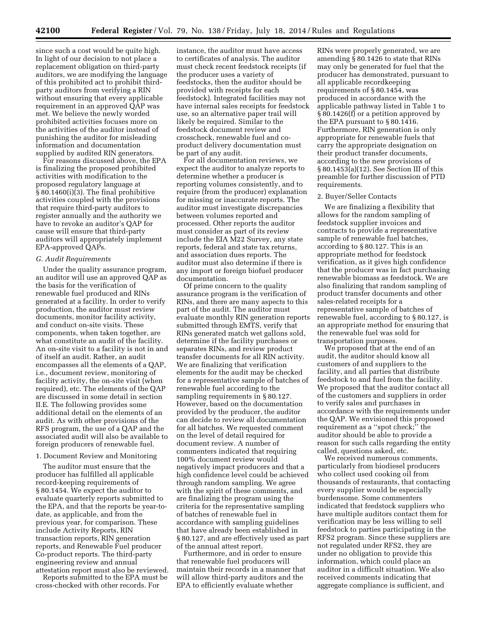since such a cost would be quite high. In light of our decision to not place a replacement obligation on third-party auditors, we are modifying the language of this prohibited act to prohibit thirdparty auditors from verifying a RIN without ensuring that every applicable requirement in an approved QAP was met. We believe the newly worded prohibited activities focuses more on the activities of the auditor instead of punishing the auditor for misleading information and documentation supplied by audited RIN generators.

For reasons discussed above, the EPA is finalizing the proposed prohibited activities with modification to the proposed regulatory language at § 80.1460(i)(3). The final prohibitive activities coupled with the provisions that require third-party auditors to register annually and the authority we have to revoke an auditor's QAP for cause will ensure that third-party auditors will appropriately implement EPA-approved QAPs.

# *G. Audit Requirements*

Under the quality assurance program, an auditor will use an approved QAP as the basis for the verification of renewable fuel produced and RINs generated at a facility. In order to verify production, the auditor must review documents, monitor facility activity, and conduct on-site visits. These components, when taken together, are what constitute an audit of the facility. An on-site visit to a facility is not in and of itself an audit. Rather, an audit encompasses all the elements of a QAP, i.e., document review, monitoring of facility activity, the on-site visit (when required), etc. The elements of the QAP are discussed in some detail in section II.E. The following provides some additional detail on the elements of an audit. As with other provisions of the RFS program, the use of a QAP and the associated audit will also be available to foreign producers of renewable fuel.

#### 1. Document Review and Monitoring

The auditor must ensure that the producer has fulfilled all applicable record-keeping requirements of § 80.1454. We expect the auditor to evaluate quarterly reports submitted to the EPA, and that the reports be year-todate, as applicable, and from the previous year, for comparison. These include Activity Reports, RIN transaction reports, RIN generation reports, and Renewable Fuel producer Co-product reports. The third-party engineering review and annual attestation report must also be reviewed.

Reports submitted to the EPA must be cross-checked with other records. For

instance, the auditor must have access to certificates of analysis. The auditor must check recent feedstock receipts (if the producer uses a variety of feedstocks, then the auditor should be provided with receipts for each feedstock). Integrated facilities may not have internal sales receipts for feedstock use, so an alternative paper trail will likely be required. Similar to the feedstock document review and crosscheck, renewable fuel and coproduct delivery documentation must be part of any audit.

For all documentation reviews, we expect the auditor to analyze reports to determine whether a producer is reporting volumes consistently, and to require (from the producer) explanation for missing or inaccurate reports. The auditor must investigate discrepancies between volumes reported and processed. Other reports the auditor must consider as part of its review include the EIA M22 Survey, any state reports, federal and state tax returns, and association dues reports. The auditor must also determine if there is any import or foreign biofuel producer documentation.

Of prime concern to the quality assurance program is the verification of RINs, and there are many aspects to this part of the audit. The auditor must evaluate monthly RIN generation reports submitted through EMTS, verify that RINs generated match wet gallons sold, determine if the facility purchases or separates RINs, and review product transfer documents for all RIN activity. We are finalizing that verification elements for the audit may be checked for a representative sample of batches of renewable fuel according to the sampling requirements in § 80.127. However, based on the documentation provided by the producer, the auditor can decide to review all documentation for all batches. We requested comment on the level of detail required for document review. A number of commenters indicated that requiring 100% document review would negatively impact producers and that a high confidence level could be achieved through random sampling. We agree with the spirit of these comments, and are finalizing the program using the criteria for the representative sampling of batches of renewable fuel in accordance with sampling guidelines that have already been established in § 80.127, and are effectively used as part of the annual attest report.

Furthermore, and in order to ensure that renewable fuel producers will maintain their records in a manner that will allow third-party auditors and the EPA to efficiently evaluate whether

RINs were properly generated, we are amending § 80.1426 to state that RINs may only be generated for fuel that the producer has demonstrated, pursuant to all applicable recordkeeping requirements of § 80.1454, was produced in accordance with the applicable pathway listed in Table 1 to § 80.1426(f) or a petition approved by the EPA pursuant to § 80.1416. Furthermore, RIN generation is only appropriate for renewable fuels that carry the appropriate designation on their product transfer documents, according to the new provisions of § 80.1453(a)(12). See Section III of this preamble for further discussion of PTD requirements.

#### 2. Buyer/Seller Contacts

We are finalizing a flexibility that allows for the random sampling of feedstock supplier invoices and contracts to provide a representative sample of renewable fuel batches, according to § 80.127. This is an appropriate method for feedstock verification, as it gives high confidence that the producer was in fact purchasing renewable biomass as feedstock. We are also finalizing that random sampling of product transfer documents and other sales-related receipts for a representative sample of batches of renewable fuel, according to § 80.127, is an appropriate method for ensuring that the renewable fuel was sold for transportation purposes.

We proposed that at the end of an audit, the auditor should know all customers of and suppliers to the facility, and all parties that distribute feedstock to and fuel from the facility. We proposed that the auditor contact all of the customers and suppliers in order to verify sales and purchases in accordance with the requirements under the QAP. We envisioned this proposed requirement as a ''spot check;'' the auditor should be able to provide a reason for such calls regarding the entity called, questions asked, etc.

We received numerous comments, particularly from biodiesel producers who collect used cooking oil from thousands of restaurants, that contacting every supplier would be especially burdensome. Some commenters indicated that feedstock suppliers who have multiple auditors contact them for verification may be less willing to sell feedstock to parties participating in the RFS2 program. Since these suppliers are not regulated under RFS2, they are under no obligation to provide this information, which could place an auditor in a difficult situation. We also received comments indicating that aggregate compliance is sufficient, and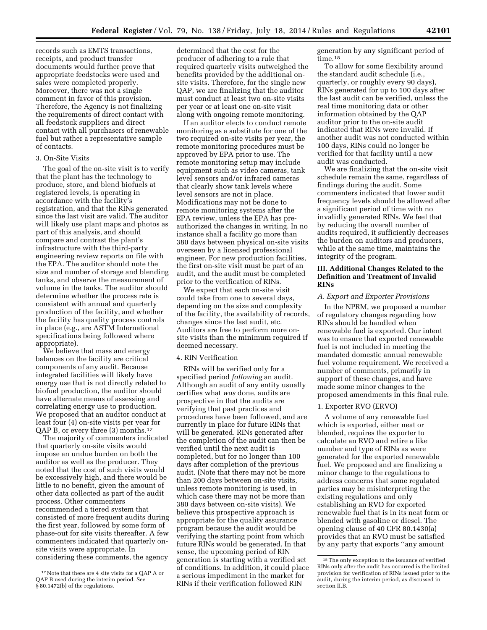records such as EMTS transactions, receipts, and product transfer documents would further prove that appropriate feedstocks were used and sales were completed properly. Moreover, there was not a single comment in favor of this provision. Therefore, the Agency is not finalizing the requirements of direct contact with all feedstock suppliers and direct contact with all purchasers of renewable fuel but rather a representative sample of contacts.

# 3. On-Site Visits

The goal of the on-site visit is to verify that the plant has the technology to produce, store, and blend biofuels at registered levels, is operating in accordance with the facility's registration, and that the RINs generated since the last visit are valid. The auditor will likely use plant maps and photos as part of this analysis, and should compare and contrast the plant's infrastructure with the third-party engineering review reports on file with the EPA. The auditor should note the size and number of storage and blending tanks, and observe the measurement of volume in the tanks. The auditor should determine whether the process rate is consistent with annual and quarterly production of the facility, and whether the facility has quality process controls in place (e.g., are ASTM International specifications being followed where appropriate).

We believe that mass and energy balances on the facility are critical components of any audit. Because integrated facilities will likely have energy use that is not directly related to biofuel production, the auditor should have alternate means of assessing and correlating energy use to production. We proposed that an auditor conduct at least four (4) on-site visits per year for QAP B, or every three (3) months.17

The majority of commenters indicated that quarterly on-site visits would impose an undue burden on both the auditor as well as the producer. They noted that the cost of such visits would be excessively high, and there would be little to no benefit, given the amount of other data collected as part of the audit process. Other commenters recommended a tiered system that consisted of more frequent audits during the first year, followed by some form of phase-out for site visits thereafter. A few commenters indicated that quarterly onsite visits were appropriate. In considering these comments, the agency

determined that the cost for the producer of adhering to a rule that required quarterly visits outweighed the benefits provided by the additional onsite visits. Therefore, for the single new QAP, we are finalizing that the auditor must conduct at least two on-site visits per year or at least one on-site visit along with ongoing remote monitoring.

If an auditor elects to conduct remote monitoring as a substitute for one of the two required on-site visits per year, the remote monitoring procedures must be approved by EPA prior to use. The remote monitoring setup may include equipment such as video cameras, tank level sensors and/or infrared cameras that clearly show tank levels where level sensors are not in place. Modifications may not be done to remote monitoring systems after the EPA review, unless the EPA has preauthorized the changes in writing. In no instance shall a facility go more than 380 days between physical on-site visits overseen by a licensed professional engineer. For new production facilities, the first on-site visit must be part of an audit, and the audit must be completed prior to the verification of RINs.

We expect that each on-site visit could take from one to several days, depending on the size and complexity of the facility, the availability of records, changes since the last audit, etc. Auditors are free to perform more onsite visits than the minimum required if deemed necessary.

# 4. RIN Verification

RINs will be verified only for a specified period *following* an audit. Although an audit of any entity usually certifies what *was* done, audits are prospective in that the audits are verifying that past practices and procedures have been followed, and are currently in place for future RINs that will be generated. RINs generated after the completion of the audit can then be verified until the next audit is completed, but for no longer than 100 days after completion of the previous audit. (Note that there may not be more than 200 days between on-site visits, unless remote monitoring is used, in which case there may not be more than 380 days between on-site visits). We believe this prospective approach is appropriate for the quality assurance program because the audit would be verifying the starting point from which future RINs would be generated. In that sense, the upcoming period of RIN generation is starting with a verified set of conditions. In addition, it could place a serious impediment in the market for RINs if their verification followed RIN

generation by any significant period of time.<sup>18</sup>

To allow for some flexibility around the standard audit schedule (i.e., quarterly, or roughly every 90 days), RINs generated for up to 100 days after the last audit can be verified, unless the real time monitoring data or other information obtained by the QAP auditor prior to the on-site audit indicated that RINs were invalid. If another audit was not conducted within 100 days, RINs could no longer be verified for that facility until a new audit was conducted.

We are finalizing that the on-site visit schedule remain the same, regardless of findings during the audit. Some commenters indicated that lower audit frequency levels should be allowed after a significant period of time with no invalidly generated RINs. We feel that by reducing the overall number of audits required, it sufficiently decreases the burden on auditors and producers, while at the same time, maintains the integrity of the program.

# **III. Additional Changes Related to the Definition and Treatment of Invalid RINs**

# *A. Export and Exporter Provisions*

In the NPRM, we proposed a number of regulatory changes regarding how RINs should be handled when renewable fuel is exported. Our intent was to ensure that exported renewable fuel is not included in meeting the mandated domestic annual renewable fuel volume requirement. We received a number of comments, primarily in support of these changes, and have made some minor changes to the proposed amendments in this final rule.

# 1. Exporter RVO (ERVO)

A volume of any renewable fuel which is exported, either neat or blended, requires the exporter to calculate an RVO and retire a like number and type of RINs as were generated for the exported renewable fuel. We proposed and are finalizing a minor change to the regulations to address concerns that some regulated parties may be misinterpreting the existing regulations and only establishing an RVO for exported renewable fuel that is in its neat form or blended with gasoline or diesel. The opening clause of 40 CFR 80.1430(a) provides that an RVO must be satisfied by any party that exports ''any amount

<sup>17</sup>Note that there are 4 site visits for a QAP A or QAP B used during the interim period. See § 80.1472(b) of the regulations.

<sup>18</sup>The only exception to the issuance of verified RINs only after the audit has occurred is the limited provision for verification of RINs issued prior to the audit, during the interim period, as discussed in section II.B.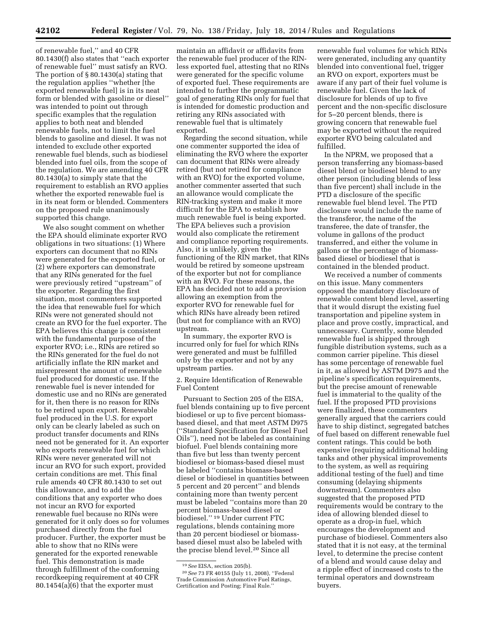of renewable fuel,'' and 40 CFR 80.1430(f) also states that ''each exporter of renewable fuel'' must satisfy an RVO. The portion of § 80.1430(a) stating that the regulation applies ''whether [the exported renewable fuel] is in its neat form or blended with gasoline or diesel'' was intended to point out through specific examples that the regulation applies to both neat and blended renewable fuels, not to limit the fuel blends to gasoline and diesel. It was not intended to exclude other exported renewable fuel blends, such as biodiesel blended into fuel oils, from the scope of the regulation. We are amending 40 CFR 80.1430(a) to simply state that the requirement to establish an RVO applies whether the exported renewable fuel is in its neat form or blended. Commenters on the proposed rule unanimously supported this change.

We also sought comment on whether the EPA should eliminate exporter RVO obligations in two situations: (1) Where exporters can document that no RINs were generated for the exported fuel, or (2) where exporters can demonstrate that any RINs generated for the fuel were previously retired ''upstream'' of the exporter. Regarding the first situation, most commenters supported the idea that renewable fuel for which RINs were not generated should not create an RVO for the fuel exporter. The EPA believes this change is consistent with the fundamental purpose of the exporter RVO; i.e., RINs are retired so the RINs generated for the fuel do not artificially inflate the RIN market and misrepresent the amount of renewable fuel produced for domestic use. If the renewable fuel is never intended for domestic use and no RINs are generated for it, then there is no reason for RINs to be retired upon export. Renewable fuel produced in the U.S. for export only can be clearly labeled as such on product transfer documents and RINs need not be generated for it. An exporter who exports renewable fuel for which RINs were never generated will not incur an RVO for such export, provided certain conditions are met. This final rule amends 40 CFR 80.1430 to set out this allowance, and to add the conditions that any exporter who does not incur an RVO for exported renewable fuel because no RINs were generated for it only does so for volumes purchased directly from the fuel producer. Further, the exporter must be able to show that no RINs were generated for the exported renewable fuel. This demonstration is made through fulfillment of the conforming recordkeeping requirement at 40 CFR 80.1454(a)(6) that the exporter must

maintain an affidavit or affidavits from the renewable fuel producer of the RINless exported fuel, attesting that no RINs were generated for the specific volume of exported fuel. These requirements are intended to further the programmatic goal of generating RINs only for fuel that is intended for domestic production and retiring any RINs associated with renewable fuel that is ultimately exported.

Regarding the second situation, while one commenter supported the idea of eliminating the RVO where the exporter can document that RINs were already retired (but not retired for compliance with an RVO) for the exported volume, another commenter asserted that such an allowance would complicate the RIN-tracking system and make it more difficult for the EPA to establish how much renewable fuel is being exported. The EPA believes such a provision would also complicate the retirement and compliance reporting requirements. Also, it is unlikely, given the functioning of the RIN market, that RINs would be retired by someone upstream of the exporter but not for compliance with an RVO. For these reasons, the EPA has decided not to add a provision allowing an exemption from the exporter RVO for renewable fuel for which RINs have already been retired (but not for compliance with an RVO) upstream.

In summary, the exporter RVO is incurred only for fuel for which RINs were generated and must be fulfilled only by the exporter and not by any upstream parties.

2. Require Identification of Renewable Fuel Content

Pursuant to Section 205 of the EISA, fuel blends containing up to five percent biodiesel or up to five percent biomassbased diesel, and that meet ASTM D975 (''Standard Specification for Diesel Fuel Oils''), need not be labeled as containing biofuel. Fuel blends containing more than five but less than twenty percent biodiesel or biomass-based diesel must be labeled ''contains biomass-based diesel or biodiesel in quantities between 5 percent and 20 percent'' and blends containing more than twenty percent must be labeled ''contains more than 20 percent biomass-based diesel or biodiesel.'' 19 Under current FTC regulations, blends containing more than 20 percent biodiesel or biomassbased diesel must also be labeled with the precise blend level.20 Since all

20*See* 73 FR 40155 (July 11, 2008), ''Federal Trade Commission Automotive Fuel Ratings, Certification and Posting; Final Rule.''

renewable fuel volumes for which RINs were generated, including any quantity blended into conventional fuel, trigger an RVO on export, exporters must be aware if any part of their fuel volume is renewable fuel. Given the lack of disclosure for blends of up to five percent and the non-specific disclosure for 5–20 percent blends, there is growing concern that renewable fuel may be exported without the required exporter RVO being calculated and fulfilled.

In the NPRM, we proposed that a person transferring any biomass-based diesel blend or biodiesel blend to any other person (including blends of less than five percent) shall include in the PTD a disclosure of the specific renewable fuel blend level. The PTD disclosure would include the name of the transferor, the name of the transferee, the date of transfer, the volume in gallons of the product transferred, and either the volume in gallons or the percentage of biomassbased diesel or biodiesel that is contained in the blended product.

We received a number of comments on this issue. Many commenters opposed the mandatory disclosure of renewable content blend level, asserting that it would disrupt the existing fuel transportation and pipeline system in place and prove costly, impractical, and unnecessary. Currently, some blended renewable fuel is shipped through fungible distribution systems, such as a common carrier pipeline. This diesel has some percentage of renewable fuel in it, as allowed by ASTM D975 and the pipeline's specification requirements, but the precise amount of renewable fuel is immaterial to the quality of the fuel. If the proposed PTD provisions were finalized, these commenters generally argued that the carriers could have to ship distinct, segregated batches of fuel based on different renewable fuel content ratings. This could be both expensive (requiring additional holding tanks and other physical improvements to the system, as well as requiring additional testing of the fuel) and time consuming (delaying shipments downstream). Commenters also suggested that the proposed PTD requirements would be contrary to the idea of allowing blended diesel to operate as a drop-in fuel, which encourages the development and purchase of biodiesel. Commenters also stated that it is not easy, at the terminal level, to determine the precise content of a blend and would cause delay and a ripple effect of increased costs to the terminal operators and downstream buyers.

<sup>19</sup>*See* EISA, section 205(b).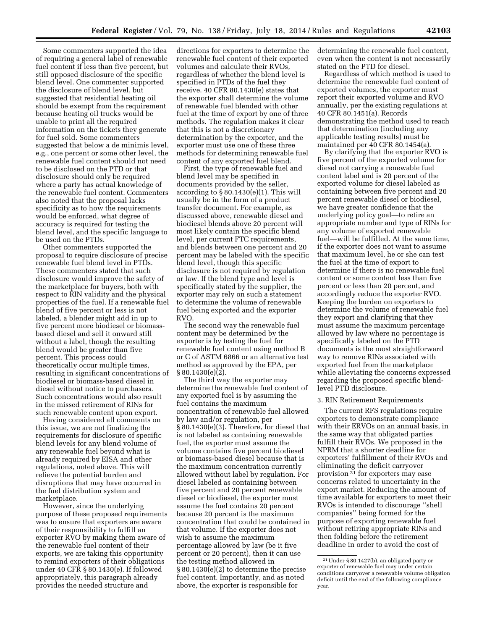Some commenters supported the idea of requiring a general label of renewable fuel content if less than five percent, but still opposed disclosure of the specific blend level. One commenter supported the disclosure of blend level, but suggested that residential heating oil should be exempt from the requirement because heating oil trucks would be unable to print all the required information on the tickets they generate for fuel sold. Some commenters suggested that below a de minimis level, e.g., one percent or some other level, the renewable fuel content should not need to be disclosed on the PTD or that disclosure should only be required where a party has actual knowledge of the renewable fuel content. Commenters also noted that the proposal lacks specificity as to how the requirements would be enforced, what degree of

be used on the PTDs. Other commenters supported the proposal to require disclosure of precise renewable fuel blend level in PTDs. These commenters stated that such disclosure would improve the safety of the marketplace for buyers, both with respect to RIN validity and the physical properties of the fuel. If a renewable fuel blend of five percent or less is not labeled, a blender might add in up to five percent more biodiesel or biomassbased diesel and sell it onward still without a label, though the resulting blend would be greater than five percent. This process could theoretically occur multiple times, resulting in significant concentrations of biodiesel or biomass-based diesel in diesel without notice to purchasers. Such concentrations would also result in the missed retirement of RINs for such renewable content upon export.

accuracy is required for testing the blend level, and the specific language to

Having considered all comments on this issue, we are not finalizing the requirements for disclosure of specific blend levels for any blend volume of any renewable fuel beyond what is already required by EISA and other regulations, noted above. This will relieve the potential burden and disruptions that may have occurred in the fuel distribution system and marketplace.

However, since the underlying purpose of these proposed requirements was to ensure that exporters are aware of their responsibility to fulfill an exporter RVO by making them aware of the renewable fuel content of their exports, we are taking this opportunity to remind exporters of their obligations under 40 CFR § 80.1430(e). If followed appropriately, this paragraph already provides the needed structure and

directions for exporters to determine the renewable fuel content of their exported volumes and calculate their RVOs, regardless of whether the blend level is specified in PTDs of the fuel they receive. 40 CFR 80.1430(e) states that the exporter shall determine the volume of renewable fuel blended with other fuel at the time of export by one of three methods. The regulation makes it clear that this is not a discretionary determination by the exporter, and the exporter must use one of these three methods for determining renewable fuel content of any exported fuel blend.

First, the type of renewable fuel and blend level may be specified in documents provided by the seller, according to  $\S 80.1430(e)(1)$ . This will usually be in the form of a product transfer document. For example, as discussed above, renewable diesel and biodiesel blends above 20 percent will most likely contain the specific blend level, per current FTC requirements, and blends between one percent and 20 percent may be labeled with the specific blend level, though this specific disclosure is not required by regulation or law. If the blend type and level is specifically stated by the supplier, the exporter may rely on such a statement to determine the volume of renewable fuel being exported and the exporter RVO.

The second way the renewable fuel content may be determined by the exporter is by testing the fuel for renewable fuel content using method B or C of ASTM 6866 or an alternative test method as approved by the EPA, per § 80.1430(e)(2).

The third way the exporter may determine the renewable fuel content of any exported fuel is by assuming the fuel contains the maximum concentration of renewable fuel allowed by law and/or regulation, per § 80.1430(e)(3). Therefore, for diesel that is not labeled as containing renewable fuel, the exporter must assume the volume contains five percent biodiesel or biomass-based diesel because that is the maximum concentration currently allowed without label by regulation. For diesel labeled as containing between five percent and 20 percent renewable diesel or biodiesel, the exporter must assume the fuel contains 20 percent because 20 percent is the maximum concentration that could be contained in that volume. If the exporter does not wish to assume the maximum percentage allowed by law (be it five percent or 20 percent), then it can use the testing method allowed in § 80.1430(e)(2) to determine the precise fuel content. Importantly, and as noted above, the exporter is responsible for

determining the renewable fuel content, even when the content is not necessarily stated on the PTD for diesel.

Regardless of which method is used to determine the renewable fuel content of exported volumes, the exporter must report their exported volume and RVO annually, per the existing regulations at 40 CFR 80.1451(a). Records demonstrating the method used to reach that determination (including any applicable testing results) must be maintained per 40 CFR 80.1454(a).

By clarifying that the exporter RVO is five percent of the exported volume for diesel not carrying a renewable fuel content label and is 20 percent of the exported volume for diesel labeled as containing between five percent and 20 percent renewable diesel or biodiesel, we have greater confidence that the underlying policy goal—to retire an appropriate number and type of RINs for any volume of exported renewable fuel—will be fulfilled. At the same time, if the exporter does not want to assume that maximum level, he or she can test the fuel at the time of export to determine if there is no renewable fuel content or some content less than five percent or less than 20 percent, and accordingly reduce the exporter RVO. Keeping the burden on exporters to determine the volume of renewable fuel they export and clarifying that they must assume the maximum percentage allowed by law where no percentage is specifically labeled on the PTD documents is the most straightforward way to remove RINs associated with exported fuel from the marketplace while alleviating the concerns expressed regarding the proposed specific blendlevel PTD disclosure.

#### 3. RIN Retirement Requirements

The current RFS regulations require exporters to demonstrate compliance with their ERVOs on an annual basis, in the same way that obligated parties fulfill their RVOs. We proposed in the NPRM that a shorter deadline for exporters' fulfillment of their RVOs and eliminating the deficit carryover provision 21 for exporters may ease concerns related to uncertainty in the export market. Reducing the amount of time available for exporters to meet their RVOs is intended to discourage ''shell companies'' being formed for the purpose of exporting renewable fuel without retiring appropriate RINs and then folding before the retirement deadline in order to avoid the cost of

<sup>21</sup>Under § 80.1427(b), an obligated party or exporter of renewable fuel may under certain conditions carryover a renewable volume obligation deficit until the end of the following compliance year.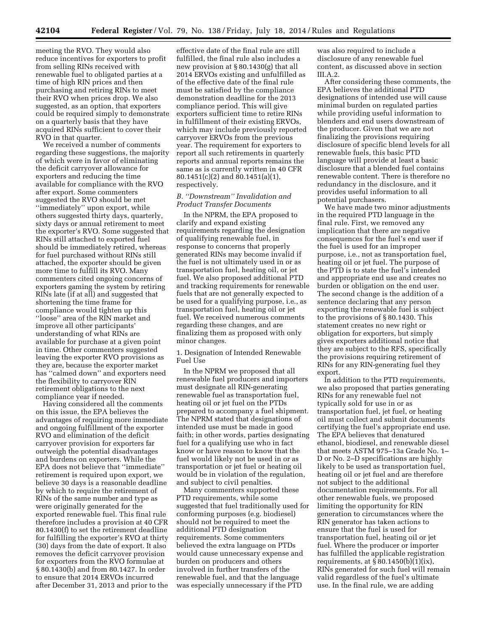meeting the RVO. They would also reduce incentives for exporters to profit from selling RINs received with renewable fuel to obligated parties at a time of high RIN prices and then purchasing and retiring RINs to meet their RVO when prices drop. We also suggested, as an option, that exporters could be required simply to demonstrate on a quarterly basis that they have acquired RINs sufficient to cover their RVO in that quarter.

We received a number of comments regarding these suggestions, the majority of which were in favor of eliminating the deficit carryover allowance for exporters and reducing the time available for compliance with the RVO after export. Some commenters suggested the RVO should be met ''immediately'' upon export, while others suggested thirty days, quarterly, sixty days or annual retirement to meet the exporter's RVO. Some suggested that RINs still attached to exported fuel should be immediately retired, whereas for fuel purchased without RINs still attached, the exporter should be given more time to fulfill its RVO. Many commenters cited ongoing concerns of exporters gaming the system by retiring RINs late (if at all) and suggested that shortening the time frame for compliance would tighten up this ''loose'' area of the RIN market and improve all other participants' understanding of what RINs are available for purchase at a given point in time. Other commenters suggested leaving the exporter RVO provisions as they are, because the exporter market has ''calmed down'' and exporters need the flexibility to carryover RIN retirement obligations to the next compliance year if needed.

Having considered all the comments on this issue, the EPA believes the advantages of requiring more immediate and ongoing fulfillment of the exporter RVO and elimination of the deficit carryover provision for exporters far outweigh the potential disadvantages and burdens on exporters. While the EPA does not believe that ''immediate'' retirement is required upon export, we believe 30 days is a reasonable deadline by which to require the retirement of RINs of the same number and type as were originally generated for the exported renewable fuel. This final rule therefore includes a provision at 40 CFR 80.1430(f) to set the retirement deadline for fulfilling the exporter's RVO at thirty (30) days from the date of export. It also removes the deficit carryover provision for exporters from the RVO formulae at § 80.1430(b) and from 80.1427. In order to ensure that 2014 ERVOs incurred after December 31, 2013 and prior to the

effective date of the final rule are still fulfilled, the final rule also includes a new provision at § 80.1430(g) that all 2014 ERVOs existing and unfulfilled as of the effective date of the final rule must be satisfied by the compliance demonstration deadline for the 2013 compliance period. This will give exporters sufficient time to retire RINs in fulfillment of their existing ERVOs, which may include previously reported carryover ERVOs from the previous year. The requirement for exporters to report all such retirements in quarterly reports and annual reports remains the same as is currently written in 40 CFR 80.1451(c)(2) and 80.1451(a)(1), respectively.

# *B. ''Downstream'' Invalidation and Product Transfer Documents*

In the NPRM, the EPA proposed to clarify and expand existing requirements regarding the designation of qualifying renewable fuel, in response to concerns that properly generated RINs may become invalid if the fuel is not ultimately used in or as transportation fuel, heating oil, or jet fuel. We also proposed additional PTD and tracking requirements for renewable fuels that are not generally expected to be used for a qualifying purpose, i.e., as transportation fuel, heating oil or jet fuel. We received numerous comments regarding these changes, and are finalizing them as proposed with only minor changes.

1. Designation of Intended Renewable Fuel Use

In the NPRM we proposed that all renewable fuel producers and importers must designate all RIN-generating renewable fuel as transportation fuel, heating oil or jet fuel on the PTDs prepared to accompany a fuel shipment. The NPRM stated that designations of intended use must be made in good faith; in other words, parties designating fuel for a qualifying use who in fact know or have reason to know that the fuel would likely not be used in or as transportation or jet fuel or heating oil would be in violation of the regulation, and subject to civil penalties.

Many commenters supported these PTD requirements, while some suggested that fuel traditionally used for conforming purposes (e.g. biodiesel) should not be required to meet the additional PTD designation requirements. Some commenters believed the extra language on PTDs would cause unnecessary expense and burden on producers and others involved in further transfers of the renewable fuel, and that the language was especially unnecessary if the PTD

was also required to include a disclosure of any renewable fuel content, as discussed above in section III.A.2.

After considering these comments, the EPA believes the additional PTD designations of intended use will cause minimal burden on regulated parties while providing useful information to blenders and end users downstream of the producer. Given that we are not finalizing the provisions requiring disclosure of specific blend levels for all renewable fuels, this basic PTD language will provide at least a basic disclosure that a blended fuel contains renewable content. There is therefore no redundancy in the disclosure, and it provides useful information to all potential purchasers.

We have made two minor adjustments in the required PTD language in the final rule. First, we removed any implication that there are negative consequences for the fuel's end user if the fuel is used for an improper purpose, i.e., not as transportation fuel, heating oil or jet fuel. The purpose of the PTD is to state the fuel's intended and appropriate end use and creates no burden or obligation on the end user. The second change is the addition of a sentence declaring that any person exporting the renewable fuel is subject to the provisions of § 80.1430. This statement creates no new right or obligation for exporters, but simply gives exporters additional notice that they are subject to the RFS, specifically the provisions requiring retirement of RINs for any RIN-generating fuel they export.

In addition to the PTD requirements, we also proposed that parties generating RINs for any renewable fuel not typically sold for use in or as transportation fuel, jet fuel, or heating oil must collect and submit documents certifying the fuel's appropriate end use. The EPA believes that denatured ethanol, biodiesel, and renewable diesel that meets ASTM 975–13a Grade No. 1– D or No. 2–D specifications are highly likely to be used as transportation fuel, heating oil or jet fuel and are therefore not subject to the additional documentation requirements. For all other renewable fuels, we proposed limiting the opportunity for RIN generation to circumstances where the RIN generator has taken actions to ensure that the fuel is used for transportation fuel, heating oil or jet fuel. Where the producer or importer has fulfilled the applicable registration requirements, at  $\S 80.1450(b)(1)(ix)$ , RINs generated for such fuel will remain valid regardless of the fuel's ultimate use. In the final rule, we are adding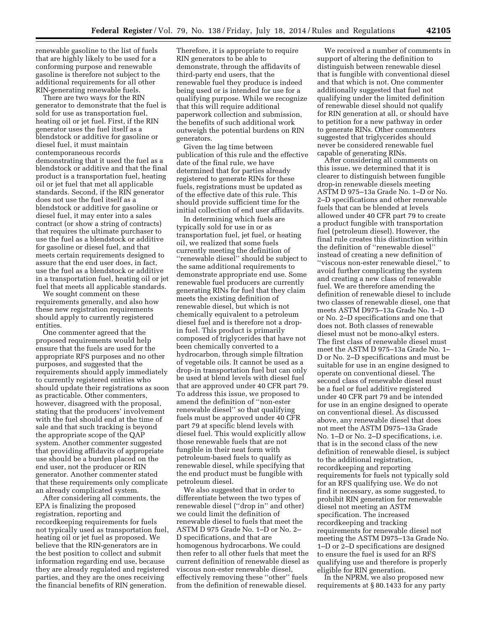renewable gasoline to the list of fuels that are highly likely to be used for a conforming purpose and renewable gasoline is therefore not subject to the additional requirements for all other RIN-generating renewable fuels.

There are two ways for the RIN generator to demonstrate that the fuel is sold for use as transportation fuel, heating oil or jet fuel. First, if the RIN generator uses the fuel itself as a blendstock or additive for gasoline or diesel fuel, it must maintain contemporaneous records demonstrating that it used the fuel as a blendstock or additive and that the final product is a transportation fuel, heating oil or jet fuel that met all applicable standards. Second, if the RIN generator does not use the fuel itself as a blendstock or additive for gasoline or diesel fuel, it may enter into a sales contract (or show a string of contracts) that requires the ultimate purchaser to use the fuel as a blendstock or additive for gasoline or diesel fuel, and that meets certain requirements designed to assure that the end user does, in fact, use the fuel as a blendstock or additive in a transportation fuel, heating oil or jet fuel that meets all applicable standards.

We sought comment on these requirements generally, and also how these new registration requirements should apply to currently registered entities.

One commenter agreed that the proposed requirements would help ensure that the fuels are used for the appropriate RFS purposes and no other purposes, and suggested that the requirements should apply immediately to currently registered entities who should update their registrations as soon as practicable. Other commenters, however, disagreed with the proposal, stating that the producers' involvement with the fuel should end at the time of sale and that such tracking is beyond the appropriate scope of the QAP system. Another commenter suggested that providing affidavits of appropriate use should be a burden placed on the end user, not the producer or RIN generator. Another commenter stated that these requirements only complicate an already complicated system.

After considering all comments, the EPA is finalizing the proposed registration, reporting and recordkeeping requirements for fuels not typically used as transportation fuel, heating oil or jet fuel as proposed. We believe that the RIN-generators are in the best position to collect and submit information regarding end use, because they are already regulated and registered parties, and they are the ones receiving the financial benefits of RIN generation.

Therefore, it is appropriate to require RIN generators to be able to demonstrate, through the affidavits of third-party end users, that the renewable fuel they produce is indeed being used or is intended for use for a qualifying purpose. While we recognize that this will require additional paperwork collection and submission, the benefits of such additional work outweigh the potential burdens on RIN generators.

Given the lag time between publication of this rule and the effective date of the final rule, we have determined that for parties already registered to generate RINs for these fuels, registrations must be updated as of the effective date of this rule. This should provide sufficient time for the initial collection of end user affidavits.

In determining which fuels are typically sold for use in or as transportation fuel, jet fuel, or heating oil, we realized that some fuels currently meeting the definition of ''renewable diesel'' should be subject to the same additional requirements to demonstrate appropriate end use. Some renewable fuel producers are currently generating RINs for fuel that they claim meets the existing definition of renewable diesel, but which is not chemically equivalent to a petroleum diesel fuel and is therefore not a dropin fuel. This product is primarily composed of triglycerides that have not been chemically converted to a hydrocarbon, through simple filtration of vegetable oils. It cannot be used as a drop-in transportation fuel but can only be used at blend levels with diesel fuel that are approved under 40 CFR part 79. To address this issue, we proposed to amend the definition of ''non-ester renewable diesel'' so that qualifying fuels must be approved under 40 CFR part 79 at specific blend levels with diesel fuel. This would explicitly allow those renewable fuels that are not fungible in their neat form with petroleum-based fuels to qualify as renewable diesel, while specifying that the end product must be fungible with petroleum diesel.

We also suggested that in order to differentiate between the two types of renewable diesel (''drop in'' and other) we could limit the definition of renewable diesel to fuels that meet the ASTM D 975 Grade No. 1–D or No. 2– D specifications, and that are homogenous hydrocarbons. We could then refer to all other fuels that meet the current definition of renewable diesel as viscous non-ester renewable diesel, effectively removing these ''other'' fuels from the definition of renewable diesel.

We received a number of comments in support of altering the definition to distinguish between renewable diesel that is fungible with conventional diesel and that which is not. One commenter additionally suggested that fuel not qualifying under the limited definition of renewable diesel should not qualify for RIN generation at all, or should have to petition for a new pathway in order to generate RINs. Other commenters suggested that triglycerides should never be considered renewable fuel capable of generating RINs.

After considering all comments on this issue, we determined that it is clearer to distinguish between fungible drop-in renewable diesels meeting ASTM D 975–13a Grade No. 1–D or No. 2–D specifications and other renewable fuels that can be blended at levels allowed under 40 CFR part 79 to create a product fungible with transportation fuel (petroleum diesel). However, the final rule creates this distinction within the definition of ''renewable diesel'' instead of creating a new definition of ''viscous non-ester renewable diesel,'' to avoid further complicating the system and creating a new class of renewable fuel. We are therefore amending the definition of renewable diesel to include two classes of renewable diesel, one that meets ASTM D975–13a Grade No. 1–D or No. 2–D specifications and one that does not. Both classes of renewable diesel must not be mono-alkyl esters. The first class of renewable diesel must meet the ASTM D 975–13a Grade No. 1– D or No. 2–D specifications and must be suitable for use in an engine designed to operate on conventional diesel. The second class of renewable diesel must be a fuel or fuel additive registered under 40 CFR part 79 and be intended for use in an engine designed to operate on conventional diesel. As discussed above, any renewable diesel that does not meet the ASTM D975–13a Grade No. 1–D or No. 2–D specifications, i.e. that is in the second class of the new definition of renewable diesel, is subject to the additional registration, recordkeeping and reporting requirements for fuels not typically sold for an RFS qualifying use. We do not find it necessary, as some suggested, to prohibit RIN generation for renewable diesel not meeting an ASTM specification. The increased recordkeeping and tracking requirements for renewable diesel not meeting the ASTM D975–13a Grade No. 1–D or 2–D specifications are designed to ensure the fuel is used for an RFS qualifying use and therefore is properly eligible for RIN generation.

In the NPRM, we also proposed new requirements at § 80.1433 for any party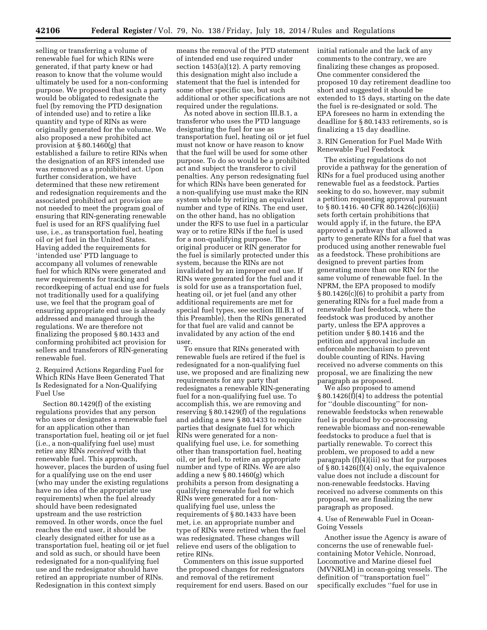selling or transferring a volume of renewable fuel for which RINs were generated, if that party knew or had reason to know that the volume would ultimately be used for a non-conforming purpose. We proposed that such a party would be obligated to redesignate the fuel (by removing the PTD designation of intended use) and to retire a like quantity and type of RINs as were originally generated for the volume. We also proposed a new prohibited act provision at § 80.1460(g) that established a failure to retire RINs when the designation of an RFS intended use was removed as a prohibited act. Upon further consideration, we have determined that these new retirement and redesignation requirements and the associated prohibited act provision are not needed to meet the program goal of ensuring that RIN-generating renewable fuel is used for an RFS qualifying fuel use, i.e., as transportation fuel, heating oil or jet fuel in the United States. Having added the requirements for 'intended use' PTD language to accompany all volumes of renewable fuel for which RINs were generated and new requirements for tracking and recordkeeping of actual end use for fuels not traditionally used for a qualifying use, we feel that the program goal of ensuring appropriate end use is already addressed and managed through the regulations. We are therefore not finalizing the proposed § 80.1433 and conforming prohibited act provision for sellers and transferors of RIN-generating renewable fuel.

2. Required Actions Regarding Fuel for Which RINs Have Been Generated That Is Redesignated for a Non-Qualifying Fuel Use

Section 80.1429(f) of the existing regulations provides that any person who uses or designates a renewable fuel for an application other than transportation fuel, heating oil or jet fuel (i.e., a non-qualifying fuel use) must retire any RINs *received* with that renewable fuel. This approach, however, places the burden of using fuel for a qualifying use on the end user (who may under the existing regulations have no idea of the appropriate use requirements) when the fuel already should have been redesignated upstream and the use restriction removed. In other words, once the fuel reaches the end user, it should be clearly designated either for use as a transportation fuel, heating oil or jet fuel and sold as such, or should have been redesignated for a non-qualifying fuel use and the redesignator should have retired an appropriate number of RINs. Redesignation in this context simply

means the removal of the PTD statement of intended end use required under section 1453(a)(12). A party removing this designation might also include a statement that the fuel is intended for some other specific use, but such additional or other specifications are not required under the regulations.

As noted above in section III.B.1, a transferor who uses the PTD language designating the fuel for use as transportation fuel, heating oil or jet fuel must not know or have reason to know that the fuel will be used for some other purpose. To do so would be a prohibited act and subject the transferor to civil penalties. Any person redesignating fuel for which RINs have been generated for a non-qualifying use must make the RIN system whole by retiring an equivalent number and type of RINs. The end user, on the other hand, has no obligation under the RFS to use fuel in a particular way or to retire RINs if the fuel is used for a non-qualifying purpose. The original producer or RIN generator for the fuel is similarly protected under this system, because the RINs are not invalidated by an improper end use. If RINs were generated for the fuel and it is sold for use as a transportation fuel, heating oil, or jet fuel (and any other additional requirements are met for special fuel types, see section III.B.1 of this Preamble), then the RINs generated for that fuel are valid and cannot be invalidated by any action of the end user.

To ensure that RINs generated with renewable fuels are retired if the fuel is redesignated for a non-qualifying fuel use, we proposed and are finalizing new requirements for any party that redesignates a renewable RIN-generating fuel for a non-qualifying fuel use. To accomplish this, we are removing and reserving § 80.1429(f) of the regulations and adding a new § 80.1433 to require parties that designate fuel for which RINs were generated for a nonqualifying fuel use, i.e. for something other than transportation fuel, heating oil, or jet fuel, to retire an appropriate number and type of RINs. We are also adding a new § 80.1460(g) which prohibits a person from designating a qualifying renewable fuel for which RINs were generated for a nonqualifying fuel use, unless the requirements of § 80.1433 have been met, i.e. an appropriate number and type of RINs were retired when the fuel was redesignated. These changes will relieve end users of the obligation to retire RINs.

Commenters on this issue supported the proposed changes for redesignators and removal of the retirement requirement for end users. Based on our initial rationale and the lack of any comments to the contrary, we are finalizing these changes as proposed. One commenter considered the proposed 10 day retirement deadline too short and suggested it should be extended to 15 days, starting on the date the fuel is re-designated or sold. The EPA foresees no harm in extending the deadline for § 80.1433 retirements, so is finalizing a 15 day deadline.

3. RIN Generation for Fuel Made With Renewable Fuel Feedstock

The existing regulations do not provide a pathway for the generation of RINs for a fuel produced using another renewable fuel as a feedstock. Parties seeking to do so, however, may submit a petition requesting approval pursuant to § 80.1416. 40 CFR 80.1426(c)(6)(ii) sets forth certain prohibitions that would apply if, in the future, the EPA approved a pathway that allowed a party to generate RINs for a fuel that was produced using another renewable fuel as a feedstock. These prohibitions are designed to prevent parties from generating more than one RIN for the same volume of renewable fuel. In the NPRM, the EPA proposed to modify § 80.1426(c)(6) to prohibit a party from generating RINs for a fuel made from a renewable fuel feedstock, where the feedstock was produced by another party, unless the EPA approves a petition under § 80.1416 and the petition and approval include an enforceable mechanism to prevent double counting of RINs. Having received no adverse comments on this proposal, we are finalizing the new paragraph as proposed.

We also proposed to amend § 80.1426(f)(4) to address the potential for ''double discounting'' for nonrenewable feedstocks when renewable fuel is produced by co-processing renewable biomass and non-renewable feedstocks to produce a fuel that is partially renewable. To correct this problem, we proposed to add a new paragraph  $(f)(4)(iii)$  so that for purposes of § 80.1426(f)(4) only, the equivalence value does not include a discount for non-renewable feedstocks. Having received no adverse comments on this proposal, we are finalizing the new paragraph as proposed.

4. Use of Renewable Fuel in Ocean-Going Vessels

Another issue the Agency is aware of concerns the use of renewable fuelcontaining Motor Vehicle, Nonroad, Locomotive and Marine diesel fuel (MVNRLM) in ocean-going vessels. The definition of ''transportation fuel'' specifically excludes ''fuel for use in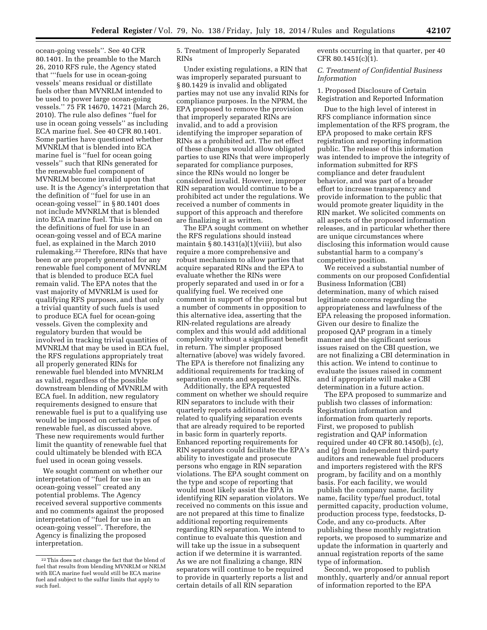ocean-going vessels''. See 40 CFR 80.1401. In the preamble to the March 26, 2010 RFS rule, the Agency stated that '''fuels for use in ocean-going vessels' means residual or distillate fuels other than MVNRLM intended to be used to power large ocean-going vessels.'' 75 FR 14670, 14721 (March 26, 2010). The rule also defines ''fuel for use in ocean going vessels'' as including ECA marine fuel. See 40 CFR 80.1401. Some parties have questioned whether MVNRLM that is blended into ECA marine fuel is ''fuel for ocean going vessels'' such that RINs generated for the renewable fuel component of MVNRLM become invalid upon that use. It is the Agency's interpretation that the definition of ''fuel for use in an ocean-going vessel'' in § 80.1401 does not include MVNRLM that is blended into ECA marine fuel. This is based on the definitions of fuel for use in an ocean-going vessel and of ECA marine fuel, as explained in the March 2010 rulemaking.22 Therefore, RINs that have been or are properly generated for any renewable fuel component of MVNRLM that is blended to produce ECA fuel remain valid. The EPA notes that the vast majority of MVNRLM is used for qualifying RFS purposes, and that only a trivial quantity of such fuels is used to produce ECA fuel for ocean-going vessels. Given the complexity and regulatory burden that would be involved in tracking trivial quantities of MVNRLM that may be used in ECA fuel, the RFS regulations appropriately treat all properly generated RINs for renewable fuel blended into MVNRLM as valid, regardless of the possible downstream blending of MVNRLM with ECA fuel. In addition, new regulatory requirements designed to ensure that renewable fuel is put to a qualifying use would be imposed on certain types of renewable fuel, as discussed above. These new requirements would further limit the quantity of renewable fuel that could ultimately be blended with ECA fuel used in ocean going vessels.

We sought comment on whether our interpretation of ''fuel for use in an ocean-going vessel'' created any potential problems. The Agency received several supportive comments and no comments against the proposed interpretation of ''fuel for use in an ocean-going vessel''. Therefore, the Agency is finalizing the proposed interpretation.

5. Treatment of Improperly Separated RINs

Under existing regulations, a RIN that was improperly separated pursuant to § 80.1429 is invalid and obligated parties may not use any invalid RINs for compliance purposes. In the NPRM, the EPA proposed to remove the provision that improperly separated RINs are invalid, and to add a provision identifying the improper separation of RINs as a prohibited act. The net effect of these changes would allow obligated parties to use RINs that were improperly separated for compliance purposes, since the RINs would no longer be considered invalid. However, improper RIN separation would continue to be a prohibited act under the regulations. We received a number of comments in support of this approach and therefore are finalizing it as written.

The EPA sought comment on whether the RFS regulations should instead maintain  $\S 80.1431(a)(1)(viii)$ , but also require a more comprehensive and robust mechanism to allow parties that acquire separated RINs and the EPA to evaluate whether the RINs were properly separated and used in or for a qualifying fuel. We received one comment in support of the proposal but a number of comments in opposition to this alternative idea, asserting that the RIN-related regulations are already complex and this would add additional complexity without a significant benefit in return. The simpler proposed alternative (above) was widely favored. The EPA is therefore not finalizing any additional requirements for tracking of separation events and separated RINs.

Additionally, the EPA requested comment on whether we should require RIN separators to include with their quarterly reports additional records related to qualifying separation events that are already required to be reported in basic form in quarterly reports. Enhanced reporting requirements for RIN separators could facilitate the EPA's ability to investigate and prosecute persons who engage in RIN separation violations. The EPA sought comment on the type and scope of reporting that would most likely assist the EPA in identifying RIN separation violators. We received no comments on this issue and are not prepared at this time to finalize additional reporting requirements regarding RIN separation. We intend to continue to evaluate this question and will take up the issue in a subsequent action if we determine it is warranted. As we are not finalizing a change, RIN separators will continue to be required to provide in quarterly reports a list and certain details of all RIN separation

events occurring in that quarter, per 40 CFR 80.1451(c)(1).

# *C. Treatment of Confidential Business Information*

1. Proposed Disclosure of Certain Registration and Reported Information

Due to the high level of interest in RFS compliance information since implementation of the RFS program, the EPA proposed to make certain RFS registration and reporting information public. The release of this information was intended to improve the integrity of information submitted for RFS compliance and deter fraudulent behavior, and was part of a broader effort to increase transparency and provide information to the public that would promote greater liquidity in the RIN market. We solicited comments on all aspects of the proposed information releases, and in particular whether there are unique circumstances where disclosing this information would cause substantial harm to a company's competitive position.

We received a substantial number of comments on our proposed Confidential Business Information (CBI) determination, many of which raised legitimate concerns regarding the appropriateness and lawfulness of the EPA releasing the proposed information. Given our desire to finalize the proposed QAP program in a timely manner and the significant serious issues raised on the CBI question, we are not finalizing a CBI determination in this action. We intend to continue to evaluate the issues raised in comment and if appropriate will make a CBI determination in a future action.

The EPA proposed to summarize and publish two classes of information: Registration information and information from quarterly reports. First, we proposed to publish registration and QAP information required under 40 CFR 80.1450(b), (c), and (g) from independent third-party auditors and renewable fuel producers and importers registered with the RFS program, by facility and on a monthly basis. For each facility, we would publish the company name, facility name, facility type/fuel product, total permitted capacity, production volume, production process type, feedstocks, D-Code, and any co-products. After publishing these monthly registration reports, we proposed to summarize and update the information in quarterly and annual registration reports of the same type of information.

Second, we proposed to publish monthly, quarterly and/or annual report of information reported to the EPA

<sup>22</sup>This does not change the fact that the blend of fuel that results from blending MVNRLM or NRLM with ECA marine fuel would still be ECA marine fuel and subject to the sulfur limits that apply to such fuel.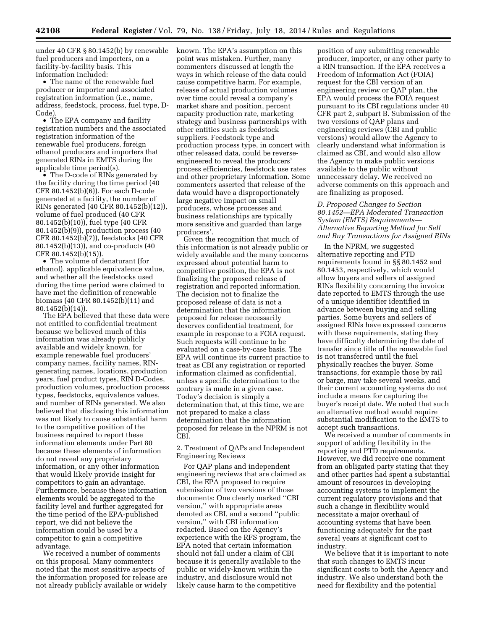under 40 CFR § 80.1452(b) by renewable fuel producers and importers, on a facility-by-facility basis. This information included:

• The name of the renewable fuel producer or importer and associated registration information (i.e., name, address, feedstock, process, fuel type, D-Code).

• The EPA company and facility registration numbers and the associated registration information of the renewable fuel producers, foreign ethanol producers and importers that generated RINs in EMTS during the applicable time period(s).

• The D-code of RINs generated by the facility during the time period (40 CFR 80.1452(b)(6)). For each D-code generated at a facility, the number of RINs generated (40 CFR 80.1452(b)(12)), volume of fuel produced (40 CFR 80.1452(b)(10)), fuel type (40 CFR 80.1452(b)(9)), production process (40 CFR 80.1452(b)(7)), feedstocks (40 CFR 80.1452(b)(13)), and co-products (40 CFR 80.1452(b)(15)).

• The volume of denaturant (for ethanol), applicable equivalence value, and whether all the feedstocks used during the time period were claimed to have met the definition of renewable biomass (40 CFR 80.1452(b)(11) and 80.1452(b)(14)).

The EPA believed that these data were not entitled to confidential treatment because we believed much of this information was already publicly available and widely known, for example renewable fuel producers' company names, facility names, RINgenerating names, locations, production years, fuel product types, RIN D-Codes, production volumes, production process types, feedstocks, equivalence values, and number of RINs generated. We also believed that disclosing this information was not likely to cause substantial harm to the competitive position of the business required to report these information elements under Part 80 because these elements of information do not reveal any proprietary information, or any other information that would likely provide insight for competitors to gain an advantage. Furthermore, because these information elements would be aggregated to the facility level and further aggregated for the time period of the EPA-published report, we did not believe the information could be used by a competitor to gain a competitive advantage.

We received a number of comments on this proposal. Many commenters noted that the most sensitive aspects of the information proposed for release are not already publicly available or widely

known. The EPA's assumption on this point was mistaken. Further, many commenters discussed at length the ways in which release of the data could cause competitive harm. For example, release of actual production volumes over time could reveal a company's market share and position, percent capacity production rate, marketing strategy and business partnerships with other entities such as feedstock suppliers. Feedstock type and production process type, in concert with other released data, could be reverseengineered to reveal the producers' process efficiencies, feedstock use rates and other proprietary information. Some commenters asserted that release of the data would have a disproportionately large negative impact on small producers, whose processes and business relationships are typically more sensitive and guarded than large producers'.

Given the recognition that much of this information is not already public or widely available and the many concerns expressed about potential harm to competitive position, the EPA is not finalizing the proposed release of registration and reported information. The decision not to finalize the proposed release of data is not a determination that the information proposed for release necessarily deserves confidential treatment, for example in response to a FOIA request. Such requests will continue to be evaluated on a case-by-case basis. The EPA will continue its current practice to treat as CBI any registration or reported information claimed as confidential, unless a specific determination to the contrary is made in a given case. Today's decision is simply a determination that, at this time, we are not prepared to make a class determination that the information proposed for release in the NPRM is not CBI.

2. Treatment of QAPs and Independent Engineering Reviews

For QAP plans and independent engineering reviews that are claimed as CBI, the EPA proposed to require submission of two versions of those documents: One clearly marked ''CBI version,'' with appropriate areas denoted as CBI, and a second ''public version,'' with CBI information redacted. Based on the Agency's experience with the RFS program, the EPA noted that certain information should not fall under a claim of CBI because it is generally available to the public or widely-known within the industry, and disclosure would not likely cause harm to the competitive

position of any submitting renewable producer, importer, or any other party to a RIN transaction. If the EPA receives a Freedom of Information Act (FOIA) request for the CBI version of an engineering review or QAP plan, the EPA would process the FOIA request pursuant to its CBI regulations under 40 CFR part 2, subpart B. Submission of the two versions of QAP plans and engineering reviews (CBI and public versions) would allow the Agency to clearly understand what information is claimed as CBI, and would also allow the Agency to make public versions available to the public without unnecessary delay. We received no adverse comments on this approach and are finalizing as proposed.

*D. Proposed Changes to Section 80.1452—EPA Moderated Transaction System (EMTS) Requirements— Alternative Reporting Method for Sell and Buy Transactions for Assigned RINs* 

In the NPRM, we suggested alternative reporting and PTD requirements found in §§ 80.1452 and 80.1453, respectively, which would allow buyers and sellers of assigned RINs flexibility concerning the invoice date reported to EMTS through the use of a unique identifier identified in advance between buying and selling parties. Some buyers and sellers of assigned RINs have expressed concerns with these requirements, stating they have difficulty determining the date of transfer since title of the renewable fuel is not transferred until the fuel physically reaches the buyer. Some transactions, for example those by rail or barge, may take several weeks, and their current accounting systems do not include a means for capturing the buyer's receipt date. We noted that such an alternative method would require substantial modification to the EMTS to accept such transactions.

We received a number of comments in support of adding flexibility in the reporting and PTD requirements. However, we did receive one comment from an obligated party stating that they and other parties had spent a substantial amount of resources in developing accounting systems to implement the current regulatory provisions and that such a change in flexibility would necessitate a major overhaul of accounting systems that have been functioning adequately for the past several years at significant cost to industry.

We believe that it is important to note that such changes to EMTS incur significant costs to both the Agency and industry. We also understand both the need for flexibility and the potential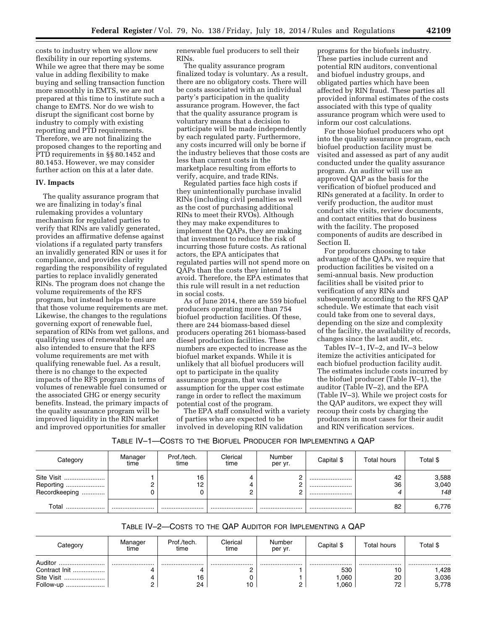costs to industry when we allow new flexibility in our reporting systems. While we agree that there may be some value in adding flexibility to make buying and selling transaction function more smoothly in EMTS, we are not prepared at this time to institute such a change to EMTS. Nor do we wish to disrupt the significant cost borne by industry to comply with existing reporting and PTD requirements. Therefore, we are not finalizing the proposed changes to the reporting and PTD requirements in §§ 80.1452 and 80.1453. However, we may consider further action on this at a later date.

# **IV. Impacts**

The quality assurance program that we are finalizing in today's final rulemaking provides a voluntary mechanism for regulated parties to verify that RINs are validly generated, provides an affirmative defense against violations if a regulated party transfers an invalidly generated RIN or uses it for compliance, and provides clarity regarding the responsibility of regulated parties to replace invalidly generated RINs. The program does not change the volume requirements of the RFS program, but instead helps to ensure that those volume requirements are met. Likewise, the changes to the regulations governing export of renewable fuel, separation of RINs from wet gallons, and qualifying uses of renewable fuel are also intended to ensure that the RFS volume requirements are met with qualifying renewable fuel. As a result, there is no change to the expected impacts of the RFS program in terms of volumes of renewable fuel consumed or the associated GHG or energy security benefits. Instead, the primary impacts of the quality assurance program will be improved liquidity in the RIN market and improved opportunities for smaller

renewable fuel producers to sell their RINs.

The quality assurance program finalized today is voluntary. As a result, there are no obligatory costs. There will be costs associated with an individual party's participation in the quality assurance program. However, the fact that the quality assurance program is voluntary means that a decision to participate will be made independently by each regulated party. Furthermore, any costs incurred will only be borne if the industry believes that those costs are less than current costs in the marketplace resulting from efforts to verify, acquire, and trade RINs.

Regulated parties face high costs if they unintentionally purchase invalid RINs (including civil penalties as well as the cost of purchasing additional RINs to meet their RVOs). Although they may make expenditures to implement the QAPs, they are making that investment to reduce the risk of incurring those future costs. As rational actors, the EPA anticipates that regulated parties will not spend more on QAPs than the costs they intend to avoid. Therefore, the EPA estimates that this rule will result in a net reduction in social costs.

As of June 2014, there are 559 biofuel producers operating more than 754 biofuel production facilities. Of these, there are 244 biomass-based diesel producers operating 261 biomass-based diesel production facilities. These numbers are expected to increase as the biofuel market expands. While it is unlikely that all biofuel producers will opt to participate in the quality assurance program, that was the assumption for the upper cost estimate range in order to reflect the maximum potential cost of the program.

The EPA staff consulted with a variety of parties who are expected to be involved in developing RIN validation

programs for the biofuels industry. These parties include current and potential RIN auditors, conventional and biofuel industry groups, and obligated parties which have been affected by RIN fraud. These parties all provided informal estimates of the costs associated with this type of quality assurance program which were used to inform our cost calculations.

For those biofuel producers who opt into the quality assurance program, each biofuel production facility must be visited and assessed as part of any audit conducted under the quality assurance program. An auditor will use an approved QAP as the basis for the verification of biofuel produced and RINs generated at a facility. In order to verify production, the auditor must conduct site visits, review documents, and contact entities that do business with the facility. The proposed components of audits are described in Section II.

For producers choosing to take advantage of the QAPs, we require that production facilities be visited on a semi-annual basis. New production facilities shall be visited prior to verification of any RINs and subsequently according to the RFS QAP schedule. We estimate that each visit could take from one to several days, depending on the size and complexity of the facility, the availability of records, changes since the last audit, etc.

Tables IV–1, IV–2, and IV–3 below itemize the activities anticipated for each biofuel production facility audit. The estimates include costs incurred by the biofuel producer (Table IV–1), the auditor (Table IV–2), and the EPA (Table IV–3). While we project costs for the QAP auditors, we expect they will recoup their costs by charging the producers in most cases for their audit and RIN verification services.

| Table IV-1—Costs to the Biofuel Producer for Implementing a QAP |  |
|-----------------------------------------------------------------|--|
|-----------------------------------------------------------------|--|

| Category                                      | Manager<br>time | Prof./tech.<br>time | Clerical<br>time | Number<br>per yr. | Capital \$ | Total hours | Total \$              |
|-----------------------------------------------|-----------------|---------------------|------------------|-------------------|------------|-------------|-----------------------|
| Site Visit<br>Reporting<br>Recordkeeping<br>. |                 | 16<br>12            | 4<br>4           |                   | <br><br>   | 42<br>36    | 3,588<br>3,040<br>148 |
| Total<br>                                     |                 |                     |                  |                   |            | 82          | 6,776                 |

# TABLE IV–2—COSTS TO THE QAP AUDITOR FOR IMPLEMENTING A QAP

| Category      | Manager<br>time | Prof./tech.<br>time | Clerical<br>time | Number<br>per yr. | Capital \$ | Total hours | Total \$ |
|---------------|-----------------|---------------------|------------------|-------------------|------------|-------------|----------|
| Auditor<br>   |                 |                     |                  |                   |            |             |          |
| Contract Init |                 |                     |                  |                   | 530        |             | 428. ا   |
| Site Visit    |                 | 16                  |                  |                   | .060       | 20          | 3,036    |
| Follow-up     |                 | 24                  | 10               |                   | 060.       | 72          | 5,778    |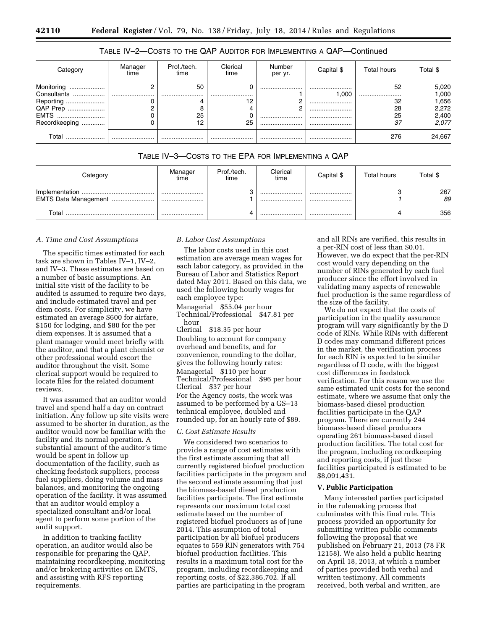# TABLE IV–2—COSTS TO THE QAP AUDITOR FOR IMPLEMENTING A QAP—Continued

| Categon                                                                             | Manager<br>time | Prof./tech.<br>time | Clerical<br>time  | Number<br>per yr. | Capital \$               | Total hours                    | Total \$                                            |
|-------------------------------------------------------------------------------------|-----------------|---------------------|-------------------|-------------------|--------------------------|--------------------------------|-----------------------------------------------------|
| Monitoring<br><br>Consultants<br>Reporting<br>QAP Prep<br>EMTS<br>Recordkeeping<br> |                 | 50<br><br>25<br>12  | υ<br><br>12<br>25 | <br><br>          | <br>.000<br><br><br><br> | 52<br><br>32<br>28<br>25<br>37 | 5,020<br>1,000<br>656. ا<br>2,272<br>2,400<br>2,077 |
| Total                                                                               |                 |                     |                   |                   |                          | 276                            | 24,667                                              |

# TABLE IV–3—COSTS TO THE EPA FOR IMPLEMENTING A QAP

| Category             | Manager<br>time | Prof./tech.<br>time | Clerical<br>time | Capital \$ | Total hours | Total \$  |
|----------------------|-----------------|---------------------|------------------|------------|-------------|-----------|
| EMTS Data Management | <br>            |                     | <br>             | <br>       |             | 267<br>89 |
| Total                |                 |                     |                  |            |             | 356       |

#### *A. Time and Cost Assumptions*

The specific times estimated for each task are shown in Tables IV–1, IV–2, and IV–3. These estimates are based on a number of basic assumptions. An initial site visit of the facility to be audited is assumed to require two days, and include estimated travel and per diem costs. For simplicity, we have estimated an average \$600 for airfare, \$150 for lodging, and \$80 for the per diem expenses. It is assumed that a plant manager would meet briefly with the auditor, and that a plant chemist or other professional would escort the auditor throughout the visit. Some clerical support would be required to locate files for the related document reviews.

It was assumed that an auditor would travel and spend half a day on contract initiation. Any follow up site visits were assumed to be shorter in duration, as the auditor would now be familiar with the facility and its normal operation. A substantial amount of the auditor's time would be spent in follow up documentation of the facility, such as checking feedstock suppliers, process fuel suppliers, doing volume and mass balances, and monitoring the ongoing operation of the facility. It was assumed that an auditor would employ a specialized consultant and/or local agent to perform some portion of the audit support.

In addition to tracking facility operation, an auditor would also be responsible for preparing the QAP, maintaining recordkeeping, monitoring and/or brokering activities on EMTS, and assisting with RFS reporting requirements.

# *B. Labor Cost Assumptions*

The labor costs used in this cost estimation are average mean wages for each labor category, as provided in the Bureau of Labor and Statistics Report dated May 2011. Based on this data, we used the following hourly wages for each employee type:

Managerial \$55.04 per hour Technical/Professional \$47.81 per hour

Clerical \$18.35 per hour Doubling to account for company overhead and benefits, and for convenience, rounding to the dollar, gives the following hourly rates: Managerial \$110 per hour Technical/Professional \$96 per hour Clerical \$37 per hour For the Agency costs, the work was assumed to be performed by a GS–13 technical employee, doubled and rounded up, for an hourly rate of \$89.

#### *C. Cost Estimate Results*

We considered two scenarios to provide a range of cost estimates with the first estimate assuming that all currently registered biofuel production facilities participate in the program and the second estimate assuming that just the biomass-based diesel production facilities participate. The first estimate represents our maximum total cost estimate based on the number of registered biofuel producers as of June 2014. This assumption of total participation by all biofuel producers equates to 559 RIN generators with 754 biofuel production facilities. This results in a maximum total cost for the program, including recordkeeping and reporting costs, of \$22,386,702. If all parties are participating in the program

and all RINs are verified, this results in a per-RIN cost of less than \$0.01. However, we do expect that the per-RIN cost would vary depending on the number of RINs generated by each fuel producer since the effort involved in validating many aspects of renewable fuel production is the same regardless of the size of the facility.

We do not expect that the costs of participation in the quality assurance program will vary significantly by the D code of RINs. While RINs with different D codes may command different prices in the market, the verification process for each RIN is expected to be similar regardless of D code, with the biggest cost differences in feedstock verification. For this reason we use the same estimated unit costs for the second estimate, where we assume that only the biomass-based diesel production facilities participate in the QAP program. There are currently 244 biomass-based diesel producers operating 261 biomass-based diesel production facilities. The total cost for the program, including recordkeeping and reporting costs, if just these facilities participated is estimated to be \$8,091,431.

# **V. Public Participation**

Many interested parties participated in the rulemaking process that culminates with this final rule. This process provided an opportunity for submitting written public comments following the proposal that we published on February 21, 2013 (78 FR 12158). We also held a public hearing on April 18, 2013, at which a number of parties provided both verbal and written testimony. All comments received, both verbal and written, are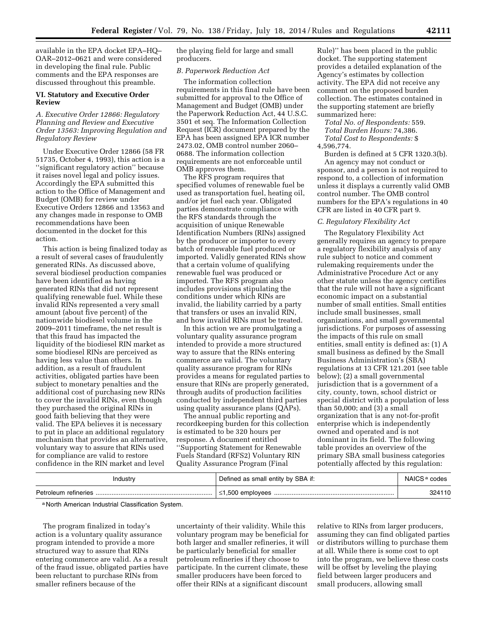available in the EPA docket EPA–HQ– OAR–2012–0621 and were considered in developing the final rule. Public comments and the EPA responses are discussed throughout this preamble.

# **VI. Statutory and Executive Order Review**

# *A. Executive Order 12866: Regulatory Planning and Review and Executive Order 13563: Improving Regulation and Regulatory Review*

Under Executive Order 12866 (58 FR 51735, October 4, 1993), this action is a ''significant regulatory action'' because it raises novel legal and policy issues. Accordingly the EPA submitted this action to the Office of Management and Budget (OMB) for review under Executive Orders 12866 and 13563 and any changes made in response to OMB recommendations have been documented in the docket for this action.

This action is being finalized today as a result of several cases of fraudulently generated RINs. As discussed above, several biodiesel production companies have been identified as having generated RINs that did not represent qualifying renewable fuel. While these invalid RINs represented a very small amount (about five percent) of the nationwide biodiesel volume in the 2009–2011 timeframe, the net result is that this fraud has impacted the liquidity of the biodiesel RIN market as some biodiesel RINs are perceived as having less value than others. In addition, as a result of fraudulent activities, obligated parties have been subject to monetary penalties and the additional cost of purchasing new RINs to cover the invalid RINs, even though they purchased the original RINs in good faith believing that they were valid. The EPA believes it is necessary to put in place an additional regulatory mechanism that provides an alternative, voluntary way to assure that RINs used for compliance are valid to restore confidence in the RIN market and level

the playing field for large and small producers.

# *B. Paperwork Reduction Act*

The information collection requirements in this final rule have been submitted for approval to the Office of Management and Budget (OMB) under the Paperwork Reduction Act, 44 U.S.C. 3501 et seq. The Information Collection Request (ICR) document prepared by the EPA has been assigned EPA ICR number 2473.02, OMB control number 2060– 0688. The information collection requirements are not enforceable until OMB approves them.

The RFS program requires that specified volumes of renewable fuel be used as transportation fuel, heating oil, and/or jet fuel each year. Obligated parties demonstrate compliance with the RFS standards through the acquisition of unique Renewable Identification Numbers (RINs) assigned by the producer or importer to every batch of renewable fuel produced or imported. Validly generated RINs show that a certain volume of qualifying renewable fuel was produced or imported. The RFS program also includes provisions stipulating the conditions under which RINs are invalid, the liability carried by a party that transfers or uses an invalid RIN, and how invalid RINs must be treated.

In this action we are promulgating a voluntary quality assurance program intended to provide a more structured way to assure that the RINs entering commerce are valid. The voluntary quality assurance program for RINs provides a means for regulated parties to ensure that RINs are properly generated, through audits of production facilities conducted by independent third parties using quality assurance plans (QAPs).

The annual public reporting and recordkeeping burden for this collection is estimated to be 320 hours per response. A document entitled ''Supporting Statement for Renewable Fuels Standard (RFS2) Voluntary RIN Quality Assurance Program (Final

Rule)'' has been placed in the public docket. The supporting statement provides a detailed explanation of the Agency's estimates by collection activity. The EPA did not receive any comment on the proposed burden collection. The estimates contained in the supporting statement are briefly summarized here:

# *Total No. of Respondents:* 559. *Total Burden Hours:* 74,386. *Total Cost to Respondents:* \$ 4,596,774.

Burden is defined at 5 CFR 1320.3(b). An agency may not conduct or sponsor, and a person is not required to respond to, a collection of information unless it displays a currently valid OMB control number. The OMB control numbers for the EPA's regulations in 40 CFR are listed in 40 CFR part 9.

# *C. Regulatory Flexibility Act*

The Regulatory Flexibility Act generally requires an agency to prepare a regulatory flexibility analysis of any rule subject to notice and comment rulemaking requirements under the Administrative Procedure Act or any other statute unless the agency certifies that the rule will not have a significant economic impact on a substantial number of small entities. Small entities include small businesses, small organizations, and small governmental jurisdictions. For purposes of assessing the impacts of this rule on small entities, small entity is defined as: (1) A small business as defined by the Small Business Administration's (SBA) regulations at 13 CFR 121.201 (see table below); (2) a small governmental jurisdiction that is a government of a city, county, town, school district or special district with a population of less than 50,000; and (3) a small organization that is any not-for-profit enterprise which is independently owned and operated and is not dominant in its field. The following table provides an overview of the primary SBA small business categories potentially affected by this regulation:

| Industry | Defined as small entity by SBA if: | NAICS <sup>a</sup> codes |
|----------|------------------------------------|--------------------------|
|          |                                    | 324110                   |

a North American Industrial Classification System.

The program finalized in today's action is a voluntary quality assurance program intended to provide a more structured way to assure that RINs entering commerce are valid. As a result of the fraud issue, obligated parties have been reluctant to purchase RINs from smaller refiners because of the

uncertainty of their validity. While this voluntary program may be beneficial for both larger and smaller refineries, it will be particularly beneficial for smaller petroleum refineries if they choose to participate. In the current climate, these smaller producers have been forced to offer their RINs at a significant discount

relative to RINs from larger producers, assuming they can find obligated parties or distributors willing to purchase them at all. While there is some cost to opt into the program, we believe these costs will be offset by leveling the playing field between larger producers and small producers, allowing small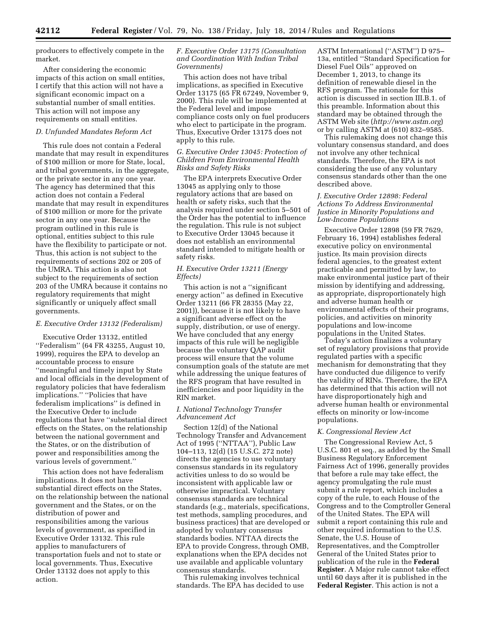producers to effectively compete in the market.

After considering the economic impacts of this action on small entities, I certify that this action will not have a significant economic impact on a substantial number of small entities. This action will not impose any requirements on small entities.

# *D. Unfunded Mandates Reform Act*

This rule does not contain a Federal mandate that may result in expenditures of \$100 million or more for State, local, and tribal governments, in the aggregate, or the private sector in any one year. The agency has determined that this action does not contain a Federal mandate that may result in expenditures of \$100 million or more for the private sector in any one year. Because the program outlined in this rule is optional, entities subject to this rule have the flexibility to participate or not. Thus, this action is not subject to the requirements of sections 202 or 205 of the UMRA. This action is also not subject to the requirements of section 203 of the UMRA because it contains no regulatory requirements that might significantly or uniquely affect small governments.

# *E. Executive Order 13132 (Federalism)*

Executive Order 13132, entitled ''Federalism'' (64 FR 43255, August 10, 1999), requires the EPA to develop an accountable process to ensure ''meaningful and timely input by State and local officials in the development of regulatory policies that have federalism implications.'' ''Policies that have federalism implications'' is defined in the Executive Order to include regulations that have ''substantial direct effects on the States, on the relationship between the national government and the States, or on the distribution of power and responsibilities among the various levels of government.''

This action does not have federalism implications. It does not have substantial direct effects on the States, on the relationship between the national government and the States, or on the distribution of power and responsibilities among the various levels of government, as specified in Executive Order 13132. This rule applies to manufacturers of transportation fuels and not to state or local governments. Thus, Executive Order 13132 does not apply to this action.

# *F. Executive Order 13175 (Consultation and Coordination With Indian Tribal Governments)*

This action does not have tribal implications, as specified in Executive Order 13175 (65 FR 67249, November 9, 2000). This rule will be implemented at the Federal level and impose compliance costs only on fuel producers who elect to participate in the program. Thus, Executive Order 13175 does not apply to this rule.

# *G. Executive Order 13045: Protection of Children From Environmental Health Risks and Safety Risks*

The EPA interprets Executive Order 13045 as applying only to those regulatory actions that are based on health or safety risks, such that the analysis required under section 5–501 of the Order has the potential to influence the regulation. This rule is not subject to Executive Order 13045 because it does not establish an environmental standard intended to mitigate health or safety risks.

# *H. Executive Order 13211 (Energy Effects)*

This action is not a ''significant energy action'' as defined in Executive Order 13211 (66 FR 28355 (May 22, 2001)), because it is not likely to have a significant adverse effect on the supply, distribution, or use of energy. We have concluded that any energy impacts of this rule will be negligible because the voluntary QAP audit process will ensure that the volume consumption goals of the statute are met while addressing the unique features of the RFS program that have resulted in inefficiencies and poor liquidity in the RIN market.

# *I. National Technology Transfer Advancement Act*

Section 12(d) of the National Technology Transfer and Advancement Act of 1995 (''NTTAA''), Public Law 104–113, 12(d) (15 U.S.C. 272 note) directs the agencies to use voluntary consensus standards in its regulatory activities unless to do so would be inconsistent with applicable law or otherwise impractical. Voluntary consensus standards are technical standards (e.g., materials, specifications, test methods, sampling procedures, and business practices) that are developed or adopted by voluntary consensus standards bodies. NTTAA directs the EPA to provide Congress, through OMB, explanations when the EPA decides not use available and applicable voluntary consensus standards.

This rulemaking involves technical standards. The EPA has decided to use

ASTM International (''ASTM'') D 975– 13a, entitled ''Standard Specification for Diesel Fuel Oils'' approved on December 1, 2013, to change its definition of renewable diesel in the RFS program. The rationale for this action is discussed in section III.B.1. of this preamble. Information about this standard may be obtained through the ASTM Web site (*<http://www.astm.org>*) or by calling ASTM at (610) 832–9585.

This rulemaking does not change this voluntary consensus standard, and does not involve any other technical standards. Therefore, the EPA is not considering the use of any voluntary consensus standards other than the one described above.

# *J. Executive Order 12898: Federal Actions To Address Environmental Justice in Minority Populations and Low-Income Populations*

Executive Order 12898 (59 FR 7629, February 16, 1994) establishes federal executive policy on environmental justice. Its main provision directs federal agencies, to the greatest extent practicable and permitted by law, to make environmental justice part of their mission by identifying and addressing, as appropriate, disproportionately high and adverse human health or environmental effects of their programs, policies, and activities on minority populations and low-income populations in the United States.

Today's action finalizes a voluntary set of regulatory provisions that provide regulated parties with a specific mechanism for demonstrating that they have conducted due diligence to verify the validity of RINs. Therefore, the EPA has determined that this action will not have disproportionately high and adverse human health or environmental effects on minority or low-income populations.

# *K. Congressional Review Act*

The Congressional Review Act, 5 U.S.C. 801 et seq., as added by the Small Business Regulatory Enforcement Fairness Act of 1996, generally provides that before a rule may take effect, the agency promulgating the rule must submit a rule report, which includes a copy of the rule, to each House of the Congress and to the Comptroller General of the United States. The EPA will submit a report containing this rule and other required information to the U.S. Senate, the U.S. House of Representatives, and the Comptroller General of the United States prior to publication of the rule in the **Federal Register**. A Major rule cannot take effect until 60 days after it is published in the **Federal Register**. This action is not a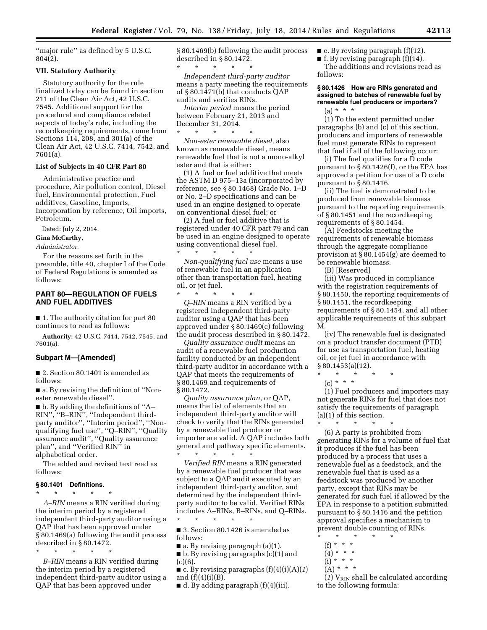''major rule'' as defined by 5 U.S.C. 804(2).

# **VII. Statutory Authority**

Statutory authority for the rule finalized today can be found in section 211 of the Clean Air Act, 42 U.S.C. 7545. Additional support for the procedural and compliance related aspects of today's rule, including the recordkeeping requirements, come from Sections 114, 208, and 301(a) of the Clean Air Act, 42 U.S.C. 7414, 7542, and 7601(a).

# **List of Subjects in 40 CFR Part 80**

Administrative practice and procedure, Air pollution control, Diesel fuel, Environmental protection, Fuel additives, Gasoline, Imports, Incorporation by reference, Oil imports, Petroleum.

Dated: July 2, 2014.

# **Gina McCarthy,**

*Administrator.* 

For the reasons set forth in the preamble, title 40, chapter I of the Code of Federal Regulations is amended as follows:

# **PART 80—REGULATION OF FUELS AND FUEL ADDITIVES**

■ 1. The authority citation for part 80 continues to read as follows:

**Authority:** 42 U.S.C. 7414, 7542, 7545, and 7601(a).

# **Subpart M—[Amended]**

■ 2. Section 80.1401 is amended as follows:

■ a. By revising the definition of "Nonester renewable diesel''.

 $\blacksquare$  b. By adding the definitions of "A-RIN'', ''B–RIN'', ''Independent thirdparty auditor'', ''Interim period'', ''Nonqualifying fuel use'', ''Q–RIN'', ''Quality assurance audit'', ''Quality assurance plan'', and ''Verified RIN'' in alphabetical order.

The added and revised text read as follows:

#### **§ 80.1401 Definitions.**

\* \* \* \* \* *A–RIN* means a RIN verified during the interim period by a registered independent third-party auditor using a QAP that has been approved under § 80.1469(a) following the audit process

described in § 80.1472. \* \* \* \* \*

*B–RIN* means a RIN verified during the interim period by a registered independent third-party auditor using a QAP that has been approved under

§ 80.1469(b) following the audit process described in § 80.1472.

\* \* \* \* \* *Independent third-party auditor*  means a party meeting the requirements of § 80.1471(b) that conducts QAP audits and verifies RINs.

*Interim period* means the period between February 21, 2013 and December 31, 2014.

\* \* \* \* \* *Non-ester renewable diesel,* also known as renewable diesel, means renewable fuel that is not a mono-alkyl ester and that is either:

(1) A fuel or fuel additive that meets the ASTM D 975–13a (incorporated by reference, see § 80.1468) Grade No. 1–D or No. 2–D specifications and can be used in an engine designed to operate on conventional diesel fuel; or

(2) A fuel or fuel additive that is registered under 40 CFR part 79 and can be used in an engine designed to operate using conventional diesel fuel.

\* \* \* \* \* *Non-qualifying fuel use* means a use of renewable fuel in an application other than transportation fuel, heating oil, or jet fuel.

\* \* \* \* \* *Q–RIN* means a RIN verified by a registered independent third-party auditor using a QAP that has been approved under § 80.1469(c) following the audit process described in § 80.1472.

*Quality assurance audit* means an audit of a renewable fuel production facility conducted by an independent third-party auditor in accordance with a QAP that meets the requirements of § 80.1469 and requirements of § 80.1472.

*Quality assurance plan,* or QAP, means the list of elements that an independent third-party auditor will check to verify that the RINs generated by a renewable fuel producer or importer are valid. A QAP includes both general and pathway specific elements. \* \* \* \* \*

*Verified RIN* means a RIN generated by a renewable fuel producer that was subject to a QAP audit executed by an independent third-party auditor, and determined by the independent thirdparty auditor to be valid. Verified RINs includes A–RINs, B–RINs, and Q–RINs. \* \* \* \* \*

■ 3. Section 80.1426 is amended as follows:

 $\blacksquare$  a. By revising paragraph (a)(1).

■ b. By revising paragraphs (c)(1) and  $(c)(6)$ .

 $\blacksquare$  c. By revising paragraphs  $(f)(4)(i)(A)(1)$ and  $(f)(4)(i)(B)$ .

 $\blacksquare$  d. By adding paragraph (f)(4)(iii).

 $\blacksquare$  e. By revising paragraph (f)(12).

■ f. By revising paragraph (f)(14).

The additions and revisions read as follows:

# **§ 80.1426 How are RINs generated and assigned to batches of renewable fuel by renewable fuel producers or importers?**   $(a) * * * *$

(1) To the extent permitted under paragraphs (b) and (c) of this section, producers and importers of renewable fuel must generate RINs to represent that fuel if all of the following occur:

(i) The fuel qualifies for a D code pursuant to § 80.1426(f), or the EPA has approved a petition for use of a D code pursuant to § 80.1416.

(ii) The fuel is demonstrated to be produced from renewable biomass pursuant to the reporting requirements of § 80.1451 and the recordkeeping requirements of § 80.1454.

(A) Feedstocks meeting the requirements of renewable biomass through the aggregate compliance provision at § 80.1454(g) are deemed to be renewable biomass.

(B) [Reserved]

(iii) Was produced in compliance with the registration requirements of § 80.1450, the reporting requirements of § 80.1451, the recordkeeping requirements of § 80.1454, and all other applicable requirements of this subpart M.

(iv) The renewable fuel is designated on a product transfer document (PTD) for use as transportation fuel, heating oil, or jet fuel in accordance with § 80.1453(a)(12).

- \* \* \* \* \*
- $(c) * * * *$

(1) Fuel producers and importers may not generate RINs for fuel that does not satisfy the requirements of paragraph (a)(1) of this section. \* \* \* \* \*

(6) A party is prohibited from generating RINs for a volume of fuel that it produces if the fuel has been produced by a process that uses a renewable fuel as a feedstock, and the renewable fuel that is used as a feedstock was produced by another party, except that RINs may be generated for such fuel if allowed by the EPA in response to a petition submitted pursuant to § 80.1416 and the petition approval specifies a mechanism to prevent double counting of RINs.

- \* \* \* \* \*
- (f) \* \* \*
- $(4) * * * *$
- $(i) * * * *$  $(A) * * * *$ 
	-

 $(1)$  V<sub>RIN</sub> shall be calculated according to the following formula: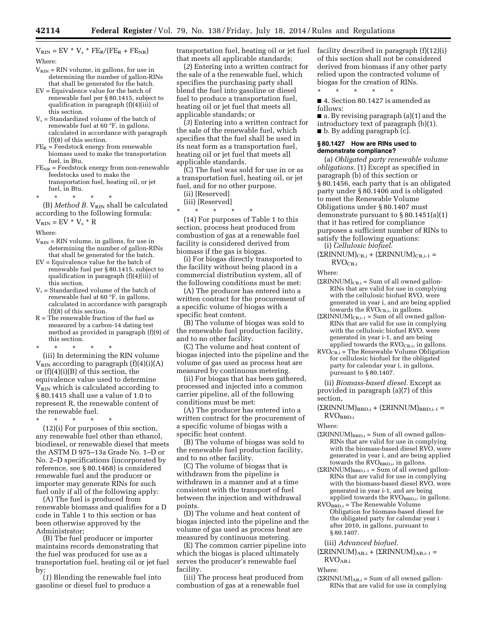$V_{RIN} = EV * V_s * FE_R/(FE_R + FE_{NR})$ Where:

- $\mathrm{V_{RIN}} = \mathrm{RIN}$  volume, in gallons, for use in determining the number of gallon-RINs that shall be generated for the batch.
- EV = Equivalence value for the batch of renewable fuel per § 80.1415, subject to qualification in paragraph (f)(4)(iii) of this section.
- $V_s$  = Standardized volume of the batch of renewable fuel at 60 °F, in gallons, calculated in accordance with paragraph (f)(8) of this section.
- $FE<sub>R</sub>$  = Feedstock energy from renewable biomass used to make the transportation fuel, in Btu.
- $FE_{NR}$  = Feedstock energy from non-renewable feedstocks used to make the transportation fuel, heating oil, or jet fuel, in Btu.

\* \* \* \* \*

(B) *Method B.* V<sub>RIN</sub> shall be calculated according to the following formula:

 $V_{\text{RIN}} = EV * V_s * R$ 

Where:

- $V_{\text{RIN}} = RIN$  volume, in gallons, for use in determining the number of gallon-RINs that shall be generated for the batch.
- EV = Equivalence value for the batch of renewable fuel per § 80.1415, subject to qualification in paragraph (f)(4)(iii) of this section.
- $V_s$  = Standardized volume of the batch of renewable fuel at 60 °F, in gallons, calculated in accordance with paragraph (f)(8) of this section.
- R = The renewable fraction of the fuel as measured by a carbon-14 dating test method as provided in paragraph (f)(9) of this section.

\* \* \* \* \*

(iii) In determining the RIN volume  $V_{\rm RIN}$  according to paragraph  $(f)(4)(i)(A)$ or (f)(4)(i)(B) of this section, the equivalence value used to determine  $V_{\text{RIN}}$  which is calculated according to § 80.1415 shall use a value of 1.0 to represent R, the renewable content of the renewable fuel.

\* \* \* \* \* (12)(i) For purposes of this section, any renewable fuel other than ethanol, biodiesel, or renewable diesel that meets the ASTM D 975–13a Grade No. 1–D or No. 2–D specifications (incorporated by reference, see § 80.1468) is considered renewable fuel and the producer or importer may generate RINs for such fuel only if all of the following apply:

(A) The fuel is produced from renewable biomass and qualifies for a D code in Table 1 to this section or has been otherwise approved by the Administrator;

(B) The fuel producer or importer maintains records demonstrating that the fuel was produced for use as a transportation fuel, heating oil or jet fuel by:

(*1*) Blending the renewable fuel into gasoline or diesel fuel to produce a

transportation fuel, heating oil or jet fuel that meets all applicable standards;

(*2*) Entering into a written contract for the sale of a the renewable fuel, which specifies the purchasing party shall blend the fuel into gasoline or diesel fuel to produce a transportation fuel, heating oil or jet fuel that meets all applicable standards; or

(*3*) Entering into a written contract for the sale of the renewable fuel, which specifies that the fuel shall be used in its neat form as a transportation fuel, heating oil or jet fuel that meets all applicable standards.

(C) The fuel was sold for use in or as a transportation fuel, heating oil, or jet fuel, and for no other purpose.

- (ii) [Reserved]
- (iii) [Reserved]

\* \* \* \* \* (14) For purposes of Table 1 to this section, process heat produced from combustion of gas at a renewable fuel facility is considered derived from biomass if the gas is biogas.

(i) For biogas directly transported to the facility without being placed in a commercial distribution system, all of the following conditions must be met:

(A) The producer has entered into a written contract for the procurement of a specific volume of biogas with a specific heat content.

(B) The volume of biogas was sold to the renewable fuel production facility, and to no other facility.

(C) The volume and heat content of biogas injected into the pipeline and the volume of gas used as process heat are measured by continuous metering.

(ii) For biogas that has been gathered, processed and injected into a common carrier pipeline, all of the following conditions must be met:

(A) The producer has entered into a written contract for the procurement of a specific volume of biogas with a specific heat content.

(B) The volume of biogas was sold to the renewable fuel production facility, and to no other facility.

(C) The volume of biogas that is withdrawn from the pipeline is withdrawn in a manner and at a time consistent with the transport of fuel between the injection and withdrawal points.

(D) The volume and heat content of biogas injected into the pipeline and the volume of gas used as process heat are measured by continuous metering.

(E) The common carrier pipeline into which the biogas is placed ultimately serves the producer's renewable fuel facility.

(iii) The process heat produced from combustion of gas at a renewable fuel

facility described in paragraph (f)(12)(i) of this section shall not be considered derived from biomass if any other party relied upon the contracted volume of biogas for the creation of RINs. \* \* \* \* \*

■ 4. Section 80.1427 is amended as follows:

■ a. By revising paragraph (a)(1) and the introductory text of paragraph (b)(1). ■ b. By adding paragraph (c).

# **§ 80.1427 How are RINs used to demonstrate compliance?**

(a) *Obligated party renewable volume obligations.* (1) Except as specified in paragraph (b) of this section or § 80.1456, each party that is an obligated party under § 80.1406 and is obligated to meet the Renewable Volume Obligations under § 80.1407 must demonstrate pursuant to § 80.1451(a)(1) that it has retired for compliance purposes a sufficient number of RINs to satisfy the following equations:

(i) *Cellulosic biofuel.* 

 $(\Sigma RINNUM)_{CB,i} + (\Sigma RINNUM)_{CB,i-1} =$  $RVO<sub>CB.i</sub>$ 

Where:

- $(\Sigma$ RINNUM $)_{CB,i}$  = Sum of all owned gallon-RINs that are valid for use in complying with the cellulosic biofuel RVO, were generated in year i, and are being applied towards the RVO<sub>CB,i</sub>, in gallons.
- $(\Sigma RINNUM)_{CB,i-1} = Sum of all owned gallon-$ RINs that are valid for use in complying with the cellulosic biofuel RVO, were generated in year i-1, and are being applied towards the  $RVO_{CB,i}$ , in gallons.
- RVOCB,i = The Renewable Volume Obligation for cellulosic biofuel for the obligated party for calendar year i, in gallons, pursuant to § 80.1407.

(ii) *Biomass-based diesel.* Except as provided in paragraph (a)(7) of this section,

 $(\Sigma RINNUM)_{\text{BBD},i} + (\Sigma RINNUM)_{\text{BBD},i-1}$  = RVOBBD,i

Where:

- $(\Sigma RINNUM)_{BBD,i} = Sum of all owned gallon-$ RINs that are valid for use in complying with the biomass-based diesel RVO, were generated in year i, and are being applied  $_{\rm towards}$  the  $_{\rm KVO_{BBD,i}}$ , in gallons.
- $(\Sigma RINNUM)_{\text{BBD},i-1}$  = Sum of all owned gallon-RINs that are valid for use in complying with the biomass-based diesel RVO, were generated in year i-1, and are being applied towards the RVOBBD,i, in gallons.
- $RVO<sub>BBD,i</sub> = The Renewable Volume$ Obligation for biomass-based diesel for the obligated party for calendar year i after 2010, in gallons, pursuant to § 80.1407.
- (iii) *Advanced biofuel.*

 $(\Sigma RINNUM)_{AB,i} + (\Sigma RINNUM)_{AB,i-1} =$ RVOAB,i

Where:

 $(\Sigma \text{RINNUM})_{\text{AB},i} = \text{Sum of all owned gallon}$ RINs that are valid for use in complying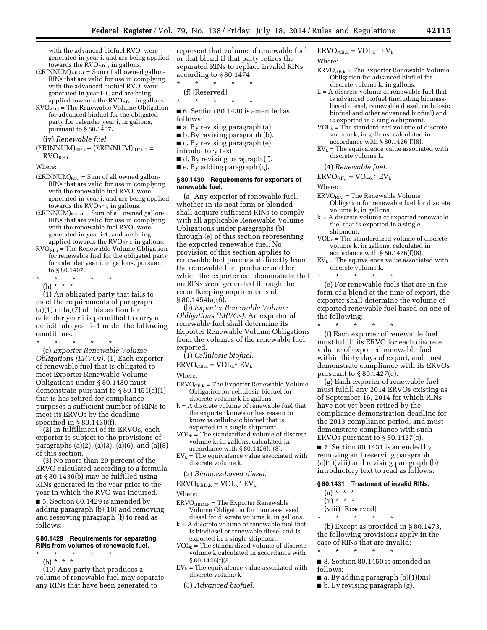with the advanced biofuel RVO, were generated in year i, and are being applied towards the  $\rm KVO_{AB,i}$ , in gallons.

- $(\Sigma RINNUM)_{AB,i-1} = Sum of all owned gallon-$ RINs that are valid for use in complying with the advanced biofuel RVO, were generated in year i-1, and are being applied towards the RVOAB,i, in gallons.
- $RVO<sub>AB,i</sub> = The Renewable Volume Obligation$ for advanced biofuel for the obligated party for calendar year i, in gallons, pursuant to § 80.1407.

(iv) *Renewable fuel.* 

 $(\Sigma RINNUM)_{RF,i} + (\Sigma RINNUM)_{RF,i-1} =$ RVORF,i

Where:

- $(\Sigma RINNUM)_{RF,i}$  = Sum of all owned gallon-RINs that are valid for use in complying with the renewable fuel RVO, were generated in year i, and are being applied towards the  $\text{RVO}_{\text{RF},i}$ , in gallons.
- $(\Sigma RINNUM)_{RF,i-1} = Sum of all owned gallon-$ RINs that are valid for use in complying with the renewable fuel RVO, were generated in year i-1, and are being applied towards the  $\text{RVO}_{\text{RF,i}}$ , in gallons.
- $\text{RVO}_{\text{RF,i}}$  = The Renewable Volume Obligation for renewable fuel for the obligated party for calendar year i, in gallons, pursuant to § 80.1407.
- \* \* \* \* \*

(b) \* \* \* (1) An obligated party that fails to meet the requirements of paragraph  $(a)(1)$  or  $(a)(7)$  of this section for calendar year i is permitted to carry a deficit into year i+1 under the following conditions:

\* \* \* \* \* (c) *Exporter Renewable Volume Obligations (ERVOs).* (1) Each exporter of renewable fuel that is obligated to meet Exporter Renewable Volume Obligations under § 80.1430 must demonstrate pursuant to § 80.1451(a)(1) that is has retired for compliance purposes a sufficient number of RINs to meet its ERVOs by the deadline specified in § 80.1430(f).

(2) In fulfillment of its ERVOs, each exporter is subject to the provisions of paragraphs (a)(2), (a)(3), (a)(6), and (a)(8) of this section.

(3) No more than 20 percent of the ERVO calculated according to a formula at § 80.1430(b) may be fulfilled using RINs generated in the year prior to the year in which the RVO was incurred.

■ 5. Section 80.1429 is amended by adding paragraph (b)(10) and removing and reserving paragraph (f) to read as follows:

# **§ 80.1429 Requirements for separating RINs from volumes of renewable fuel.**

\* \* \* \* \* (b) \* \* \*

(10) Any party that produces a volume of renewable fuel may separate any RINs that have been generated to

represent that volume of renewable fuel or that blend if that party retires the separated RINs to replace invalid RINs according to § 80.1474.

\* \* \* \* \* (f) [Reserved]

\* \* \* \* \*

■ 6. Section 80.1430 is amended as follows:

- a. By revising paragraph (a).
- b. By revising paragraph (b).
- c. By revising paragraph (e)
- introductory text.

■ d. By revising paragraph (f).

■ e. By adding paragraph (g).

# **§ 80.1430 Requirements for exporters of renewable fuel.**

(a) Any exporter of renewable fuel, whether in its neat form or blended shall acquire sufficient RINs to comply with all applicable Renewable Volume Obligations under paragraphs (b) through (e) of this section representing the exported renewable fuel. No provision of this section applies to renewable fuel purchased directly from the renewable fuel producer and for which the exporter can demonstrate that no RINs were generated through the recordkeeping requirements of  $§ 80.1454(a)(6).$ 

(b) *Exporter Renewable Volume Obligations (ERVOs).* An exporter of renewable fuel shall determine its Exporter Renewable Volume Obligations from the volumes of the renewable fuel exported.

- (1) *Cellulosic biofuel.*
- $ERVO_{CB,k} = VOL_k^*$   $EV_k$

Where:

- $ERVO<sub>CB,k</sub> = The Exporter Renewable Volume$ Obligation for cellulosic biofuel for discrete volume k in gallons.
- k = A discrete volume of renewable fuel that the exporter knows or has reason to know is cellulosic biofuel that is exported in a single shipment.
- $VOL_k$  = The standardized volume of discrete volume k, in gallons, calculated in accordance with § 80.1426(f)(8).
- $EV_k$  = The equivalence value associated with discrete volume k.
	- (2) *Biomass-based diesel.*
- $ERVO<sub>BBD,k</sub> = VOL<sub>k</sub>* EV<sub>k</sub>$

Where:

- $ERVO<sub>BBDI,k</sub> = The Exporter Renewable$ Volume Obligation for biomass-based diesel for discrete volume k, in gallons.
- k = A discrete volume of renewable fuel that is biodiesel or renewable diesel and is exported in a single shipment.
- $VOL_k = The standardized volume of discrete$ volume k calculated in accordance with § 80.1426(f)(8).
- $EV_k$  = The equivalence value associated with discrete volume k.
	- (3) *Advanced biofuel.*

 $ERVO<sub>AB,k</sub> = VOL<sub>k</sub><sup>*</sup> EV<sub>k</sub>$ 

Where:

- $ERVO<sub>AB,k</sub> = The Exporter Renewable Volume$ Obligation for advanced biofuel for discrete volume k, in gallons.
- k = A discrete volume of renewable fuel that is advanced biofuel (including biomassbased diesel, renewable diesel, cellulosic biofuel and other advanced biofuel) and is exported in a single shipment.
- $VOL_k = \hat{The standardized volume of discrete}$ volume k, in gallons, calculated in accordance with  $\S 80.1426(f)(8)$ .
- $EV_k$  = The equivalence value associated with discrete volume k.

(4) *Renewable fuel.* 

 $ERVO_{RF,i} = VOL_k * EV_k$ 

Where:

- $ERVO<sub>RF,i</sub> = The Renewable Volume$ Obligation for renewable fuel for discrete volume k, in gallons.
- k = A discrete volume of exported renewable fuel that is exported in a single shipment.
- $VOL_k$  = The standardized volume of discrete volume k, in gallons, calculated in accordance with § 80.1426(f)(8).
- $EV_k$  = The equivalence value associated with discrete volume k.

\* \* \* \* \*

(e) For renewable fuels that are in the form of a blend at the time of export, the exporter shall determine the volume of exported renewable fuel based on one of the following:

\* \* \* \* \* (f) Each exporter of renewable fuel must fulfill its ERVO for each discrete volume of exported renewable fuel within thirty days of export, and must demonstrate compliance with its ERVOs pursuant to  $\S 80.1427(c)$ .

(g) Each exporter of renewable fuel must fulfill any 2014 ERVOs existing as of September 16, 2014 for which RINs have not yet been retired by the compliance demonstration deadline for the 2013 compliance period, and must demonstrate compliance with such ERVOs pursuant to § 80.1427(c).

■ 7. Section 80.1431 is amended by removing and reserving paragraph (a)(1)(viii) and revising paragraph (b) introductory text to read as follows:

#### **§ 80.1431 Treatment of invalid RINs.**

- $(a) * * * *$  $(1) * * * *$
- (viii) [Reserved]
- \* \* \* \* \*

\* \* \* \* \*

(b) Except as provided in § 80.1473, the following provisions apply in the case of RINs that are invalid:

■ 8. Section 80.1450 is amended as follows:

- $\blacksquare$  a. By adding paragraph (b)(1)(xii).
- b. By revising paragraph (g).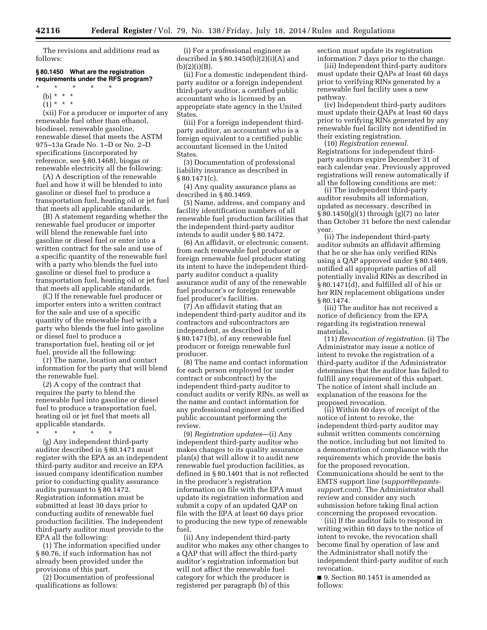The revisions and additions read as follows:

# **§ 80.1450 What are the registration requirements under the RFS program?**

- \* \* \* \* \*
- (b) \* \* \*
- $(1) * * * *$

(xii) For a producer or importer of any renewable fuel other than ethanol, biodiesel, renewable gasoline, renewable diesel that meets the ASTM 975–13a Grade No. 1–D or No. 2–D specifications (incorporated by reference, see § 80.1468), biogas or renewable electricity all the following:

(A) A description of the renewable fuel and how it will be blended to into gasoline or diesel fuel to produce a transportation fuel, heating oil or jet fuel that meets all applicable standards.

(B) A statement regarding whether the renewable fuel producer or importer will blend the renewable fuel into gasoline or diesel fuel or enter into a written contract for the sale and use of a specific quantity of the renewable fuel with a party who blends the fuel into gasoline or diesel fuel to produce a transportation fuel, heating oil or jet fuel that meets all applicable standards.

(C) If the renewable fuel producer or importer enters into a written contract for the sale and use of a specific quantity of the renewable fuel with a party who blends the fuel into gasoline or diesel fuel to produce a transportation fuel, heating oil or jet fuel, provide all the following:

(*1*) The name, location and contact information for the party that will blend the renewable fuel.

(*2*) A copy of the contract that requires the party to blend the renewable fuel into gasoline or diesel fuel to produce a transportation fuel, heating oil or jet fuel that meets all applicable standards.

\* \* \* \* \* (g) Any independent third-party auditor described in § 80.1471 must register with the EPA as an independent third-party auditor and receive an EPA issued company identification number prior to conducting quality assurance audits pursuant to § 80.1472. Registration information must be submitted at least 30 days prior to conducting audits of renewable fuel production facilities. The independent third-party auditor must provide to the EPA all the following:

(1) The information specified under § 80.76, if such information has not already been provided under the provisions of this part.

(2) Documentation of professional qualifications as follows:

(i) For a professional engineer as described in  $\S 80.1450(b)(2)(i)(A)$  and  $(b)(2)(i)(B).$ 

(ii) For a domestic independent thirdparty auditor or a foreign independent third-party auditor, a certified public accountant who is licensed by an appropriate state agency in the United States.

(iii) For a foreign independent thirdparty auditor, an accountant who is a foreign equivalent to a certified public accountant licensed in the United States.

(3) Documentation of professional liability insurance as described in § 80.1471(c).

(4) Any quality assurance plans as described in § 80.1469.

(5) Name, address, and company and facility identification numbers of all renewable fuel production facilities that the independent third-party auditor intends to audit under § 80.1472.

(6) An affidavit, or electronic consent, from each renewable fuel producer or foreign renewable fuel producer stating its intent to have the independent thirdparty auditor conduct a quality assurance audit of any of the renewable fuel producer's or foreign renewable fuel producer's facilities.

(7) An affidavit stating that an independent third-party auditor and its contractors and subcontractors are independent, as described in § 80.1471(b), of any renewable fuel producer or foreign renewable fuel producer.

(8) The name and contact information for each person employed (or under contract or subcontract) by the independent third-party auditor to conduct audits or verify RINs, as well as the name and contact information for any professional engineer and certified public accountant performing the review.

(9) *Registration updates*—(i) Any independent third-party auditor who makes changes to its quality assurance plan(s) that will allow it to audit new renewable fuel production facilities, as defined in § 80.1401 that is not reflected in the producer's registration information on file with the EPA must update its registration information and submit a copy of an updated QAP on file with the EPA at least 60 days prior to producing the new type of renewable fuel.

(ii) Any independent third-party auditor who makes any other changes to a QAP that will affect the third-party auditor's registration information but will not affect the renewable fuel category for which the producer is registered per paragraph (b) of this

section must update its registration information 7 days prior to the change.

(iii) Independent third-party auditors must update their QAPs at least 60 days prior to verifying RINs generated by a renewable fuel facility uses a new pathway.

(iv) Independent third-party auditors must update their QAPs at least 60 days prior to verifying RINs generated by any renewable fuel facility not identified in their existing registration.

(10) *Registration renewal.*  Registrations for independent thirdparty auditors expire December 31 of each calendar year. Previously approved registrations will renew automatically if all the following conditions are met:

(i) The independent third-party auditor resubmits all information, updated as necessary, described in § 80.1450(g)(1) through (g)(7) no later than October 31 before the next calendar year.

(ii) The independent third-party auditor submits an affidavit affirming that he or she has only verified RINs using a QAP approved under § 80.1469, notified all appropriate parties of all potentially invalid RINs as described in § 80.1471(d), and fulfilled all of his or her RIN replacement obligations under § 80.1474.

(iii) The auditor has not received a notice of deficiency from the EPA regarding its registration renewal materials.

(11) *Revocation of registration.* (i) The Administrator may issue a notice of intent to revoke the registration of a third-party auditor if the Administrator determines that the auditor has failed to fulfill any requirement of this subpart. The notice of intent shall include an explanation of the reasons for the proposed revocation.

(ii) Within 60 days of receipt of the notice of intent to revoke, the independent third-party auditor may submit written comments concerning the notice, including but not limited to a demonstration of compliance with the requirements which provide the basis for the proposed revocation. Communications should be sent to the EMTS support line (*[support@epamts](mailto:support@epamts-support.com)[support.com](mailto:support@epamts-support.com)*). The Administrator shall review and consider any such submission before taking final action concerning the proposed revocation.

(iii) If the auditor fails to respond in writing within 60 days to the notice of intent to revoke, the revocation shall become final by operation of law and the Administrator shall notify the independent third-party auditor of such revocation.

■ 9. Section 80.1451 is amended as follows: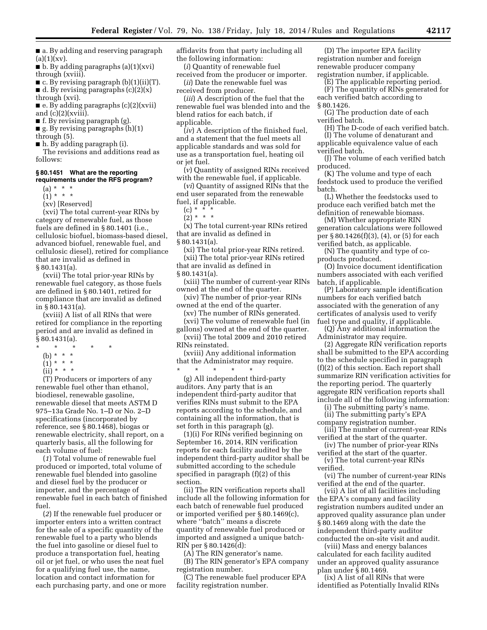■ a. By adding and reserving paragraph  $(a)(1)(xv)$ .

 $\blacksquare$  b. By adding paragraphs (a)(1)(xvi) through (xviii).

■ c. By revising paragraph (b)(1)(ii)(T).  $\blacksquare$  d. By revising paragraphs (c)(2)(x) through (xvi).

■ e. By adding paragraphs (c)(2)(xvii) and  $(c)(2)(x$ viii).

■ f. By revising paragraph (g).

 $\blacksquare$  g. By revising paragraphs  $(h)(1)$ 

through (5).

■ h. By adding paragraph (i).

The revisions and additions read as follows:

# **§ 80.1451 What are the reporting requirements under the RFS program?**

- $(a) * * * *$
- $(1) * * * *$
- (xv) [Reserved]

(xvi) The total current-year RINs by category of renewable fuel, as those fuels are defined in § 80.1401 (i.e., cellulosic biofuel, biomass-based diesel, advanced biofuel, renewable fuel, and cellulosic diesel), retired for compliance that are invalid as defined in § 80.1431(a).

(xvii) The total prior-year RINs by renewable fuel category, as those fuels are defined in § 80.1401, retired for compliance that are invalid as defined in § 80.1431(a).

(xviii) A list of all RINs that were retired for compliance in the reporting period and are invalid as defined in § 80.1431(a).

- \* \* \* \* \*
- (b) \* \* \*
- (1) \* \* \*
- $(ii) * * * *$

(T) Producers or importers of any renewable fuel other than ethanol, biodiesel, renewable gasoline, renewable diesel that meets ASTM D 975–13a Grade No. 1–D or No. 2–D specifications (incorporated by reference, see § 80.1468), biogas or renewable electricity, shall report, on a quarterly basis, all the following for each volume of fuel:

(*1*) Total volume of renewable fuel produced or imported, total volume of renewable fuel blended into gasoline and diesel fuel by the producer or importer, and the percentage of renewable fuel in each batch of finished fuel

(*2*) If the renewable fuel producer or importer enters into a written contract for the sale of a specific quantity of the renewable fuel to a party who blends the fuel into gasoline or diesel fuel to produce a transportation fuel, heating oil or jet fuel, or who uses the neat fuel for a qualifying fuel use, the name, location and contact information for each purchasing party, and one or more affidavits from that party including all the following information:

(*i*) Quantity of renewable fuel received from the producer or importer.

(*ii*) Date the renewable fuel was received from producer.

(*iii*) A description of the fuel that the renewable fuel was blended into and the blend ratios for each batch, if applicable.

(*iv*) A description of the finished fuel, and a statement that the fuel meets all applicable standards and was sold for use as a transportation fuel, heating oil or jet fuel.

(*v*) Quantity of assigned RINs received with the renewable fuel, if applicable.

(*vi*) Quantity of assigned RINs that the end user separated from the renewable fuel, if applicable.

 $(c) * *$ 

 $(2)^*$  \* \*

(x) The total current-year RINs retired that are invalid as defined in

§ 80.1431(a).

(xi) The total prior-year RINs retired. (xii) The total prior-year RINs retired that are invalid as defined in § 80.1431(a).

(xiii) The number of current-year RINs owned at the end of the quarter.

(xiv) The number of prior-year RINs owned at the end of the quarter.

(xv) The number of RINs generated. (xvi) The volume of renewable fuel (in

gallons) owned at the end of the quarter. (xvii) The total 2009 and 2010 retired

- RINs reinstated.
- (xviii) Any additional information that the Administrator may require. \* \* \* \* \*

(g) All independent third-party auditors. Any party that is an independent third-party auditor that verifies RINs must submit to the EPA reports according to the schedule, and containing all the information, that is set forth in this paragraph (g).

(1)(i) For RINs verified beginning on September 16, 2014, RIN verification reports for each facility audited by the independent third-party auditor shall be submitted according to the schedule specified in paragraph (f)(2) of this section.

(ii) The RIN verification reports shall include all the following information for each batch of renewable fuel produced or imported verified per § 80.1469(c), where ''batch'' means a discrete quantity of renewable fuel produced or imported and assigned a unique batch-RIN per § 80.1426(d):

(A) The RIN generator's name.

(B) The RIN generator's EPA company registration number.

(C) The renewable fuel producer EPA facility registration number.

(D) The importer EPA facility registration number and foreign renewable producer company registration number, if applicable.

(E) The applicable reporting period.

(F) The quantity of RINs generated for each verified batch according to § 80.1426.

(G) The production date of each verified batch.

(H) The D-code of each verified batch.

(I) The volume of denaturant and applicable equivalence value of each

verified batch.

(J) The volume of each verified batch produced.

(K) The volume and type of each feedstock used to produce the verified batch.

(L) Whether the feedstocks used to produce each verified batch met the definition of renewable biomass.

(M) Whether appropriate RIN generation calculations were followed per § 80.1426(f)(3), (4), or (5) for each verified batch, as applicable.

(N) The quantity and type of coproducts produced.

(O) Invoice document identification numbers associated with each verified batch, if applicable.

(P) Laboratory sample identification numbers for each verified batch associated with the generation of any certificates of analysis used to verify fuel type and quality, if applicable.

(Q) Any additional information the Administrator may require.

(2) Aggregate RIN verification reports shall be submitted to the EPA according to the schedule specified in paragraph (f)(2) of this section. Each report shall summarize RIN verification activities for the reporting period. The quarterly aggregate RIN verification reports shall include all of the following information:

(i) The submitting party's name.

(ii) The submitting party's EPA company registration number.

(iii) The number of current-year RINs verified at the start of the quarter.

(iv) The number of prior-year RINs verified at the start of the quarter.

(v) The total current-year RINs verified.

(vi) The number of current-year RINs verified at the end of the quarter.

(vii) A list of all facilities including the EPA's company and facility registration numbers audited under an approved quality assurance plan under § 80.1469 along with the date the independent third-party auditor conducted the on-site visit and audit.

(viii) Mass and energy balances calculated for each facility audited under an approved quality assurance plan under § 80.1469.

(ix) A list of all RINs that were identified as Potentially Invalid RINs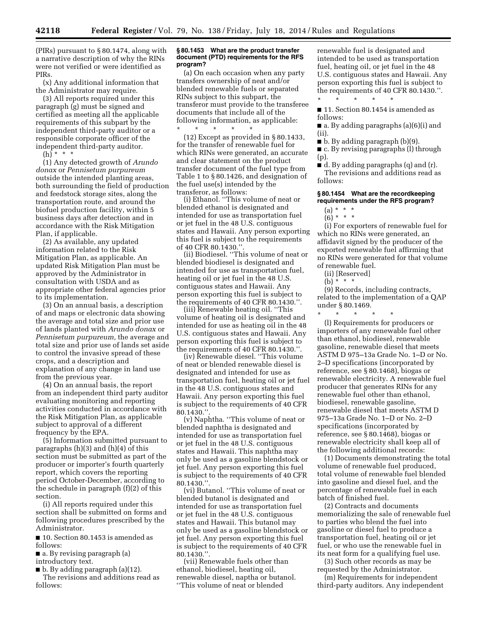(PIRs) pursuant to § 80.1474, along with a narrative description of why the RINs were not verified or were identified as PIRs.

(x) Any additional information that the Administrator may require.

(3) All reports required under this paragraph (g) must be signed and certified as meeting all the applicable requirements of this subpart by the independent third-party auditor or a responsible corporate officer of the independent third-party auditor.

(h) \* \* \*

(1) Any detected growth of *Arundo donax* or *Pennisetum purpureum*  outside the intended planting areas, both surrounding the field of production and feedstock storage sites, along the transportation route, and around the biofuel production facility, within 5 business days after detection and in accordance with the Risk Mitigation Plan, if applicable.

(2) As available, any updated information related to the Risk Mitigation Plan, as applicable. An updated Risk Mitigation Plan must be approved by the Administrator in consultation with USDA and as appropriate other federal agencies prior to its implementation.

(3) On an annual basis, a description of and maps or electronic data showing the average and total size and prior use of lands planted with *Arundo donax* or *Pennisetum purpureum,* the average and total size and prior use of lands set aside to control the invasive spread of these crops, and a description and explanation of any change in land use from the previous year.

(4) On an annual basis, the report from an independent third party auditor evaluating monitoring and reporting activities conducted in accordance with the Risk Mitigation Plan, as applicable subject to approval of a different frequency by the EPA.

(5) Information submitted pursuant to paragraphs (h)(3) and (h)(4) of this section must be submitted as part of the producer or importer's fourth quarterly report, which covers the reporting period October-December, according to the schedule in paragraph (f)(2) of this section.

(i) All reports required under this section shall be submitted on forms and following procedures prescribed by the Administrator.

■ 10. Section 80.1453 is amended as follows:

■ a. By revising paragraph (a) introductory text.

■ b. By adding paragraph (a)(12). The revisions and additions read as

follows:

# **§ 80.1453 What are the product transfer document (PTD) requirements for the RFS program?**

(a) On each occasion when any party transfers ownership of neat and/or blended renewable fuels or separated RINs subject to this subpart, the transferor must provide to the transferee documents that include all of the following information, as applicable:

\* \* \* \* \* (12) Except as provided in § 80.1433, for the transfer of renewable fuel for which RINs were generated, an accurate and clear statement on the product transfer document of the fuel type from Table 1 to § 80.1426, and designation of the fuel use(s) intended by the transferor, as follows:

(i) Ethanol. ''This volume of neat or blended ethanol is designated and intended for use as transportation fuel or jet fuel in the 48 U.S. contiguous states and Hawaii. Any person exporting this fuel is subject to the requirements of 40 CFR 80.1430.''.

(ii) Biodiesel. ''This volume of neat or blended biodiesel is designated and intended for use as transportation fuel, heating oil or jet fuel in the 48 U.S. contiguous states and Hawaii. Any person exporting this fuel is subject to the requirements of 40 CFR 80.1430.''.

(iii) Renewable heating oil. ''This volume of heating oil is designated and intended for use as heating oil in the 48 U.S. contiguous states and Hawaii. Any person exporting this fuel is subject to the requirements of 40 CFR 80.1430.''.

(iv) Renewable diesel. ''This volume of neat or blended renewable diesel is designated and intended for use as transportation fuel, heating oil or jet fuel in the 48 U.S. contiguous states and Hawaii. Any person exporting this fuel is subject to the requirements of 40 CFR 80.1430.''.

(v) Naphtha. ''This volume of neat or blended naphtha is designated and intended for use as transportation fuel or jet fuel in the 48 U.S. contiguous states and Hawaii. This naphtha may only be used as a gasoline blendstock or jet fuel. Any person exporting this fuel is subject to the requirements of 40 CFR 80.1430.''.

(vi) Butanol. ''This volume of neat or blended butanol is designated and intended for use as transportation fuel or jet fuel in the 48 U.S. contiguous states and Hawaii. This butanol may only be used as a gasoline blendstock or jet fuel. Any person exporting this fuel is subject to the requirements of 40 CFR 80.1430.''.

(vii) Renewable fuels other than ethanol, biodiesel, heating oil, renewable diesel, naptha or butanol. ''This volume of neat or blended

renewable fuel is designated and intended to be used as transportation fuel, heating oil, or jet fuel in the 48 U.S. contiguous states and Hawaii. Any person exporting this fuel is subject to the requirements of 40 CFR 80.1430.''. \* \* \* \* \*

■ 11. Section 80.1454 is amended as follows:

■ a. By adding paragraphs (a)(6)(i) and (ii).

■ b. By adding paragraph (b)(9).

■ c. By revising paragraphs (l) through (p).

■ d. By adding paragraphs (q) and (r). The revisions and additions read as follows:

# **§ 80.1454 What are the recordkeeping requirements under the RFS program?**

 $(a) * * * *$ 

 $(6) * * * *$ 

(i) For exporters of renewable fuel for which no RINs were generated, an affidavit signed by the producer of the exported renewable fuel affirming that no RINs were generated for that volume of renewable fuel.

(ii) [Reserved]

(b) \* \* \*

(9) Records, including contracts, related to the implementation of a QAP under § 80.1469.  $*$  \*

(l) Requirements for producers or importers of any renewable fuel other than ethanol, biodiesel, renewable gasoline, renewable diesel that meets ASTM D 975–13a Grade No. 1–D or No. 2–D specifications (incorporated by reference, see § 80.1468), biogas or renewable electricity. A renewable fuel producer that generates RINs for any renewable fuel other than ethanol, biodiesel, renewable gasoline, renewable diesel that meets ASTM D 975–13a Grade No. 1–D or No. 2–D specifications (incorporated by reference, see § 80.1468), biogas or renewable electricity shall keep all of the following additional records:

(1) Documents demonstrating the total volume of renewable fuel produced, total volume of renewable fuel blended into gasoline and diesel fuel, and the percentage of renewable fuel in each batch of finished fuel.

(2) Contracts and documents memorializing the sale of renewable fuel to parties who blend the fuel into gasoline or diesel fuel to produce a transportation fuel, heating oil or jet fuel, or who use the renewable fuel in its neat form for a qualifying fuel use.

(3) Such other records as may be requested by the Administrator.

(m) Requirements for independent third-party auditors. Any independent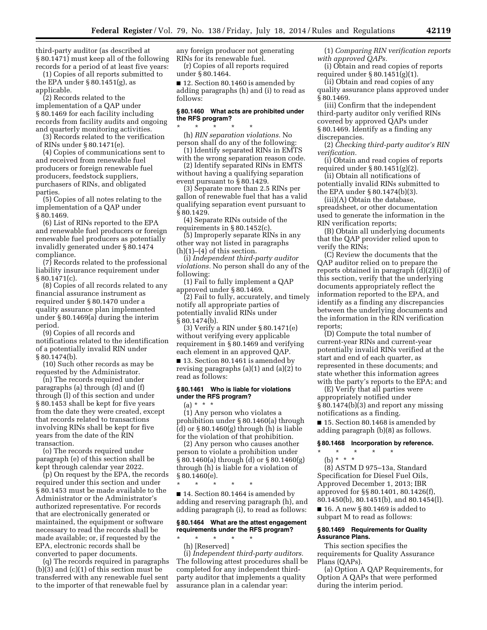third-party auditor (as described at § 80.1471) must keep all of the following records for a period of at least five years:

(1) Copies of all reports submitted to the EPA under  $\S 80.1451(g)$ , as applicable.

(2) Records related to the implementation of a QAP under § 80.1469 for each facility including records from facility audits and ongoing and quarterly monitoring activities.

(3) Records related to the verification of RINs under § 80.1471(e).

(4) Copies of communications sent to and received from renewable fuel producers or foreign renewable fuel producers, feedstock suppliers, purchasers of RINs, and obligated parties.

(5) Copies of all notes relating to the implementation of a QAP under § 80.1469.

(6) List of RINs reported to the EPA and renewable fuel producers or foreign renewable fuel producers as potentially invalidly generated under § 80.1474 compliance.

(7) Records related to the professional liability insurance requirement under § 80.1471(c).

(8) Copies of all records related to any financial assurance instrument as required under § 80.1470 under a quality assurance plan implemented under § 80.1469(a) during the interim period.

(9) Copies of all records and notifications related to the identification of a potentially invalid RIN under § 80.1474(b).

(10) Such other records as may be requested by the Administrator.

(n) The records required under paragraphs (a) through (d) and (f) through (l) of this section and under § 80.1453 shall be kept for five years from the date they were created, except that records related to transactions involving RINs shall be kept for five years from the date of the RIN transaction.

(o) The records required under paragraph (e) of this section shall be kept through calendar year 2022.

(p) On request by the EPA, the records required under this section and under § 80.1453 must be made available to the Administrator or the Administrator's authorized representative. For records that are electronically generated or maintained, the equipment or software necessary to read the records shall be made available; or, if requested by the EPA, electronic records shall be converted to paper documents.

(q) The records required in paragraphs (b)(3) and (c)(1) of this section must be transferred with any renewable fuel sent to the importer of that renewable fuel by

any foreign producer not generating RINs for its renewable fuel.

(r) Copies of all reports required under § 80.1464.

■ 12. Section 80.1460 is amended by adding paragraphs (h) and (i) to read as follows:

#### **§ 80.1460 What acts are prohibited under the RFS program?**

\* \* \* \* \* (h) *RIN separation violations.* No person shall do any of the following:

(1) Identify separated RINs in EMTS with the wrong separation reason code.

(2) Identify separated RINs in EMTS without having a qualifying separation event pursuant to § 80.1429.

(3) Separate more than 2.5 RINs per gallon of renewable fuel that has a valid qualifying separation event pursuant to § 80.1429.

(4) Separate RINs outside of the requirements in § 80.1452(c).

(5) Improperly separate RINs in any other way not listed in paragraphs  $(h)(1)$ – $(4)$  of this section.

(i) *Independent third-party auditor violations.* No person shall do any of the following:

(1) Fail to fully implement a QAP approved under § 80.1469.

(2) Fail to fully, accurately, and timely notify all appropriate parties of potentially invalid RINs under § 80.1474(b).

(3) Verify a RIN under § 80.1471(e) without verifying every applicable requirement in § 80.1469 and verifying each element in an approved QAP.

■ 13. Section 80.1461 is amended by revising paragraphs (a)(1) and (a)(2) to read as follows:

# **§ 80.1461 Who is liable for violations under the RFS program?**

 $(a) * * * *$ 

(1) Any person who violates a prohibition under § 80.1460(a) through (d) or  $\S 80.1460(g)$  through (h) is liable for the violation of that prohibition.

(2) Any person who causes another person to violate a prohibition under § 80.1460(a) through (d) or § 80.1460(g) through (h) is liable for a violation of § 80.1460(e).

\* \* \* \* \*

■ 14. Section 80.1464 is amended by adding and reserving paragraph (h), and adding paragraph (i), to read as follows:

# **§ 80.1464 What are the attest engagement requirements under the RFS program?**

\* \* \* \* \* (h) [Reserved]

(i) *Independent third-party auditors.*  The following attest procedures shall be completed for any independent thirdparty auditor that implements a quality assurance plan in a calendar year:

(1) *Comparing RIN verification reports with approved QAPs.* 

(i) Obtain and read copies of reports required under § 80.1451(g)(1).

(ii) Obtain and read copies of any quality assurance plans approved under § 80.1469.

(iii) Confirm that the independent third-party auditor only verified RINs covered by approved QAPs under § 80.1469. Identify as a finding any discrepancies.

(2) *Checking third-party auditor's RIN verification.* 

(i) Obtain and read copies of reports required under § 80.1451(g)(2).

(ii) Obtain all notifications of potentially invalid RINs submitted to the EPA under § 80.1474(b)(3).

(iii)(A) Obtain the database, spreadsheet, or other documentation used to generate the information in the RIN verification reports;

(B) Obtain all underlying documents that the QAP provider relied upon to verify the RINs;

(C) Review the documents that the QAP auditor relied on to prepare the reports obtained in paragraph (d)(2)(i) of this section, verify that the underlying documents appropriately reflect the information reported to the EPA, and identify as a finding any discrepancies between the underlying documents and the information in the RIN verification reports;

(D) Compute the total number of current-year RINs and current-year potentially invalid RINs verified at the start and end of each quarter, as represented in these documents; and state whether this information agrees with the party's reports to the EPA; and

(E) Verify that all parties were appropriately notified under § 80.1474(b)(3) and report any missing notifications as a finding.

■ 15. Section 80.1468 is amended by adding paragraph (b)(8) as follows.

# **§ 80.1468 Incorporation by reference.**

- \* \* \* \* \*
- (b) \* \* \*

(8) ASTM D 975–13a, Standard Specification for Diesel Fuel Oils, Approved December 1, 2013; IBR approved for §§ 80.1401, 80.1426(f), 80.1450(b), 80.1451(b), and 80.1454(l). ■ 16. A new § 80.1469 is added to

subpart M to read as follows: **§ 80.1469 Requirements for Quality** 

**Assurance Plans.** 

This section specifies the requirements for Quality Assurance Plans (QAPs).

(a) Option A QAP Requirements, for Option A QAPs that were performed during the interim period.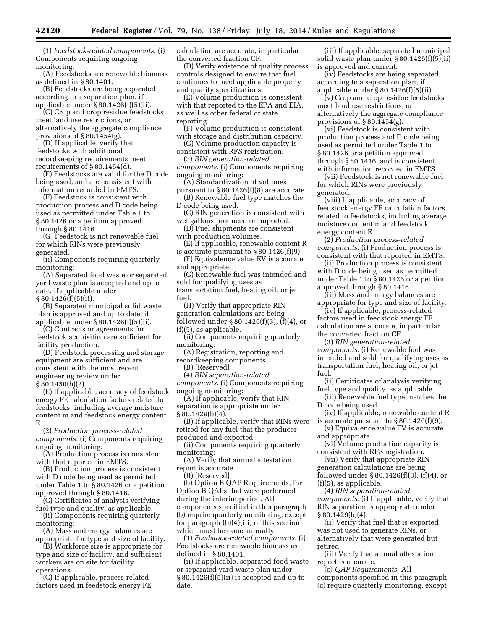(1) *Feedstock-related components.* (i) Components requiring ongoing monitoring:

(A) Feedstocks are renewable biomass as defined in § 80.1401.

(B) Feedstocks are being separated according to a separation plan, if applicable under § 80.1426(f)(5)(ii).

(C) Crop and crop residue feedstocks meet land use restrictions, or alternatively the aggregate compliance provisions of § 80.1454(g).

(D) If applicable, verify that feedstocks with additional recordkeeping requirements meet requirements of § 80.1454(d).

(E) Feedstocks are valid for the D code being used, and are consistent with information recorded in EMTS.

(F) Feedstock is consistent with production process and D code being used as permitted under Table 1 to § 80.1426 or a petition approved through § 80.1416.

(G) Feedstock is not renewable fuel for which RINs were previously generated.

(ii) Components requiring quarterly monitoring:

(A) Separated food waste or separated yard waste plan is accepted and up to date, if applicable under  $§ 80.1426(f)(5)(ii).$ 

(B) Separated municipal solid waste plan is approved and up to date, if

applicable under § 80.1426(f)(5)(ii). (C) Contracts or agreements for feedstock acquisition are sufficient for

facility production. (D) Feedstock processing and storage

equipment are sufficient and are consistent with the most recent engineering review under  $§ 80.1450(b)(2).$ 

(E) If applicable, accuracy of feedstock energy FE calculation factors related to feedstocks, including average moisture content m and feedstock energy content E.

(2) *Production process-related components.* (i) Components requiring ongoing monitoring:

(A) Production process is consistent with that reported in EMTS.

(B) Production process is consistent with D code being used as permitted under Table 1 to  $\bar{\S}$  80.1426 or a petition approved through § 80.1416.

(C) Certificates of analysis verifying fuel type and quality, as applicable.

(ii) Components requiring quarterly monitoring:

(A) Mass and energy balances are appropriate for type and size of facility.

(B) Workforce size is appropriate for type and size of facility, and sufficient workers are on site for facility

operations. (C) If applicable, process-related factors used in feedstock energy FE calculation are accurate, in particular the converted fraction CF.

(D) Verify existence of quality process controls designed to ensure that fuel continues to meet applicable property and quality specifications.

(E) Volume production is consistent with that reported to the EPA and EIA, as well as other federal or state reporting.

(F) Volume production is consistent with storage and distribution capacity.

(G) Volume production capacity is consistent with RFS registration.

(3) *RIN generation-related components.* (i) Components requiring

ongoing monitoring: (A) Standardization of volumes pursuant to § 80.1426(f)(8) are accurate.

(B) Renewable fuel type matches the D code being used.

(C) RIN generation is consistent with wet gallons produced or imported.

(D) Fuel shipments are consistent with production volumes.

(E) If applicable, renewable content R is accurate pursuant to  $\S 80.1426(f)(9)$ .

(F) Equivalence value EV is accurate and appropriate.

(G) Renewable fuel was intended and sold for qualifying uses as

transportation fuel, heating oil, or jet fuel.

(H) Verify that appropriate RIN generation calculations are being followed under  $\S 80.1426(f)(3)$ ,  $(f)(4)$ , or (f)(5), as applicable.

(ii) Components requiring quarterly monitoring:

(A) Registration, reporting and recordkeeping components.

(B) [Reserved]

(4) *RIN separation-related components.* (i) Components requiring ongoing monitoring:

(A) If applicable, verify that RIN separation is appropriate under § 80.1429(b)(4).

(B) If applicable, verify that RINs were retired for any fuel that the producer produced and exported.

(ii) Components requiring quarterly monitoring:

(A) Verify that annual attestation report is accurate.

(B) [Reserved]

(b) Option B QAP Requirements, for Option B QAPs that were performed during the interim period. All components specified in this paragraph (b) require quarterly monitoring, except for paragraph (b)(4)(iii) of this section, which must be done annually.

(1) *Feedstock-related components.* (i) Feedstocks are renewable biomass as defined in § 80.1401.

(ii) If applicable, separated food waste or separated yard waste plan under § 80.1426(f)(5)(ii) is accepted and up to date.

(iii) If applicable, separated municipal solid waste plan under § 80.1426(f)(5)(ii) is approved and current.

(iv) Feedstocks are being separated according to a separation plan, if applicable under § 80.1426(f)(5)(ii).

(v) Crop and crop residue feedstocks meet land use restrictions, or alternatively the aggregate compliance provisions of § 80.1454(g).

(vi) Feedstock is consistent with production process and D code being used as permitted under Table 1 to § 80.1426 or a petition approved through § 80.1416, and is consistent with information recorded in EMTS.

(vii) Feedstock is not renewable fuel for which RINs were previously generated.

(viii) If applicable, accuracy of feedstock energy FE calculation factors related to feedstocks, including average moisture content m and feedstock energy content E.

(2) *Production process-related components.* (i) Production process is consistent with that reported in EMTS.

(ii) Production process is consistent with D code being used as permitted under Table 1 to  $\bar{\S}$  80.1426 or a petition approved through § 80.1416.

(iii) Mass and energy balances are appropriate for type and size of facility.

(iv) If applicable, process-related factors used in feedstock energy FE calculation are accurate, in particular the converted fraction CF.

(3) *RIN generation-related components.* (i) Renewable fuel was intended and sold for qualifying uses as transportation fuel, heating oil, or jet fuel.

(ii) Certificates of analysis verifying fuel type and quality, as applicable.

(iii) Renewable fuel type matches the D code being used.

(iv) If applicable, renewable content R is accurate pursuant to  $\S 80.1426(f)(9)$ .

(v) Equivalence value EV is accurate and appropriate.

(vi) Volume production capacity is consistent with RFS registration.

(vii) Verify that appropriate RIN generation calculations are being

followed under  $\S 80.1426(f)(3)$ ,  $(f)(4)$ , or (f)(5), as applicable.

(4) *RIN separation-related components.* (i) If applicable, verify that RIN separation is appropriate under § 80.1429(b)(4).

(ii) Verify that fuel that is exported was not used to generate RINs, or alternatively that were generated but retired.

(iii) Verify that annual attestation report is accurate.

(c) *QAP Requirements.* All components specified in this paragraph (c) require quarterly monitoring, except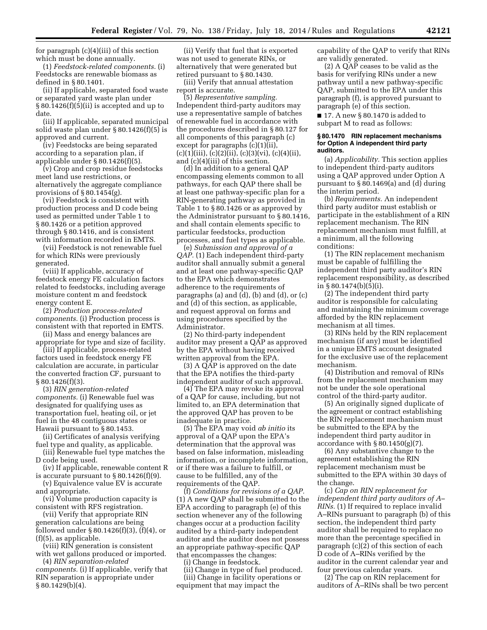for paragraph (c)(4)(iii) of this section which must be done annually.

(1) *Feedstock-related components.* (i) Feedstocks are renewable biomass as defined in § 80.1401.

(ii) If applicable, separated food waste or separated yard waste plan under § 80.1426(f)(5)(ii) is accepted and up to date.

(iii) If applicable, separated municipal solid waste plan under § 80.1426(f)(5) is approved and current.

(iv) Feedstocks are being separated according to a separation plan, if applicable under § 80.1426(f)(5).

(v) Crop and crop residue feedstocks meet land use restrictions, or alternatively the aggregate compliance provisions of § 80.1454(g).

(vi) Feedstock is consistent with production process and D code being used as permitted under Table 1 to § 80.1426 or a petition approved through § 80.1416, and is consistent with information recorded in EMTS.

(vii) Feedstock is not renewable fuel for which RINs were previously generated.

(viii) If applicable, accuracy of feedstock energy FE calculation factors related to feedstocks, including average moisture content m and feedstock energy content E.

(2) *Production process-related components.* (i) Production process is consistent with that reported in EMTS.

(ii) Mass and energy balances are appropriate for type and size of facility. (iii) If applicable, process-related

factors used in feedstock energy FE calculation are accurate, in particular the converted fraction CF, pursuant to § 80.1426(f)(3).

(3) *RIN generation-related components.* (i) Renewable fuel was designated for qualifying uses as transportation fuel, heating oil, or jet fuel in the 48 contiguous states or Hawaii pursuant to § 80.1453.

(ii) Certificates of analysis verifying fuel type and quality, as applicable.

(iii) Renewable fuel type matches the D code being used.

(iv) If applicable, renewable content R is accurate pursuant to  $\S 80.1426(f)(9)$ .

(v) Equivalence value EV is accurate and appropriate.

(vi) Volume production capacity is consistent with RFS registration.

(vii) Verify that appropriate RIN generation calculations are being followed under § 80.1426(f)(3), (f)(4), or (f)(5), as applicable.

(viii) RIN generation is consistent with wet gallons produced or imported.

(4) *RIN separation-related components.* (i) If applicable, verify that RIN separation is appropriate under § 80.1429(b)(4).

(ii) Verify that fuel that is exported was not used to generate RINs, or alternatively that were generated but retired pursuant to § 80.1430.

(iii) Verify that annual attestation report is accurate.

(5) *Representative sampling.*  Independent third-party auditors may use a representative sample of batches of renewable fuel in accordance with the procedures described in § 80.127 for all components of this paragraph (c) except for paragraphs (c)(1)(ii),  $(c)(1)(iii), (c)(2)(ii), (c)(3)(vi), (c)(4)(ii),$ and (c)(4)(iii) of this section.

(d) In addition to a general QAP encompassing elements common to all pathways, for each QAP there shall be at least one pathway-specific plan for a RIN-generating pathway as provided in Table 1 to § 80.1426 or as approved by the Administrator pursuant to § 80.1416, and shall contain elements specific to particular feedstocks, production processes, and fuel types as applicable.

(e) *Submission and approval of a QAP.* (1) Each independent third-party auditor shall annually submit a general and at least one pathway-specific QAP to the EPA which demonstrates adherence to the requirements of paragraphs (a) and (d), (b) and (d), or (c) and (d) of this section, as applicable, and request approval on forms and using procedures specified by the Administrator.

(2) No third-party independent auditor may present a QAP as approved by the EPA without having received written approval from the EPA.

 $(3)$  A QAP is approved on the date that the EPA notifies the third-party independent auditor of such approval.

(4) The EPA may revoke its approval of a QAP for cause, including, but not limited to, an EPA determination that the approved QAP has proven to be inadequate in practice.

(5) The EPA may void *ab initio* its approval of a QAP upon the EPA's determination that the approval was based on false information, misleading information, or incomplete information, or if there was a failure to fulfill, or cause to be fulfilled, any of the requirements of the QAP.

(f) *Conditions for revisions of a QAP.*  (1) A new QAP shall be submitted to the EPA according to paragraph (e) of this section whenever any of the following changes occur at a production facility audited by a third-party independent auditor and the auditor does not possess an appropriate pathway-specific QAP that encompasses the changes:

(i) Change in feedstock.

(ii) Change in type of fuel produced. (iii) Change in facility operations or equipment that may impact the

capability of the QAP to verify that RINs are validly generated.

(2) A QAP ceases to be valid as the basis for verifying RINs under a new pathway until a new pathway-specific QAP, submitted to the EPA under this paragraph (f), is approved pursuant to paragraph (e) of this section.

■ 17. A new § 80.1470 is added to subpart M to read as follows:

#### **§ 80.1470 RIN replacement mechanisms for Option A independent third party auditors.**

(a) *Applicability.* This section applies to independent third-party auditors using a QAP approved under Option A pursuant to § 80.1469(a) and (d) during the interim period.

(b) *Requirements.* An independent third party auditor must establish or participate in the establishment of a RIN replacement mechanism. The RIN replacement mechanism must fulfill, at a minimum, all the following conditions:

(1) The RIN replacement mechanism must be capable of fulfilling the independent third party auditor's RIN replacement responsibility, as described in § 80.1474(b)(5)(i).

(2) The independent third party auditor is responsible for calculating and maintaining the minimum coverage afforded by the RIN replacement mechanism at all times.

(3) RINs held by the RIN replacement mechanism (if any) must be identified in a unique EMTS account designated for the exclusive use of the replacement mechanism.

(4) Distribution and removal of RINs from the replacement mechanism may not be under the sole operational control of the third-party auditor.

(5) An originally signed duplicate of the agreement or contract establishing the RIN replacement mechanism must be submitted to the EPA by the independent third party auditor in accordance with § 80.1450(g)(7).

(6) Any substantive change to the agreement establishing the RIN replacement mechanism must be submitted to the EPA within 30 days of the change.

(c) *Cap on RIN replacement for independent third party auditors of A– RINs.* (1) If required to replace invalid A–RINs pursuant to paragraph (b) of this section, the independent third party auditor shall be required to replace no more than the percentage specified in paragraph (c)(2) of this section of each D code of A–RINs verified by the auditor in the current calendar year and four previous calendar years.

(2) The cap on RIN replacement for auditors of A–RINs shall be two percent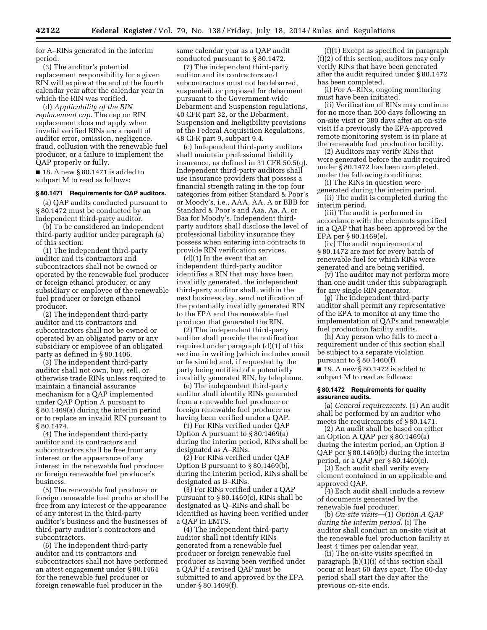for A–RINs generated in the interim period.

(3) The auditor's potential replacement responsibility for a given RIN will expire at the end of the fourth calendar year after the calendar year in which the RIN was verified.

(d) *Applicability of the RIN replacement cap.* The cap on RIN replacement does not apply when invalid verified RINs are a result of auditor error, omission, negligence, fraud, collusion with the renewable fuel producer, or a failure to implement the QAP properly or fully.

 $\blacksquare$  18. A new § 80.1471 is added to subpart M to read as follows:

#### **§ 80.1471 Requirements for QAP auditors.**

(a) QAP audits conducted pursuant to § 80.1472 must be conducted by an independent third-party auditor.

(b) To be considered an independent third-party auditor under paragraph (a) of this section:

(1) The independent third-party auditor and its contractors and subcontractors shall not be owned or operated by the renewable fuel producer or foreign ethanol producer, or any subsidiary or employee of the renewable fuel producer or foreign ethanol producer.

(2) The independent third-party auditor and its contractors and subcontractors shall not be owned or operated by an obligated party or any subsidiary or employee of an obligated party as defined in § 80.1406.

(3) The independent third-party auditor shall not own, buy, sell, or otherwise trade RINs unless required to maintain a financial assurance mechanism for a QAP implemented under QAP Option A pursuant to § 80.1469(a) during the interim period or to replace an invalid RIN pursuant to § 80.1474.

(4) The independent third-party auditor and its contractors and subcontractors shall be free from any interest or the appearance of any interest in the renewable fuel producer or foreign renewable fuel producer's business.

(5) The renewable fuel producer or foreign renewable fuel producer shall be free from any interest or the appearance of any interest in the third-party auditor's business and the businesses of third-party auditor's contractors and subcontractors.

(6) The independent third-party auditor and its contractors and subcontractors shall not have performed an attest engagement under § 80.1464 for the renewable fuel producer or foreign renewable fuel producer in the

same calendar year as a QAP audit conducted pursuant to § 80.1472.

(7) The independent third-party auditor and its contractors and subcontractors must not be debarred, suspended, or proposed for debarment pursuant to the Government-wide Debarment and Suspension regulations, 40 CFR part 32, or the Debarment, Suspension and Ineligibility provisions of the Federal Acquisition Regulations, 48 CFR part 9, subpart 9.4.

(c) Independent third-party auditors shall maintain professional liability insurance, as defined in 31 CFR 50.5(q). Independent third-party auditors shall use insurance providers that possess a financial strength rating in the top four categories from either Standard & Poor's or Moody's, i.e., AAA, AA, A or BBB for Standard & Poor's and Aaa, Aa, A, or Baa for Moody's. Independent thirdparty auditors shall disclose the level of professional liability insurance they possess when entering into contracts to provide RIN verification services.

(d)(1) In the event that an independent third-party auditor identifies a RIN that may have been invalidly generated, the independent third-party auditor shall, within the next business day, send notification of the potentially invalidly generated RIN to the EPA and the renewable fuel producer that generated the RIN.

(2) The independent third-party auditor shall provide the notification required under paragraph (d)(1) of this section in writing (which includes email or facsimile) and, if requested by the party being notified of a potentially invalidly generated RIN, by telephone.

(e) The independent third-party auditor shall identify RINs generated from a renewable fuel producer or foreign renewable fuel producer as having been verified under a QAP.

(1) For RINs verified under QAP Option A pursuant to § 80.1469(a) during the interim period, RINs shall be designated as A–RINs.

(2) For RINs verified under QAP Option B pursuant to § 80.1469(b), during the interim period, RINs shall be designated as B–RINs.

(3) For RINs verified under a QAP pursuant to § 80.1469(c), RINs shall be designated as Q–RINs and shall be identified as having been verified under a QAP in EMTS.

(4) The independent third-party auditor shall not identify RINs generated from a renewable fuel producer or foreign renewable fuel producer as having been verified under a QAP if a revised QAP must be submitted to and approved by the EPA under § 80.1469(f).

(f)(1) Except as specified in paragraph (f)(2) of this section, auditors may only verify RINs that have been generated after the audit required under § 80.1472 has been completed.

(i) For A–RINs, ongoing monitoring must have been initiated.

(ii) Verification of RINs may continue for no more than 200 days following an on-site visit or 380 days after an on-site visit if a previously the EPA-approved remote monitoring system is in place at the renewable fuel production facility.

(2) Auditors may verify RINs that were generated before the audit required under § 80.1472 has been completed, under the following conditions:

(i) The RINs in question were

generated during the interim period. (ii) The audit is completed during the interim period.

(iii) The audit is performed in accordance with the elements specified in a QAP that has been approved by the EPA per § 80.1469(e).

(iv) The audit requirements of § 80.1472 are met for every batch of renewable fuel for which RINs were generated and are being verified.

(v) The auditor may not perform more than one audit under this subparagraph for any single RIN generator.

(g) The independent third-party auditor shall permit any representative of the EPA to monitor at any time the implementation of QAPs and renewable fuel production facility audits.

(h) Any person who fails to meet a requirement under of this section shall be subject to a separate violation pursuant to  $\S 80.1460(f)$ .

 $\blacksquare$  19. A new § 80.1472 is added to subpart M to read as follows:

#### **§ 80.1472 Requirements for quality assurance audits.**

(a) *General requirements.* (1) An audit shall be performed by an auditor who meets the requirements of § 80.1471.

(2) An audit shall be based on either an Option A QAP per § 80.1469(a) during the interim period, an Option B QAP per § 80.1469(b) during the interim period, or a QAP per § 80.1469(c).

(3) Each audit shall verify every element contained in an applicable and approved QAP.

(4) Each audit shall include a review of documents generated by the renewable fuel producer.

(b) *On-site visits*—(1) *Option A QAP during the interim period.* (i) The auditor shall conduct an on-site visit at the renewable fuel production facility at least 4 times per calendar year.

(ii) The on-site visits specified in paragraph (b)(1)(i) of this section shall occur at least 60 days apart. The 60-day period shall start the day after the previous on-site ends.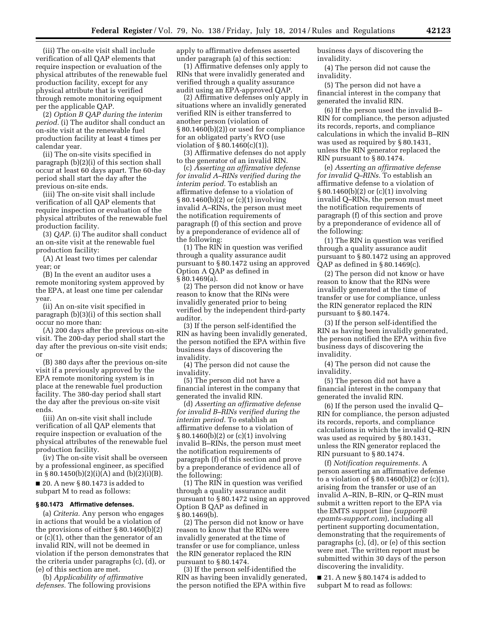(iii) The on-site visit shall include verification of all QAP elements that require inspection or evaluation of the physical attributes of the renewable fuel production facility, except for any physical attribute that is verified through remote monitoring equipment per the applicable QAP.

(2) *Option B QAP during the interim period.* (i) The auditor shall conduct an on-site visit at the renewable fuel production facility at least 4 times per calendar year.

(ii) The on-site visits specified in paragraph (b)(2)(i) of this section shall occur at least 60 days apart. The 60-day period shall start the day after the previous on-site ends.

(iii) The on-site visit shall include verification of all QAP elements that require inspection or evaluation of the physical attributes of the renewable fuel production facility.

(3) *QAP.* (i) The auditor shall conduct an on-site visit at the renewable fuel production facility:

(A) At least two times per calendar year; or

(B) In the event an auditor uses a remote monitoring system approved by the EPA, at least one time per calendar year.

(ii) An on-site visit specified in paragraph (b)(3)(i) of this section shall occur no more than:

(A) 200 days after the previous on-site visit. The 200-day period shall start the day after the previous on-site visit ends; or

(B) 380 days after the previous on-site visit if a previously approved by the EPA remote monitoring system is in place at the renewable fuel production facility. The 380-day period shall start the day after the previous on-site visit ends.

(iii) An on-site visit shall include verification of all QAP elements that require inspection or evaluation of the physical attributes of the renewable fuel production facility.

(iv) The on-site visit shall be overseen by a professional engineer, as specified in § 80.1450(b)(2)(i)(A) and (b)(2)(i)(B).

 $\blacksquare$  20. A new § 80.1473 is added to subpart M to read as follows:

#### **§ 80.1473 Affirmative defenses.**

(a) *Criteria.* Any person who engages in actions that would be a violation of the provisions of either § 80.1460(b)(2) or (c)(1), other than the generator of an invalid RIN, will not be deemed in violation if the person demonstrates that the criteria under paragraphs (c), (d), or (e) of this section are met.

(b) *Applicability of affirmative defenses.* The following provisions apply to affirmative defenses asserted under paragraph (a) of this section:

(1) Affirmative defenses only apply to RINs that were invalidly generated and verified through a quality assurance audit using an EPA-approved QAP.

(2) Affirmative defenses only apply in situations where an invalidly generated verified RIN is either transferred to another person (violation of § 80.1460(b)(2)) or used for compliance for an obligated party's RVO (use violation of § 80.1460(c)(1)).

(3) Affirmative defenses do not apply to the generator of an invalid RIN.

(c) *Asserting an affirmative defense for invalid A–RINs verified during the interim period.* To establish an affirmative defense to a violation of § 80.1460(b)(2) or (c)(1) involving invalid A–RINs, the person must meet the notification requirements of paragraph (f) of this section and prove by a preponderance of evidence all of the following:

(1) The RIN in question was verified through a quality assurance audit pursuant to § 80.1472 using an approved Option A QAP as defined in § 80.1469(a).

(2) The person did not know or have reason to know that the RINs were invalidly generated prior to being verified by the independent third-party auditor.

(3) If the person self-identified the RIN as having been invalidly generated, the person notified the EPA within five business days of discovering the invalidity.

(4) The person did not cause the invalidity.

(5) The person did not have a financial interest in the company that generated the invalid RIN.

(d) *Asserting an affirmative defense for invalid B–RINs verified during the interim period.* To establish an affirmative defense to a violation of § 80.1460(b)(2) or (c)(1) involving invalid B–RINs, the person must meet the notification requirements of paragraph (f) of this section and prove by a preponderance of evidence all of the following:

(1) The RIN in question was verified through a quality assurance audit pursuant to § 80.1472 using an approved Option B QAP as defined in § 80.1469(b).

(2) The person did not know or have reason to know that the RINs were invalidly generated at the time of transfer or use for compliance, unless the RIN generator replaced the RIN pursuant to § 80.1474.

(3) If the person self-identified the RIN as having been invalidly generated, the person notified the EPA within five

business days of discovering the invalidity.

(4) The person did not cause the invalidity.

(5) The person did not have a financial interest in the company that generated the invalid RIN.

(6) If the person used the invalid B– RIN for compliance, the person adjusted its records, reports, and compliance calculations in which the invalid B–RIN was used as required by § 80.1431, unless the RIN generator replaced the RIN pursuant to § 80.1474.

(e) *Asserting an affirmative defense for invalid Q–RINs.* To establish an affirmative defense to a violation of § 80.1460(b)(2) or (c)(1) involving invalid Q–RINs, the person must meet the notification requirements of paragraph (f) of this section and prove by a preponderance of evidence all of the following:

(1) The RIN in question was verified through a quality assurance audit pursuant to § 80.1472 using an approved QAP as defined in § 80.1469(c).

(2) The person did not know or have reason to know that the RINs were invalidly generated at the time of transfer or use for compliance, unless the RIN generator replaced the RIN pursuant to § 80.1474.

(3) If the person self-identified the RIN as having been invalidly generated, the person notified the EPA within five business days of discovering the invalidity.

(4) The person did not cause the invalidity.

(5) The person did not have a financial interest in the company that generated the invalid RIN.

(6) If the person used the invalid Q– RIN for compliance, the person adjusted its records, reports, and compliance calculations in which the invalid Q–RIN was used as required by § 80.1431, unless the RIN generator replaced the RIN pursuant to § 80.1474.

(f) *Notification requirements.* A person asserting an affirmative defense to a violation of  $\S 80.1460(b)(2)$  or (c)(1), arising from the transfer or use of an invalid A–RIN, B–RIN, or Q–RIN must submit a written report to the EPA via the EMTS support line (*[support@](mailto:support@epamts-support.com) [epamts-support.com](mailto:support@epamts-support.com)*), including all pertinent supporting documentation, demonstrating that the requirements of paragraphs (c), (d), or (e) of this section were met. The written report must be submitted within 30 days of the person discovering the invalidity.

 $\blacksquare$  21. A new § 80.1474 is added to subpart M to read as follows: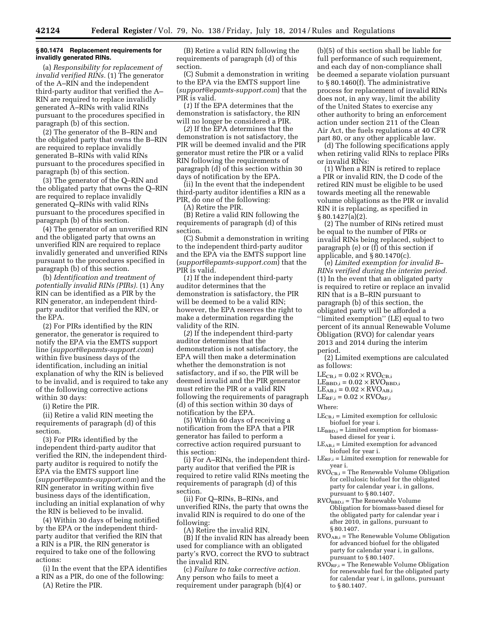# **§ 80.1474 Replacement requirements for invalidly generated RINs.**

(a) *Responsibility for replacement of invalid verified RINs.* (1) The generator of the A–RIN and the independent third-party auditor that verified the A– RIN are required to replace invalidly generated A–RINs with valid RINs pursuant to the procedures specified in paragraph (b) of this section.

(2) The generator of the B–RIN and the obligated party that owns the B–RIN are required to replace invalidly generated B–RINs with valid RINs pursuant to the procedures specified in paragraph (b) of this section.

(3) The generator of the Q–RIN and the obligated party that owns the Q–RIN are required to replace invalidly generated Q–RINs with valid RINs pursuant to the procedures specified in paragraph (b) of this section.

(4) The generator of an unverified RIN and the obligated party that owns an unverified RIN are required to replace invalidly generated and unverified RINs pursuant to the procedures specified in paragraph (b) of this section.

(b) *Identification and treatment of potentially invalid RINs (PIRs).* (1) Any RIN can be identified as a PIR by the RIN generator, an independent thirdparty auditor that verified the RIN, or the EPA.

(2) For PIRs identified by the RIN generator, the generator is required to notify the EPA via the EMTS support line (*[support@epamts-support.com](mailto:support@epamts-support.com)*) within five business days of the identification, including an initial explanation of why the RIN is believed to be invalid, and is required to take any of the following corrective actions within 30 days:

(i) Retire the PIR.

(ii) Retire a valid RIN meeting the requirements of paragraph (d) of this section.

(3) For PIRs identified by the independent third-party auditor that verified the RIN, the independent thirdparty auditor is required to notify the EPA via the EMTS support line (*[support@epamts-support.com](mailto:support@epamts-support.com)*) and the RIN generator in writing within five business days of the identification, including an initial explanation of why the RIN is believed to be invalid.

(4) Within 30 days of being notified by the EPA or the independent thirdparty auditor that verified the RIN that a RIN is a PIR, the RIN generator is required to take one of the following actions:

(i) In the event that the EPA identifies a RIN as a PIR, do one of the following: (A) Retire the PIR.

(B) Retire a valid RIN following the requirements of paragraph (d) of this section.

(C) Submit a demonstration in writing to the EPA via the EMTS support line (*[support@epamts-support.com](mailto:support@epamts-support.com)*) that the PIR is valid.

(*1*) If the EPA determines that the demonstration is satisfactory, the RIN will no longer be considered a PIR.

(*2*) If the EPA determines that the demonstration is not satisfactory, the PIR will be deemed invalid and the PIR generator must retire the PIR or a valid RIN following the requirements of paragraph (d) of this section within 30 days of notification by the EPA.

(ii) In the event that the independent third-party auditor identifies a RIN as a PIR, do one of the following:

(A) Retire the PIR.

(B) Retire a valid RIN following the requirements of paragraph (d) of this section.

(C) Submit a demonstration in writing to the independent third-party auditor and the EPA via the EMTS support line (*[support@epamts-support.com](mailto:support@epamts-support.com)*) that the PIR is valid.

(*1*) If the independent third-party auditor determines that the demonstration is satisfactory, the PIR will be deemed to be a valid RIN; however, the EPA reserves the right to make a determination regarding the validity of the RIN.

(*2*) If the independent third-party auditor determines that the demonstration is not satisfactory, the EPA will then make a determination whether the demonstration is not satisfactory, and if so, the PIR will be deemed invalid and the PIR generator must retire the PIR or a valid RIN following the requirements of paragraph (d) of this section within 30 days of notification by the EPA.

(5) Within 60 days of receiving a notification from the EPA that a PIR generator has failed to perform a corrective action required pursuant to this section:

(i) For A–RINs, the independent thirdparty auditor that verified the PIR is required to retire valid RINs meeting the requirements of paragraph (d) of this section.

(ii) For Q–RINs, B–RINs, and unverified RINs, the party that owns the invalid RIN is required to do one of the following:

(A) Retire the invalid RIN.

(B) If the invalid RIN has already been used for compliance with an obligated party's RVO, correct the RVO to subtract the invalid RIN.

(c) *Failure to take corrective action.*  Any person who fails to meet a requirement under paragraph (b)(4) or

(b)(5) of this section shall be liable for full performance of such requirement, and each day of non-compliance shall be deemed a separate violation pursuant to § 80.1460(f). The administrative process for replacement of invalid RINs does not, in any way, limit the ability of the United States to exercise any other authority to bring an enforcement action under section 211 of the Clean Air Act, the fuels regulations at 40 CFR part 80, or any other applicable law.

(d) The following specifications apply when retiring valid RINs to replace PIRs or invalid RINs:

(1) When a RIN is retired to replace a PIR or invalid RIN, the D code of the retired RIN must be eligible to be used towards meeting all the renewable volume obligations as the PIR or invalid RIN it is replacing, as specified in § 80.1427(a)(2).

(2) The number of RINs retired must be equal to the number of PIRs or invalid RINs being replaced, subject to paragraph (e) or (f) of this section if applicable, and § 80.1470(c).

(e) *Limited exemption for invalid B– RINs verified during the interim period.*  (1) In the event that an obligated party is required to retire or replace an invalid RIN that is a B–RIN pursuant to paragraph (b) of this section, the obligated party will be afforded a ''limited exemption'' (LE) equal to two percent of its annual Renewable Volume Obligation (RVO) for calendar years 2013 and 2014 during the interim period.

(2) Limited exemptions are calculated as follows:

 $LE_{CB,i} = 0.02 \times RVO_{CB,i}$ 

 $LE_{\mathrm{BBD},i} = 0.02 \times \mathrm{RVO}_{\mathrm{BBD},i}$ 

 $LE<sub>AB,i</sub> = 0.02 \times RVO<sub>AB,i</sub>$ 

 $LE_{RF,i} = 0.02 \times RVO_{RF,i}$ 

Where:

 $LE_{CB,i}$  = Limited exemption for cellulosic biofuel for year i.

 $LE<sub>BBD,i</sub> = Limited$  exemption for biomassbased diesel for year i.

 $LE<sub>AB,i</sub> = Limited$  exemption for advanced biofuel for year i.

- $LE_{RF,i}$  = Limited exemption for renewable for year i.
- $RVO<sub>CB,i</sub> = The Renewable Volume Obligation$ for cellulosic biofuel for the obligated party for calendar year i, in gallons, pursuant to § 80.1407.
- $\widehat{RVO}_{\mathrm{BBD},i}$  = The Renewable Volume Obligation for biomass-based diesel for the obligated party for calendar year i after 2010, in gallons, pursuant to § 80.1407.
- $\rm RVO_{AB,i}$  = The Renewable Volume Obligation for advanced biofuel for the obligated party for calendar year i, in gallons, pursuant to § 80.1407.
- $\overline{RVO}_{RF,i}$  = The Renewable Volume Obligation for renewable fuel for the obligated party for calendar year i, in gallons, pursuant to § 80.1407.